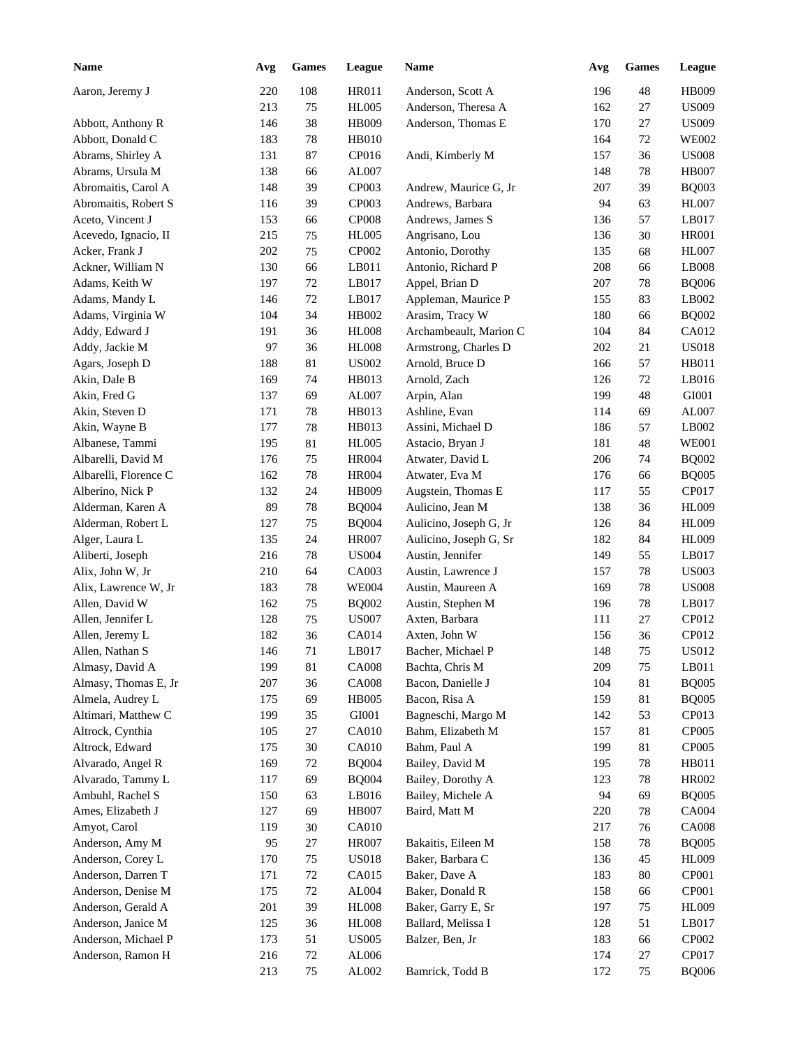| <b>Name</b>           | Avg | <b>Games</b> | League       | Name                   | Avg | <b>Games</b> | League       |
|-----------------------|-----|--------------|--------------|------------------------|-----|--------------|--------------|
| Aaron, Jeremy J       | 220 | 108          | <b>HR011</b> | Anderson, Scott A      | 196 | 48           | <b>HB009</b> |
|                       | 213 | 75           | <b>HL005</b> | Anderson, Theresa A    | 162 | 27           | <b>US009</b> |
| Abbott, Anthony R     | 146 | 38           | HB009        | Anderson, Thomas E     | 170 | $27\,$       | <b>US009</b> |
| Abbott, Donald C      | 183 | 78           | <b>HB010</b> |                        | 164 | $72\,$       | <b>WE002</b> |
| Abrams, Shirley A     | 131 | 87           | CP016        | Andi, Kimberly M       | 157 | 36           | <b>US008</b> |
| Abrams, Ursula M      | 138 | 66           | AL007        |                        | 148 | 78           | <b>HB007</b> |
| Abromaitis, Carol A   | 148 | 39           | CP003        | Andrew, Maurice G, Jr  | 207 | 39           | <b>BQ003</b> |
| Abromaitis, Robert S  | 116 | 39           | CP003        | Andrews, Barbara       | 94  | 63           | <b>HL007</b> |
| Aceto, Vincent J      | 153 | 66           | <b>CP008</b> | Andrews, James S       | 136 | 57           | LB017        |
| Acevedo, Ignacio, II  | 215 | 75           | <b>HL005</b> | Angrisano, Lou         | 136 | 30           | <b>HR001</b> |
| Acker, Frank J        | 202 | $75\,$       | CP002        | Antonio, Dorothy       | 135 | 68           | <b>HL007</b> |
| Ackner, William N     | 130 | 66           | LB011        | Antonio, Richard P     | 208 | 66           | LB008        |
| Adams, Keith W        | 197 | $72\,$       | LB017        | Appel, Brian D         | 207 | 78           | <b>BQ006</b> |
| Adams, Mandy L        | 146 | $72\,$       | LB017        | Appleman, Maurice P    | 155 | 83           | LB002        |
| Adams, Virginia W     | 104 | 34           | HB002        | Arasim, Tracy W        | 180 | 66           | <b>BQ002</b> |
| Addy, Edward J        | 191 | 36           | <b>HL008</b> | Archambeault, Marion C | 104 | 84           | CA012        |
| Addy, Jackie M        | 97  | 36           | <b>HL008</b> | Armstrong, Charles D   | 202 | 21           | <b>US018</b> |
| Agars, Joseph D       | 188 | 81           | <b>US002</b> | Arnold, Bruce D        | 166 | 57           | HB011        |
| Akin, Dale B          | 169 | 74           | HB013        | Arnold, Zach           | 126 | 72           | LB016        |
| Akin, Fred G          | 137 | 69           | AL007        | Arpin, Alan            | 199 | 48           | GI001        |
| Akin, Steven D        | 171 | 78           | HB013        | Ashline, Evan          | 114 | 69           | AL007        |
| Akin, Wayne B         | 177 | 78           | HB013        | Assini, Michael D      | 186 | 57           | LB002        |
| Albanese, Tammi       | 195 | 81           | <b>HL005</b> | Astacio, Bryan J       | 181 | 48           | <b>WE001</b> |
| Albarelli, David M    | 176 | 75           | <b>HR004</b> | Atwater, David L       | 206 | 74           | <b>BQ002</b> |
| Albarelli, Florence C | 162 | 78           | <b>HR004</b> | Atwater, Eva M         | 176 | 66           | <b>BQ005</b> |
| Alberino, Nick P      | 132 | 24           | HB009        | Augstein, Thomas E     | 117 | 55           | CP017        |
| Alderman, Karen A     | 89  | 78           | <b>BQ004</b> | Aulicino, Jean M       | 138 | 36           | <b>HL009</b> |
| Alderman, Robert L    | 127 | 75           | <b>BQ004</b> | Aulicino, Joseph G, Jr | 126 | 84           | <b>HL009</b> |
| Alger, Laura L        | 135 | 24           | <b>HR007</b> | Aulicino, Joseph G, Sr | 182 | 84           | <b>HL009</b> |
| Aliberti, Joseph      | 216 | 78           | <b>US004</b> | Austin, Jennifer       | 149 | 55           | LB017        |
| Alix, John W, Jr      | 210 | 64           | CA003        | Austin, Lawrence J     | 157 | 78           | <b>US003</b> |
| Alix, Lawrence W, Jr  | 183 | 78           | <b>WE004</b> | Austin, Maureen A      | 169 | 78           | <b>US008</b> |
| Allen, David W        | 162 | 75           | <b>BQ002</b> | Austin, Stephen M      | 196 | 78           | LB017        |
| Allen, Jennifer L     | 128 | 75           | <b>US007</b> | Axten, Barbara         | 111 | 27           | CP012        |
| Allen, Jeremy L       | 182 | 36           | CA014        | Axten, John W          | 156 | 36           | CP012        |
| Allen, Nathan S       | 146 | 71           | LB017        | Bacher, Michael P      | 148 | $75\,$       | <b>US012</b> |
| Almasy, David A       | 199 | $81\,$       | CA008        | Bachta, Chris M        | 209 | 75           | LB011        |
| Almasy, Thomas E, Jr  | 207 | 36           | <b>CA008</b> | Bacon, Danielle J      | 104 | 81           | <b>BQ005</b> |
| Almela, Audrey L      | 175 | 69           | <b>HB005</b> | Bacon, Risa A          | 159 | 81           | <b>BQ005</b> |
| Altimari, Matthew C   | 199 | 35           | GI001        | Bagneschi, Margo M     | 142 | 53           | CP013        |
| Altrock, Cynthia      | 105 | $27\,$       | CA010        | Bahm, Elizabeth M      | 157 | 81           | CP005        |
| Altrock, Edward       | 175 | $30\,$       | CA010        | Bahm, Paul A           | 199 | 81           | CP005        |
| Alvarado, Angel R     | 169 | $72\,$       | <b>BQ004</b> | Bailey, David M        | 195 | 78           | HB011        |
| Alvarado, Tammy L     | 117 | 69           | <b>BQ004</b> | Bailey, Dorothy A      | 123 | 78           | <b>HR002</b> |
| Ambuhl, Rachel S      | 150 | 63           | LB016        | Bailey, Michele A      | 94  | 69           | <b>BQ005</b> |
| Ames, Elizabeth J     | 127 | 69           | <b>HB007</b> | Baird, Matt M          | 220 | 78           | CA004        |
| Amyot, Carol          | 119 | $30\,$       | CA010        |                        | 217 | 76           | <b>CA008</b> |
| Anderson, Amy M       | 95  | 27           | <b>HR007</b> | Bakaitis, Eileen M     | 158 | 78           | <b>BQ005</b> |
| Anderson, Corey L     | 170 | 75           | <b>US018</b> | Baker, Barbara C       | 136 | 45           | <b>HL009</b> |
| Anderson, Darren T    | 171 | 72           | CA015        | Baker, Dave A          | 183 | 80           | CP001        |
| Anderson, Denise M    | 175 | 72           | AL004        | Baker, Donald R        | 158 | 66           | CP001        |
| Anderson, Gerald A    | 201 | 39           | <b>HL008</b> | Baker, Garry E, Sr     | 197 | $75\,$       | <b>HL009</b> |
| Anderson, Janice M    | 125 | 36           | <b>HL008</b> | Ballard, Melissa I     | 128 | 51           | LB017        |
| Anderson, Michael P   | 173 | 51           | <b>US005</b> | Balzer, Ben, Jr        | 183 | 66           | CP002        |
| Anderson, Ramon H     | 216 | $72\,$       | AL006        |                        | 174 | $27\,$       | CP017        |
|                       | 213 | 75           | AL002        | Bamrick, Todd B        | 172 | $75\,$       | <b>BQ006</b> |
|                       |     |              |              |                        |     |              |              |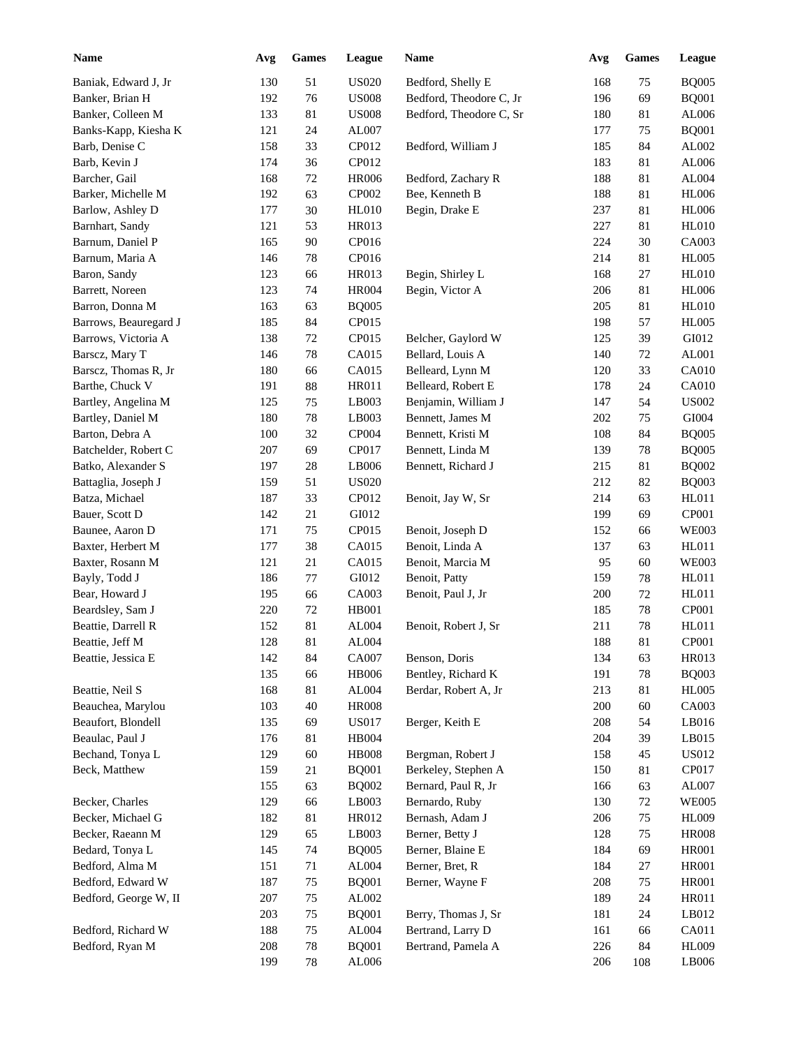| <b>Name</b>           | Avg | <b>Games</b> | League       | Name                    | Avg     | <b>Games</b> | League       |
|-----------------------|-----|--------------|--------------|-------------------------|---------|--------------|--------------|
| Baniak, Edward J, Jr  | 130 | 51           | <b>US020</b> | Bedford, Shelly E       | 168     | 75           | <b>BQ005</b> |
| Banker, Brian H       | 192 | 76           | <b>US008</b> | Bedford, Theodore C, Jr | 196     | 69           | <b>BQ001</b> |
| Banker, Colleen M     | 133 | 81           | <b>US008</b> | Bedford, Theodore C, Sr | 180     | 81           | AL006        |
| Banks-Kapp, Kiesha K  | 121 | 24           | AL007        |                         | 177     | 75           | <b>BQ001</b> |
| Barb, Denise C        | 158 | 33           | CP012        | Bedford, William J      | 185     | 84           | AL002        |
| Barb, Kevin J         | 174 | 36           | CP012        |                         | 183     | 81           | AL006        |
| Barcher, Gail         | 168 | $72\,$       | <b>HR006</b> | Bedford, Zachary R      | 188     | 81           | AL004        |
| Barker, Michelle M    | 192 | 63           | CP002        | Bee, Kenneth B          | 188     | 81           | <b>HL006</b> |
| Barlow, Ashley D      | 177 | 30           | <b>HL010</b> | Begin, Drake E          | 237     | 81           | <b>HL006</b> |
| Barnhart, Sandy       | 121 | 53           | HR013        |                         | 227     | 81           | <b>HL010</b> |
| Barnum, Daniel P      | 165 | 90           | CP016        |                         | 224     | 30           | CA003        |
| Barnum, Maria A       | 146 | 78           | CP016        |                         | 214     | 81           | <b>HL005</b> |
| Baron, Sandy          | 123 | 66           | <b>HR013</b> | Begin, Shirley L        | 168     | 27           | <b>HL010</b> |
| Barrett, Noreen       | 123 | 74           | <b>HR004</b> | Begin, Victor A         | 206     | 81           | <b>HL006</b> |
| Barron, Donna M       | 163 | 63           | <b>BQ005</b> |                         | 205     | 81           | <b>HL010</b> |
| Barrows, Beauregard J | 185 | 84           | CP015        |                         | 198     | 57           | <b>HL005</b> |
| Barrows, Victoria A   | 138 | 72           | CP015        | Belcher, Gaylord W      | 125     | 39           | GI012        |
| Barscz, Mary T        | 146 | 78           | CA015        | Bellard, Louis A        | 140     | 72           | AL001        |
|                       |     |              |              |                         |         |              | CA010        |
| Barscz, Thomas R, Jr  | 180 | 66           | CA015        | Belleard, Lynn M        | 120     | 33           |              |
| Barthe, Chuck V       | 191 | 88           | HR011        | Belleard, Robert E      | 178     | 24           | CA010        |
| Bartley, Angelina M   | 125 | 75           | LB003        | Benjamin, William J     | 147     | 54           | <b>US002</b> |
| Bartley, Daniel M     | 180 | 78           | LB003        | Bennett, James M        | 202     | 75           | GI004        |
| Barton, Debra A       | 100 | 32           | CP004        | Bennett, Kristi M       | 108     | 84           | <b>BQ005</b> |
| Batchelder, Robert C  | 207 | 69           | CP017        | Bennett, Linda M        | 139     | 78           | <b>BQ005</b> |
| Batko, Alexander S    | 197 | 28           | LB006        | Bennett, Richard J      | 215     | 81           | <b>BQ002</b> |
| Battaglia, Joseph J   | 159 | 51           | <b>US020</b> |                         | 212     | 82           | <b>BQ003</b> |
| Batza, Michael        | 187 | 33           | CP012        | Benoit, Jay W, Sr       | 214     | 63           | HL011        |
| Bauer, Scott D        | 142 | 21           | GI012        |                         | 199     | 69           | CP001        |
| Baunee, Aaron D       | 171 | 75           | CP015        | Benoit, Joseph D        | 152     | 66           | <b>WE003</b> |
| Baxter, Herbert M     | 177 | 38           | CA015        | Benoit, Linda A         | 137     | 63           | HL011        |
| Baxter, Rosann M      | 121 | 21           | CA015        | Benoit, Marcia M        | 95      | 60           | <b>WE003</b> |
| Bayly, Todd J         | 186 | 77           | GI012        | Benoit, Patty           | 159     | 78           | HL011        |
| Bear, Howard J        | 195 | 66           | CA003        | Benoit, Paul J, Jr      | 200     | 72           | HL011        |
| Beardsley, Sam J      | 220 | 72           | HB001        |                         | 185     | 78           | CP001        |
| Beattie, Darrell R    | 152 | 81           | AL004        | Benoit, Robert J, Sr    | 211     | 78           | HL011        |
| Beattie, Jeff M       | 128 | 81           | AL004        |                         | 188     | 81           | <b>CP001</b> |
| Beattie, Jessica E    | 142 | 84           | CA007        | Benson, Doris           | 134     | 63           | HR013        |
|                       | 135 | 66           | <b>HB006</b> | Bentley, Richard K      | 191     | 78           | <b>BQ003</b> |
| Beattie, Neil S       | 168 | $81\,$       | AL004        | Berdar, Robert A, Jr    | 213     | 81           | <b>HL005</b> |
| Beauchea, Marylou     | 103 | 40           | <b>HR008</b> |                         | 200     | 60           | CA003        |
| Beaufort, Blondell    | 135 | 69           | <b>US017</b> | Berger, Keith E         | $208\,$ | 54           | LB016        |
| Beaulac, Paul J       | 176 | 81           | <b>HB004</b> |                         | 204     | 39           | LB015        |
| Bechand, Tonya L      | 129 | 60           | <b>HB008</b> | Bergman, Robert J       | 158     | 45           | <b>US012</b> |
| Beck, Matthew         | 159 | 21           | <b>BQ001</b> | Berkeley, Stephen A     | 150     | 81           | CP017        |
|                       | 155 | 63           | <b>BQ002</b> | Bernard, Paul R, Jr     | 166     | 63           | AL007        |
| Becker, Charles       | 129 | 66           | LB003        | Bernardo, Ruby          | 130     | 72           | <b>WE005</b> |
| Becker, Michael G     | 182 | $81\,$       | HR012        | Bernash, Adam J         | 206     | $75\,$       | HL009        |
| Becker, Raeann M      | 129 | 65           | LB003        | Berner, Betty J         | 128     | $75\,$       | <b>HR008</b> |
| Bedard, Tonya L       | 145 | 74           | <b>BQ005</b> | Berner, Blaine E        | 184     | 69           | <b>HR001</b> |
| Bedford, Alma M       | 151 | 71           | AL004        | Berner, Bret, R         | 184     | $27\,$       | <b>HR001</b> |
| Bedford, Edward W     | 187 | 75           | <b>BQ001</b> | Berner, Wayne F         | 208     | $75\,$       | <b>HR001</b> |
| Bedford, George W, II | 207 | 75           | AL002        |                         | 189     | 24           | <b>HR011</b> |
|                       | 203 | 75           | <b>BQ001</b> | Berry, Thomas J, Sr     | 181     | 24           | LB012        |
| Bedford, Richard W    | 188 | 75           | AL004        | Bertrand, Larry D       | 161     | 66           | CA011        |
| Bedford, Ryan M       | 208 | $78\,$       | <b>BQ001</b> | Bertrand, Pamela A      | 226     | 84           | <b>HL009</b> |
|                       | 199 | 78           | AL006        |                         | 206     | 108          | LB006        |
|                       |     |              |              |                         |         |              |              |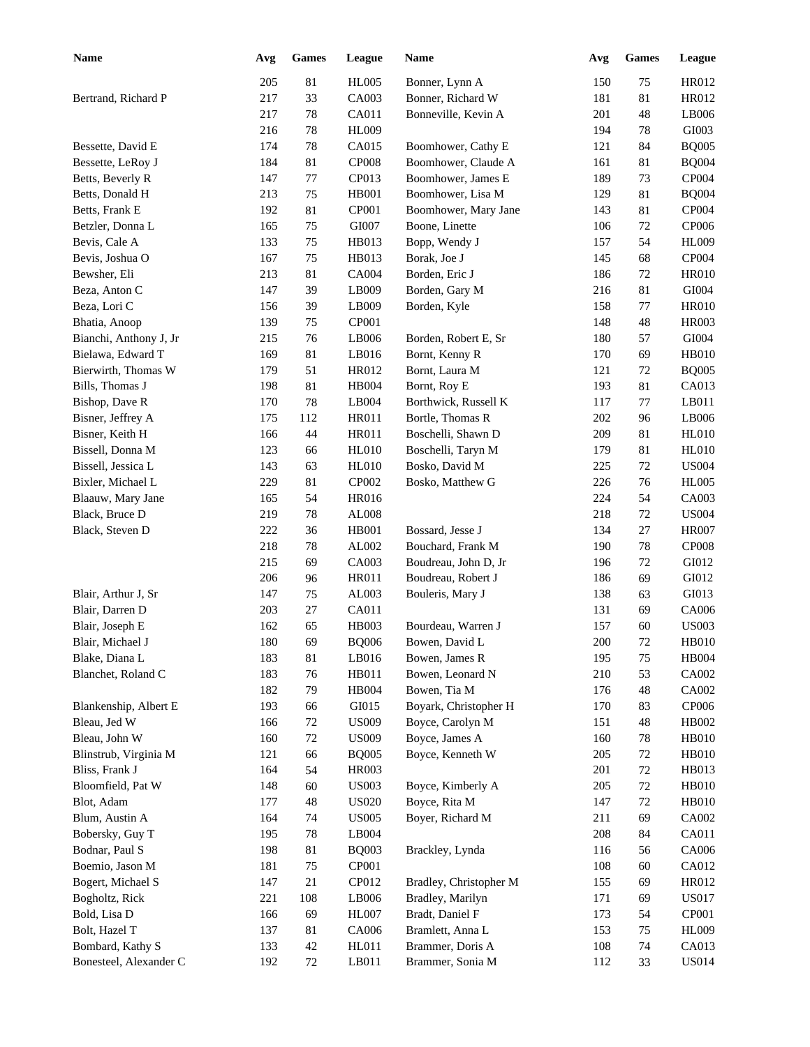| <b>Name</b>            | Avg | <b>Games</b> | League       | <b>Name</b>            | Avg     | <b>Games</b> | League       |
|------------------------|-----|--------------|--------------|------------------------|---------|--------------|--------------|
|                        | 205 | 81           | <b>HL005</b> | Bonner, Lynn A         | 150     | 75           | HR012        |
| Bertrand, Richard P    | 217 | 33           | CA003        | Bonner, Richard W      | 181     | 81           | HR012        |
|                        | 217 | 78           | CA011        | Bonneville, Kevin A    | 201     | 48           | LB006        |
|                        | 216 | 78           | HL009        |                        | 194     | 78           | GI003        |
| Bessette, David E      | 174 | 78           | CA015        | Boomhower, Cathy E     | 121     | 84           | <b>BQ005</b> |
| Bessette, LeRoy J      | 184 | 81           | <b>CP008</b> | Boomhower, Claude A    | 161     | 81           | <b>BQ004</b> |
| Betts, Beverly R       | 147 | 77           | CP013        | Boomhower, James E     | 189     | 73           | <b>CP004</b> |
| Betts, Donald H        | 213 | $75\,$       | <b>HB001</b> | Boomhower, Lisa M      | 129     | 81           | <b>BQ004</b> |
| Betts, Frank E         | 192 | 81           | CP001        | Boomhower, Mary Jane   | 143     | 81           | CP004        |
| Betzler, Donna L       | 165 | $75\,$       | GI007        | Boone, Linette         | 106     | 72           | CP006        |
| Bevis, Cale A          | 133 | $75\,$       | HB013        | Bopp, Wendy J          | 157     | 54           | <b>HL009</b> |
| Bevis, Joshua O        | 167 | $75\,$       | HB013        | Borak, Joe J           | 145     | 68           | CP004        |
| Bewsher, Eli           | 213 | 81           | <b>CA004</b> | Borden, Eric J         | 186     | 72           | <b>HR010</b> |
| Beza, Anton C          | 147 | 39           | LB009        | Borden, Gary M         | 216     | 81           | GI004        |
| Beza, Lori C           | 156 | 39           | LB009        | Borden, Kyle           | 158     | 77           | <b>HR010</b> |
| Bhatia, Anoop          | 139 | 75           | CP001        |                        | 148     | 48           | <b>HR003</b> |
| Bianchi, Anthony J, Jr | 215 | 76           | LB006        | Borden, Robert E, Sr   | 180     | 57           | GI004        |
| Bielawa, Edward T      | 169 | 81           | LB016        | Bornt, Kenny R         | 170     | 69           | <b>HB010</b> |
| Bierwirth, Thomas W    | 179 | 51           | HR012        | Bornt, Laura M         | 121     | 72           | <b>BQ005</b> |
| Bills, Thomas J        | 198 | 81           | <b>HB004</b> | Bornt, Roy E           | 193     | 81           | CA013        |
| Bishop, Dave R         | 170 | 78           | LB004        | Borthwick, Russell K   | 117     | 77           | LB011        |
| Bisner, Jeffrey A      | 175 | 112          | <b>HR011</b> | Bortle, Thomas R       | 202     | 96           | LB006        |
| Bisner, Keith H        | 166 | 44           | <b>HR011</b> | Boschelli, Shawn D     | 209     | 81           | <b>HL010</b> |
| Bissell, Donna M       | 123 | 66           | <b>HL010</b> | Boschelli, Taryn M     | 179     | 81           | <b>HL010</b> |
| Bissell, Jessica L     | 143 | 63           | <b>HL010</b> | Bosko, David M         | 225     | 72           | <b>US004</b> |
| Bixler, Michael L      | 229 | 81           | CP002        | Bosko, Matthew G       | 226     | 76           | <b>HL005</b> |
| Blaauw, Mary Jane      | 165 | 54           | <b>HR016</b> |                        | 224     | 54           | CA003        |
| Black, Bruce D         | 219 | 78           | AL008        |                        | 218     | 72           | <b>US004</b> |
| Black, Steven D        | 222 | 36           | <b>HB001</b> | Bossard, Jesse J       | 134     | 27           | <b>HR007</b> |
|                        | 218 | 78           | AL002        | Bouchard, Frank M      | 190     | 78           | <b>CP008</b> |
|                        | 215 | 69           | CA003        | Boudreau, John D, Jr   | 196     | 72           | GI012        |
|                        | 206 | 96           | <b>HR011</b> | Boudreau, Robert J     | 186     | 69           | GI012        |
| Blair, Arthur J, Sr    | 147 | 75           | AL003        | Bouleris, Mary J       | 138     | 63           | GI013        |
| Blair, Darren D        | 203 | $27\,$       | CA011        |                        | 131     | 69           | CA006        |
| Blair, Joseph E        | 162 | 65           | HB003        | Bourdeau, Warren J     | 157     | 60           | <b>US003</b> |
| Blair, Michael J       | 180 | 69           | <b>BQ006</b> | Bowen, David L         | $200\,$ | 72           | <b>HB010</b> |
| Blake, Diana L         | 183 | 81           | LB016        | Bowen, James R         | 195     | 75           | HB004        |
| Blanchet, Roland C     | 183 | 76           | HB011        | Bowen, Leonard N       | 210     | 53           | CA002        |
|                        | 182 | 79           | HB004        | Bowen, Tia M           | 176     | 48           | CA002        |
| Blankenship, Albert E  | 193 | 66           | GI015        | Boyark, Christopher H  | 170     | 83           | CP006        |
| Bleau, Jed W           | 166 | 72           | <b>US009</b> | Boyce, Carolyn M       | 151     | 48           | HB002        |
| Bleau, John W          | 160 | $72\,$       | <b>US009</b> | Boyce, James A         | 160     | 78           | HB010        |
| Blinstrub, Virginia M  | 121 | 66           | <b>BQ005</b> | Boyce, Kenneth W       | $205\,$ | 72           | HB010        |
| Bliss, Frank J         | 164 | 54           | HR003        |                        | 201     | 72           | HB013        |
| Bloomfield, Pat W      | 148 | 60           | <b>US003</b> | Boyce, Kimberly A      | 205     | $72\,$       | <b>HB010</b> |
| Blot, Adam             | 177 | 48           | <b>US020</b> | Boyce, Rita M          | 147     | 72           | <b>HB010</b> |
| Blum, Austin A         | 164 | 74           | <b>US005</b> | Boyer, Richard M       | 211     | 69           | CA002        |
| Bobersky, Guy T        | 195 | $78\,$       | LB004        |                        | 208     | 84           | CA011        |
| Bodnar, Paul S         | 198 | 81           | <b>BQ003</b> | Brackley, Lynda        | 116     | 56           | CA006        |
| Boemio, Jason M        | 181 | 75           | CP001        |                        | 108     | 60           | CA012        |
| Bogert, Michael S      | 147 | 21           | CP012        | Bradley, Christopher M | 155     | 69           | HR012        |
| Bogholtz, Rick         | 221 | 108          | LB006        | Bradley, Marilyn       | 171     | 69           | <b>US017</b> |
| Bold, Lisa D           | 166 | 69           | HL007        | Bradt, Daniel F        | 173     | 54           | CP001        |
| Bolt, Hazel T          | 137 | 81           | CA006        | Bramlett, Anna L       | 153     | 75           | HL009        |
| Bombard, Kathy S       | 133 | 42           | HL011        | Brammer, Doris A       | 108     | 74           | CA013        |
| Bonesteel, Alexander C | 192 |              |              | Brammer, Sonia M       | 112     | 33           | <b>US014</b> |
|                        |     | 72           | LB011        |                        |         |              |              |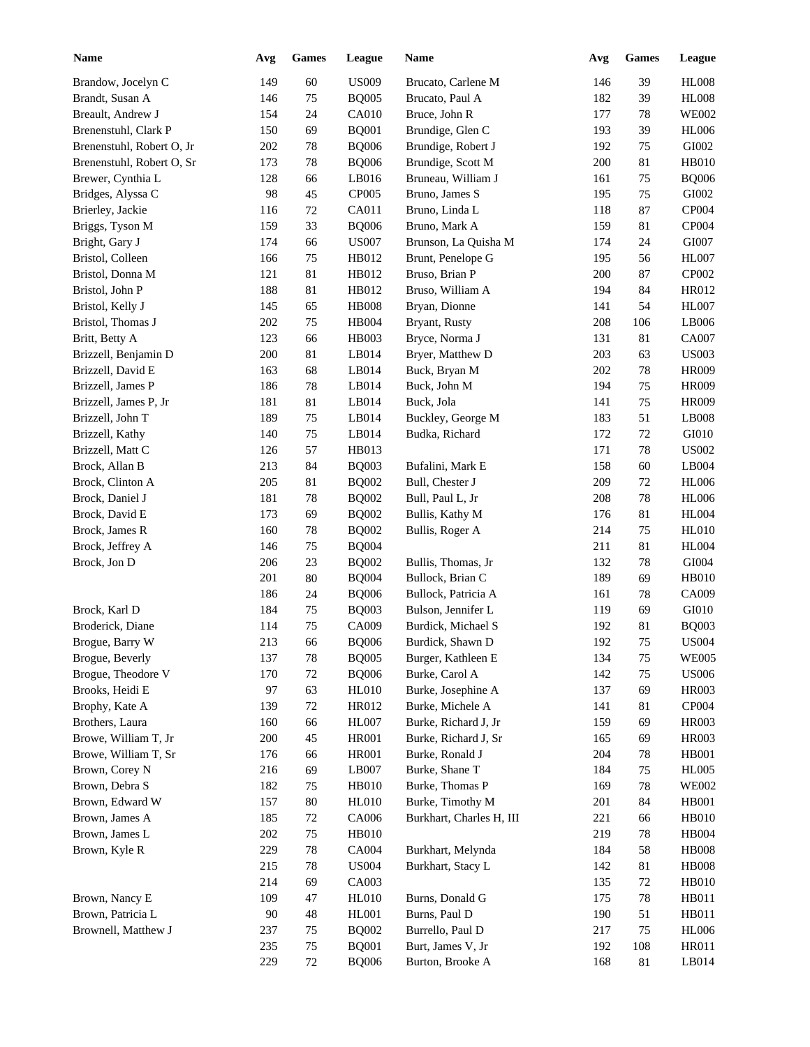| <b>Name</b>                       | Avg        | ${\bf Games}$    | League                | Name                                | Avg | <b>Games</b> | League                       |
|-----------------------------------|------------|------------------|-----------------------|-------------------------------------|-----|--------------|------------------------------|
| Brandow, Jocelyn C                | 149        | 60               | <b>US009</b>          | Brucato, Carlene M                  | 146 | 39           | <b>HL008</b>                 |
| Brandt, Susan A                   | 146        | $75\,$           | <b>BQ005</b>          | Brucato, Paul A                     | 182 | 39           | <b>HL008</b>                 |
| Breault, Andrew J                 | 154        | 24               | CA010                 | Bruce, John R                       | 177 | 78           | <b>WE002</b>                 |
| Brenenstuhl, Clark P              | 150        | 69               | <b>BQ001</b>          | Brundige, Glen C                    | 193 | 39           | <b>HL006</b>                 |
| Brenenstuhl, Robert O, Jr         | 202        | 78               | <b>BQ006</b>          | Brundige, Robert J                  | 192 | 75           | GI002                        |
| Brenenstuhl, Robert O, Sr         | 173        | 78               | <b>BQ006</b>          | Brundige, Scott M                   | 200 | 81           | <b>HB010</b>                 |
| Brewer, Cynthia L                 | 128        | 66               | LB016                 | Bruneau, William J                  | 161 | 75           | <b>BQ006</b>                 |
| Bridges, Alyssa C                 | 98         | 45               | CP005                 | Bruno, James S                      | 195 | 75           | GI002                        |
| Brierley, Jackie                  | 116        | $72\,$           | CA011                 | Bruno, Linda L                      | 118 | 87           | CP004                        |
| Briggs, Tyson M                   | 159        | 33               | <b>BQ006</b>          | Bruno, Mark A                       | 159 | 81           | CP004                        |
| Bright, Gary J                    | 174        | 66               | <b>US007</b>          | Brunson, La Quisha M                | 174 | 24           | GI007                        |
| Bristol, Colleen                  | 166        | $75\,$           | HB012                 | Brunt, Penelope G                   | 195 | 56           | <b>HL007</b>                 |
| Bristol, Donna M                  | 121        | 81               | HB012                 | Bruso, Brian P                      | 200 | 87           | CP002                        |
| Bristol, John P                   | 188        | 81               | HB012                 | Bruso, William A                    | 194 | 84           | HR012                        |
| Bristol, Kelly J                  | 145        | 65               | <b>HB008</b>          | Bryan, Dionne                       | 141 | 54           | <b>HL007</b>                 |
| Bristol, Thomas J                 | 202        | 75               | <b>HB004</b>          | Bryant, Rusty                       | 208 | 106          | LB006                        |
| Britt, Betty A                    | 123        | 66               | HB003                 | Bryce, Norma J                      | 131 | 81           | <b>CA007</b>                 |
| Brizzell, Benjamin D              | 200        | 81               | LB014                 | Bryer, Matthew D                    | 203 | 63           | <b>US003</b>                 |
| Brizzell, David E                 | 163        | 68               | LB014                 | Buck, Bryan M                       | 202 | 78           | <b>HR009</b>                 |
| Brizzell, James P                 | 186        | 78               | LB014                 | Buck, John M                        | 194 | 75           | <b>HR009</b>                 |
| Brizzell, James P, Jr             | 181        | 81               | LB014                 | Buck, Jola                          | 141 | 75           | <b>HR009</b>                 |
| Brizzell, John T                  | 189        | 75               | LB014                 | Buckley, George M                   | 183 | 51           | LB008                        |
| Brizzell, Kathy                   | 140        | 75               | LB014                 | Budka, Richard                      | 172 | 72           | GI010                        |
| Brizzell, Matt C                  | 126        | 57               | HB013                 |                                     | 171 | 78           | <b>US002</b>                 |
| Brock, Allan B                    | 213        | 84               | <b>BQ003</b>          | Bufalini, Mark E                    | 158 | 60           | LB004                        |
| Brock, Clinton A                  | 205        | 81               | <b>BQ002</b>          | Bull, Chester J                     | 209 | 72           | <b>HL006</b>                 |
| Brock, Daniel J                   | 181        | 78               | <b>BQ002</b>          | Bull, Paul L, Jr                    | 208 | $78\,$       | <b>HL006</b>                 |
| Brock, David E                    | 173        | 69               | <b>BQ002</b>          | Bullis, Kathy M                     | 176 | 81           | <b>HL004</b>                 |
| Brock, James R                    | 160        | 78               | <b>BQ002</b>          | Bullis, Roger A                     | 214 | 75           | <b>HL010</b>                 |
| Brock, Jeffrey A                  | 146        | 75               | <b>BQ004</b>          |                                     | 211 | 81           | <b>HL004</b>                 |
| Brock, Jon D                      | 206        | 23               | <b>BQ002</b>          | Bullis, Thomas, Jr                  | 132 | 78           | GI004                        |
|                                   | 201        | 80               | <b>BQ004</b>          | Bullock, Brian C                    | 189 | 69           | <b>HB010</b>                 |
|                                   | 186        | 24               | <b>BQ006</b>          | Bullock, Patricia A                 | 161 | 78           | CA009                        |
| Brock, Karl D                     | 184        | 75               | <b>BQ003</b>          | Bulson, Jennifer L                  | 119 | 69           | GI010                        |
| Broderick, Diane                  | 114        | 75               | CA009                 | Burdick, Michael S                  | 192 | 81           | <b>BQ003</b>                 |
| Brogue, Barry W                   | 213        | 66               | <b>BQ006</b>          | Burdick, Shawn D                    | 192 | $75\,$       | <b>US004</b>                 |
| Brogue, Beverly                   | 137        | 78               | <b>BQ005</b>          | Burger, Kathleen E                  | 134 | 75           |                              |
| Brogue, Theodore V                | 170        | $72\,$           | <b>BQ006</b>          | Burke, Carol A                      | 142 | 75           | <b>WE005</b><br><b>US006</b> |
| Brooks, Heidi E                   | 97         | 63               | <b>HL010</b>          | Burke, Josephine A                  | 137 | 69           | <b>HR003</b>                 |
| Brophy, Kate A                    | 139        | $72\,$           | HR012                 | Burke, Michele A                    | 141 | 81           | CP004                        |
| Brothers, Laura                   | 160        | 66               | HL007                 | Burke, Richard J, Jr                | 159 | 69           | <b>HR003</b>                 |
| Browe, William T, Jr              | 200        | 45               | <b>HR001</b>          | Burke, Richard J, Sr                | 165 |              | <b>HR003</b>                 |
|                                   |            |                  |                       | Burke, Ronald J                     |     | 69           |                              |
| Browe, William T, Sr              | 176<br>216 | 66               | <b>HR001</b><br>LB007 | Burke, Shane T                      | 204 | $78\,$       | <b>HB001</b><br><b>HL005</b> |
| Brown, Corey N                    |            | 69               |                       |                                     | 184 | 75           |                              |
| Brown, Debra S<br>Brown, Edward W | 182        | $75\,$<br>$80\,$ | HB010                 | Burke, Thomas P<br>Burke, Timothy M | 169 | $78\,$       | <b>WE002</b>                 |
|                                   | 157        |                  | <b>HL010</b>          |                                     | 201 | 84           | <b>HB001</b><br><b>HB010</b> |
| Brown, James A                    | 185        | $72\,$           | CA006                 | Burkhart, Charles H, III            | 221 | 66           |                              |
| Brown, James L                    | 202        | $75\,$           | HB010                 |                                     | 219 | $78\,$       | HB004                        |
| Brown, Kyle R                     | 229        | $78\,$           | CA004                 | Burkhart, Melynda                   | 184 | 58           | <b>HB008</b>                 |
|                                   | 215        | $78\,$           | <b>US004</b>          | Burkhart, Stacy L                   | 142 | 81           | <b>HB008</b>                 |
|                                   | 214        | 69               | CA003                 |                                     | 135 | 72           | HB010                        |
| Brown, Nancy E                    | 109        | 47               | <b>HL010</b>          | Burns, Donald G                     | 175 | $78\,$       | HB011                        |
| Brown, Patricia L                 | $90\,$     | 48               | <b>HL001</b>          | Burns, Paul D                       | 190 | 51           | HB011                        |
| Brownell, Matthew J               | 237        | $75\,$           | <b>BQ002</b>          | Burrello, Paul D                    | 217 | 75           | <b>HL006</b>                 |
|                                   | 235        | 75               | <b>BQ001</b>          | Burt, James V, Jr                   | 192 | 108          | HR011                        |
|                                   | 229        | $72\,$           | <b>BQ006</b>          | Burton, Brooke A                    | 168 | 81           | LB014                        |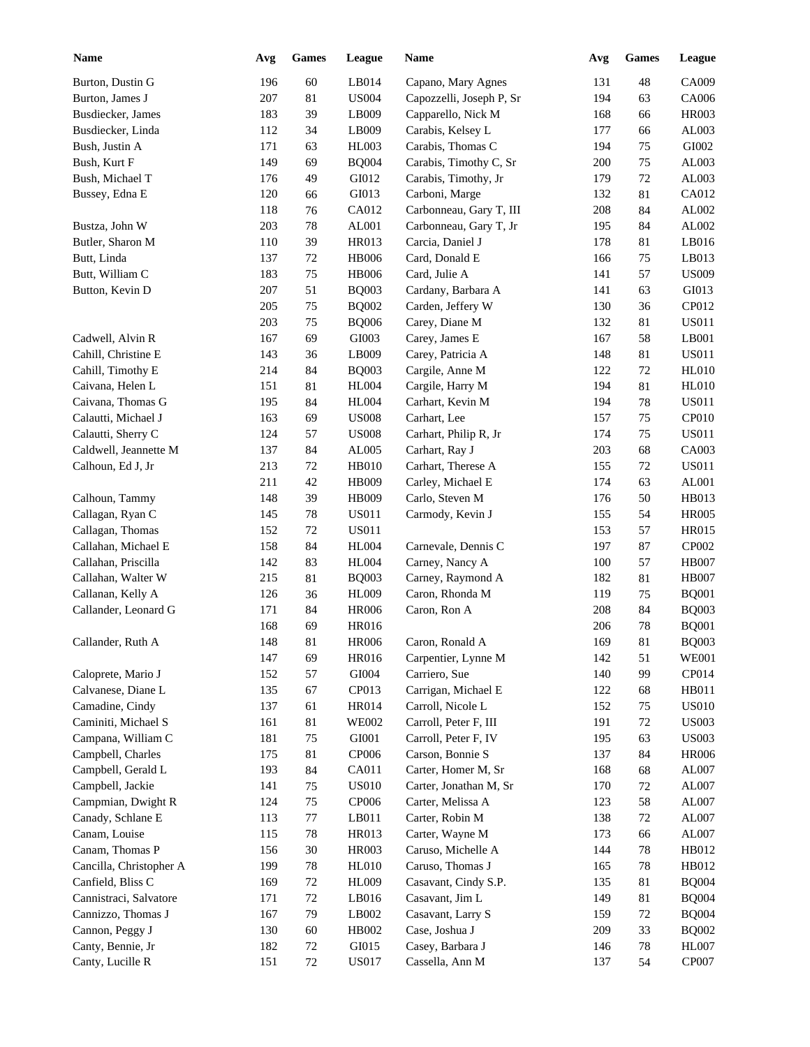| <b>Name</b>             | Avg | <b>Games</b> | League        | Name                     | Avg | <b>Games</b> | League       |
|-------------------------|-----|--------------|---------------|--------------------------|-----|--------------|--------------|
| Burton, Dustin G        | 196 | 60           | LB014         | Capano, Mary Agnes       | 131 | 48           | CA009        |
| Burton, James J         | 207 | 81           | <b>US004</b>  | Capozzelli, Joseph P, Sr | 194 | 63           | CA006        |
| Busdiecker, James       | 183 | 39           | LB009         | Capparello, Nick M       | 168 | 66           | <b>HR003</b> |
| Busdiecker, Linda       | 112 | 34           | LB009         | Carabis, Kelsey L        | 177 | 66           | AL003        |
| Bush, Justin A          | 171 | 63           | <b>HL003</b>  | Carabis, Thomas C        | 194 | 75           | GI002        |
| Bush, Kurt F            | 149 | 69           | <b>BQ004</b>  | Carabis, Timothy C, Sr   | 200 | 75           | AL003        |
| Bush, Michael T         | 176 | 49           | GI012         | Carabis, Timothy, Jr     | 179 | 72           | AL003        |
| Bussey, Edna E          | 120 | 66           | GI013         | Carboni, Marge           | 132 | 81           | CA012        |
|                         | 118 | 76           | CA012         | Carbonneau, Gary T, III  | 208 | 84           | AL002        |
| Bustza, John W          | 203 | 78           | AL001         | Carbonneau, Gary T, Jr   | 195 | 84           | AL002        |
| Butler, Sharon M        | 110 | 39           | HR013         | Carcia, Daniel J         | 178 | 81           | LB016        |
| Butt, Linda             | 137 | $72\,$       | <b>HB006</b>  | Card, Donald E           | 166 | 75           | LB013        |
| Butt, William C         | 183 | 75           | <b>HB006</b>  | Card, Julie A            | 141 | 57           | <b>US009</b> |
| Button, Kevin D         | 207 | 51           | <b>BQ003</b>  | Cardany, Barbara A       | 141 | 63           | GI013        |
|                         | 205 | 75           | <b>BQ002</b>  | Carden, Jeffery W        | 130 | 36           | CP012        |
|                         | 203 | 75           | <b>BQ006</b>  | Carey, Diane M           | 132 | 81           | <b>US011</b> |
| Cadwell, Alvin R        | 167 | 69           | GI003         | Carey, James E           | 167 | 58           | LB001        |
| Cahill, Christine E     | 143 | 36           | LB009         | Carey, Patricia A        | 148 | 81           | <b>US011</b> |
| Cahill, Timothy E       | 214 | 84           | <b>BQ003</b>  | Cargile, Anne M          | 122 | 72           | <b>HL010</b> |
| Caivana, Helen L        | 151 | 81           | <b>HL004</b>  | Cargile, Harry M         | 194 | 81           | <b>HL010</b> |
| Caivana, Thomas G       | 195 | 84           | <b>HL004</b>  | Carhart, Kevin M         | 194 | 78           | <b>US011</b> |
| Calautti, Michael J     | 163 | 69           | <b>US008</b>  | Carhart, Lee             | 157 | 75           | CP010        |
| Calautti, Sherry C      | 124 | 57           | <b>US008</b>  | Carhart, Philip R, Jr    | 174 | 75           | <b>US011</b> |
| Caldwell, Jeannette M   | 137 | 84           | AL005         | Carhart, Ray J           | 203 | 68           | CA003        |
| Calhoun, Ed J, Jr       | 213 |              | <b>HB010</b>  | Carhart, Therese A       | 155 | 72           | <b>US011</b> |
|                         |     | 72           |               |                          |     |              | AL001        |
|                         | 211 | 42           | HB009         | Carley, Michael E        | 174 | 63           |              |
| Calhoun, Tammy          | 148 | 39           | HB009         | Carlo, Steven M          | 176 | 50           | HB013        |
| Callagan, Ryan C        | 145 | 78           | <b>US011</b>  | Carmody, Kevin J         | 155 | 54           | <b>HR005</b> |
| Callagan, Thomas        | 152 | 72           | <b>US011</b>  |                          | 153 | 57           | <b>HR015</b> |
| Callahan, Michael E     | 158 | 84           | <b>HL004</b>  | Carnevale, Dennis C      | 197 | 87           | CP002        |
| Callahan, Priscilla     | 142 | 83           | <b>HL004</b>  | Carney, Nancy A          | 100 | 57           | <b>HB007</b> |
| Callahan, Walter W      | 215 | 81           | <b>BQ003</b>  | Carney, Raymond A        | 182 | $81\,$       | <b>HB007</b> |
| Callanan, Kelly A       | 126 | 36           | HL009         | Caron, Rhonda M          | 119 | 75           | <b>BQ001</b> |
| Callander, Leonard G    | 171 | 84           | <b>HR006</b>  | Caron, Ron A             | 208 | 84           | <b>BQ003</b> |
|                         | 168 | 69           | <b>HR016</b>  |                          | 206 | 78           | <b>BQ001</b> |
| Callander, Ruth A       | 148 | $81\,$       | <b>HR006</b>  | Caron, Ronald A          | 169 | 81           | <b>BQ003</b> |
|                         | 147 | 69           | <b>HR016</b>  | Carpentier, Lynne M      | 142 | 51           | <b>WE001</b> |
| Caloprete, Mario J      | 152 | 57           | ${\rm GIO}04$ | Carriero, Sue            | 140 | 99           | CP014        |
| Calvanese, Diane L      | 135 | 67           | CP013         | Carrigan, Michael E      | 122 | 68           | HB011        |
| Camadine, Cindy         | 137 | 61           | HR014         | Carroll, Nicole L        | 152 | 75           | <b>US010</b> |
| Caminiti, Michael S     | 161 | $81\,$       | <b>WE002</b>  | Carroll, Peter F, III    | 191 | 72           | <b>US003</b> |
| Campana, William C      | 181 | 75           | GI001         | Carroll, Peter F, IV     | 195 | 63           | <b>US003</b> |
| Campbell, Charles       | 175 | 81           | CP006         | Carson, Bonnie S         | 137 | 84           | <b>HR006</b> |
| Campbell, Gerald L      | 193 | $84\,$       | CA011         | Carter, Homer M, Sr      | 168 | 68           | AL007        |
| Campbell, Jackie        | 141 | $75\,$       | <b>US010</b>  | Carter, Jonathan M, Sr   | 170 | $72\,$       | AL007        |
| Campmian, Dwight R      | 124 | $75\,$       | CP006         | Carter, Melissa A        | 123 | 58           | AL007        |
| Canady, Schlane E       | 113 | $77\,$       | LB011         | Carter, Robin M          | 138 | $72\,$       | AL007        |
| Canam, Louise           | 115 | $78\,$       | HR013         | Carter, Wayne M          | 173 | 66           | AL007        |
| Canam, Thomas P         | 156 | $30\,$       | <b>HR003</b>  | Caruso, Michelle A       | 144 | 78           | HB012        |
| Cancilla, Christopher A | 199 | $78\,$       | <b>HL010</b>  | Caruso, Thomas J         | 165 | 78           | HB012        |
| Canfield, Bliss C       | 169 | $72\,$       | HL009         | Casavant, Cindy S.P.     | 135 | 81           | <b>BQ004</b> |
| Cannistraci, Salvatore  | 171 | $72\,$       | LB016         | Casavant, Jim L          | 149 | 81           | <b>BQ004</b> |
| Cannizzo, Thomas J      | 167 | 79           | LB002         | Casavant, Larry S        | 159 | 72           | <b>BQ004</b> |
| Cannon, Peggy J         | 130 | 60           | HB002         | Case, Joshua J           | 209 | 33           | <b>BQ002</b> |
| Canty, Bennie, Jr       | 182 | 72           | GI015         | Casey, Barbara J         | 146 | 78           | HL007        |
| Canty, Lucille R        | 151 | 72           | <b>US017</b>  | Cassella, Ann M          | 137 | 54           | CP007        |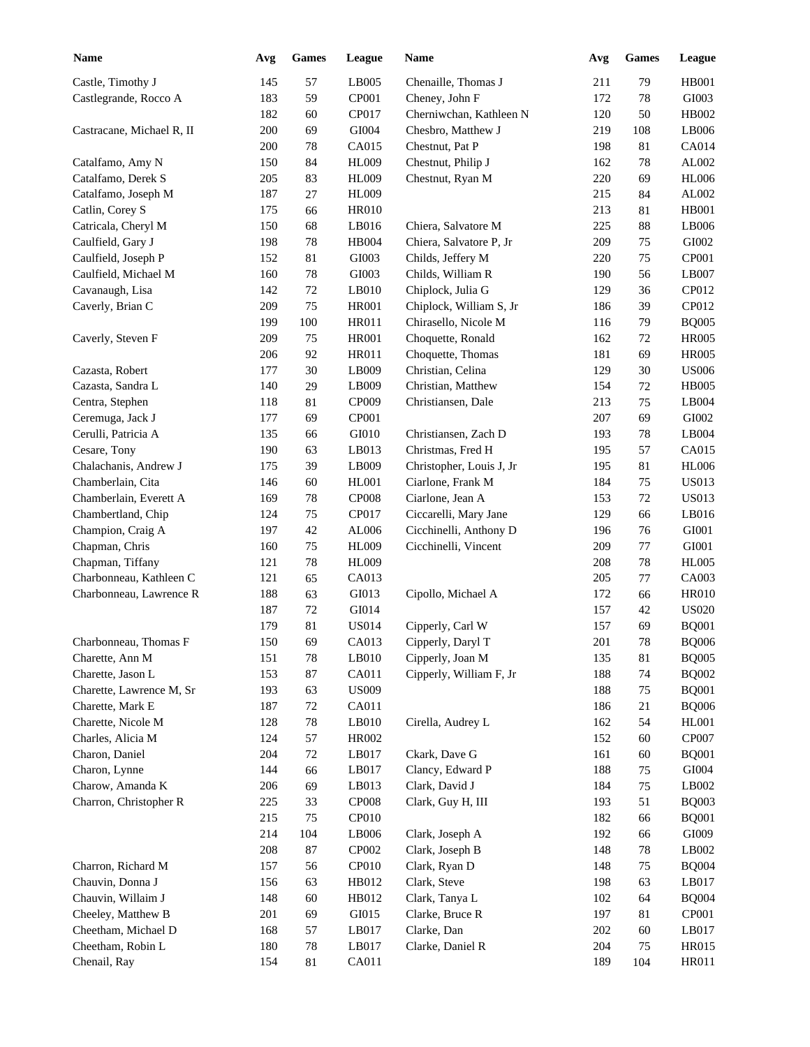| <b>Name</b>               | Avg | <b>Games</b> | League       | Name                     | Avg | <b>Games</b> | League                 |
|---------------------------|-----|--------------|--------------|--------------------------|-----|--------------|------------------------|
| Castle, Timothy J         | 145 | 57           | LB005        | Chenaille, Thomas J      | 211 | 79           | <b>HB001</b>           |
| Castlegrande, Rocco A     | 183 | 59           | CP001        | Cheney, John F           | 172 | 78           | GI003                  |
|                           | 182 | 60           | CP017        | Cherniwchan, Kathleen N  | 120 | 50           | HB002                  |
| Castracane, Michael R, II | 200 | 69           | GI004        | Chesbro, Matthew J       | 219 | 108          | LB006                  |
|                           | 200 | $78\,$       | CA015        | Chestnut, Pat P          | 198 | 81           | CA014                  |
| Catalfamo, Amy N          | 150 | 84           | <b>HL009</b> | Chestnut, Philip J       | 162 | 78           | AL002                  |
| Catalfamo, Derek S        | 205 | 83           | <b>HL009</b> | Chestnut, Ryan M         | 220 | 69           | <b>HL006</b>           |
| Catalfamo, Joseph M       | 187 | 27           | <b>HL009</b> |                          | 215 | 84           | AL002                  |
| Catlin, Corey S           | 175 | 66           | <b>HR010</b> |                          | 213 | 81           | <b>HB001</b>           |
| Catricala, Cheryl M       | 150 | 68           | LB016        | Chiera, Salvatore M      | 225 | 88           | LB006                  |
| Caulfield, Gary J         | 198 | $78\,$       | <b>HB004</b> | Chiera, Salvatore P, Jr  | 209 | 75           | GI002                  |
| Caulfield, Joseph P       | 152 | 81           | GI003        | Childs, Jeffery M        | 220 | 75           | CP001                  |
| Caulfield, Michael M      | 160 | $78\,$       | GI003        | Childs, William R        | 190 | 56           | LB007                  |
| Cavanaugh, Lisa           | 142 | 72           | LB010        | Chiplock, Julia G        | 129 | 36           | CP012                  |
| Caverly, Brian C          | 209 | 75           | <b>HR001</b> | Chiplock, William S, Jr  | 186 | 39           | CP012                  |
|                           | 199 | 100          | <b>HR011</b> | Chirasello, Nicole M     | 116 | 79           | <b>BQ005</b>           |
| Caverly, Steven F         | 209 | 75           | <b>HR001</b> | Choquette, Ronald        | 162 | 72           | <b>HR005</b>           |
|                           | 206 | 92           | <b>HR011</b> | Choquette, Thomas        | 181 | 69           | <b>HR005</b>           |
| Cazasta, Robert           | 177 | 30           | LB009        | Christian, Celina        | 129 | 30           | <b>US006</b>           |
| Cazasta, Sandra L         | 140 | 29           | LB009        | Christian, Matthew       | 154 | 72           | <b>HB005</b>           |
| Centra, Stephen           | 118 | 81           | CP009        | Christiansen, Dale       | 213 | 75           | LB004                  |
| Ceremuga, Jack J          | 177 | 69           | CP001        |                          | 207 | 69           | GI002                  |
| Cerulli, Patricia A       | 135 | 66           | GI010        | Christiansen, Zach D     | 193 | 78           | LB004                  |
| Cesare, Tony              | 190 | 63           | LB013        | Christmas, Fred H        | 195 | 57           | CA015                  |
| Chalachanis, Andrew J     | 175 | 39           | LB009        | Christopher, Louis J, Jr | 195 | 81           | <b>HL006</b>           |
| Chamberlain, Cita         | 146 | 60           | <b>HL001</b> | Ciarlone, Frank M        | 184 | 75           | <b>US013</b>           |
| Chamberlain, Everett A    | 169 | $78\,$       | CP008        | Ciarlone, Jean A         | 153 | 72           | <b>US013</b>           |
| Chambertland, Chip        | 124 | 75           | CP017        | Ciccarelli, Mary Jane    | 129 | 66           | LB016                  |
| Champion, Craig A         | 197 | $42\,$       | AL006        | Cicchinelli, Anthony D   | 196 | 76           | GI001                  |
| Chapman, Chris            | 160 | 75           | <b>HL009</b> | Cicchinelli, Vincent     | 209 | 77           | GI001                  |
| Chapman, Tiffany          | 121 | $78\,$       | <b>HL009</b> |                          | 208 | 78           | <b>HL005</b>           |
| Charbonneau, Kathleen C   | 121 | 65           | CA013        |                          | 205 | 77           | CA003                  |
| Charbonneau, Lawrence R   | 188 | 63           | GI013        | Cipollo, Michael A       | 172 | 66           | <b>HR010</b>           |
|                           | 187 | 72           | GI014        |                          | 157 | 42           | <b>US020</b>           |
|                           | 179 | 81           | <b>US014</b> | Cipperly, Carl W         | 157 | 69           | <b>BQ001</b>           |
| Charbonneau, Thomas F     | 150 | 69           | CA013        | Cipperly, Daryl T        | 201 | $78\,$       | <b>BQ006</b>           |
| Charette, Ann M           | 151 | 78           | LB010        | Cipperly, Joan M         | 135 | 81           | <b>BQ005</b>           |
| Charette, Jason L         | 153 | $87\,$       | CA011        | Cipperly, William F, Jr  | 188 | 74           | <b>BQ002</b>           |
| Charette, Lawrence M, Sr  | 193 | 63           | <b>US009</b> |                          | 188 | 75           | <b>BQ001</b>           |
| Charette, Mark E          | 187 | 72           | CA011        |                          | 186 | 21           | <b>BQ006</b>           |
| Charette, Nicole M        | 128 | $78\,$       | LB010        | Cirella, Audrey L        | 162 | 54           | <b>HL001</b>           |
| Charles, Alicia M         | 124 | 57           | HR002        |                          | 152 | 60           | CP007                  |
| Charon, Daniel            | 204 | 72           | LB017        | Ckark, Dave G            | 161 | 60           | <b>BQ001</b>           |
| Charon, Lynne             | 144 | 66           | LB017        | Clancy, Edward P         | 188 | 75           | GI004                  |
| Charow, Amanda K          | 206 | 69           | LB013        | Clark, David J           | 184 | 75           | $\operatorname{LB002}$ |
| Charron, Christopher R    | 225 | 33           | CP008        | Clark, Guy H, III        | 193 | 51           | <b>BQ003</b>           |
|                           | 215 | 75           | CP010        |                          | 182 | 66           | <b>BQ001</b>           |
|                           | 214 | 104          | LB006        | Clark, Joseph A          | 192 | 66           | GI009                  |
|                           | 208 | 87           | CP002        | Clark, Joseph B          | 148 | 78           | $\operatorname{LB002}$ |
| Charron, Richard M        | 157 | 56           | CP010        | Clark, Ryan D            | 148 | 75           | <b>BQ004</b>           |
| Chauvin, Donna J          | 156 | 63           | HB012        | Clark, Steve             | 198 | 63           | LB017                  |
| Chauvin, Willaim J        | 148 | 60           | HB012        | Clark, Tanya L           | 102 | 64           | <b>BQ004</b>           |
| Cheeley, Matthew B        | 201 | 69           | GI015        | Clarke, Bruce R          | 197 | 81           | CP001                  |
| Cheetham, Michael D       | 168 | 57           | LB017        | Clarke, Dan              | 202 | 60           | LB017                  |
| Cheetham, Robin L         | 180 | $78\,$       | LB017        | Clarke, Daniel R         | 204 | 75           | HR015                  |
| Chenail, Ray              | 154 | $81\,$       | CA011        |                          | 189 | 104          | HR011                  |
|                           |     |              |              |                          |     |              |                        |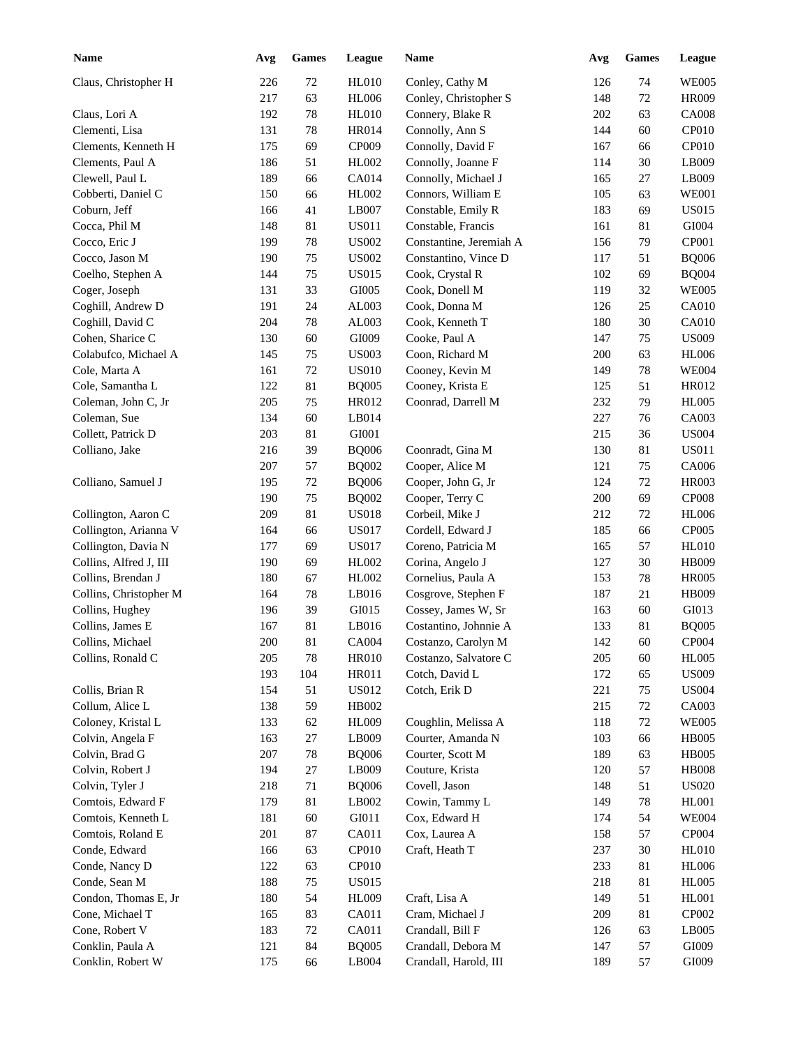| <b>Name</b>            | Avg     | <b>Games</b> | League       | <b>Name</b>             | Avg | <b>Games</b> | League                       |
|------------------------|---------|--------------|--------------|-------------------------|-----|--------------|------------------------------|
| Claus, Christopher H   | 226     | 72           | <b>HL010</b> | Conley, Cathy M         | 126 | 74           | <b>WE005</b>                 |
|                        | 217     | 63           | <b>HL006</b> | Conley, Christopher S   | 148 | 72           | <b>HR009</b>                 |
| Claus, Lori A          | 192     | 78           | <b>HL010</b> | Connery, Blake R        | 202 | 63           | <b>CA008</b>                 |
| Clementi, Lisa         | 131     | 78           | <b>HR014</b> | Connolly, Ann S         | 144 | 60           | CP010                        |
| Clements, Kenneth H    | 175     | 69           | CP009        | Connolly, David F       | 167 | 66           | CP010                        |
| Clements, Paul A       | 186     | 51           | HL002        | Connolly, Joanne F      | 114 | 30           | LB009                        |
| Clewell, Paul L        | 189     | 66           | <b>CA014</b> | Connolly, Michael J     | 165 | 27           | LB009                        |
| Cobberti, Daniel C     | 150     | 66           | HL002        | Connors, William E      | 105 | 63           | <b>WE001</b>                 |
| Coburn, Jeff           | 166     | 41           | LB007        | Constable, Emily R      | 183 | 69           | <b>US015</b>                 |
| Cocca, Phil M          | 148     | 81           | <b>US011</b> | Constable, Francis      | 161 | 81           | GI004                        |
| Cocco, Eric J          | 199     | 78           | <b>US002</b> | Constantine, Jeremiah A | 156 | 79           | CP001                        |
| Cocco, Jason M         | 190     | 75           | <b>US002</b> | Constantino, Vince D    | 117 | 51           | <b>BQ006</b>                 |
| Coelho, Stephen A      | 144     | 75           | <b>US015</b> | Cook, Crystal R         | 102 | 69           | <b>BQ004</b>                 |
| Coger, Joseph          | 131     | 33           | GI005        | Cook, Donell M          | 119 | 32           | <b>WE005</b>                 |
| Coghill, Andrew D      | 191     | 24           | AL003        | Cook, Donna M           | 126 | 25           | CA010                        |
| Coghill, David C       | 204     | 78           | AL003        | Cook, Kenneth T         | 180 | 30           | CA010                        |
| Cohen, Sharice C       | 130     | 60           | GI009        | Cooke, Paul A           | 147 | 75           | <b>US009</b>                 |
| Colabufco, Michael A   | 145     | 75           | <b>US003</b> | Coon, Richard M         | 200 | 63           | <b>HL006</b>                 |
| Cole, Marta A          | 161     | 72           | <b>US010</b> | Cooney, Kevin M         | 149 | 78           | <b>WE004</b>                 |
| Cole, Samantha L       | 122     | 81           | <b>BQ005</b> | Cooney, Krista E        | 125 | 51           | HR012                        |
| Coleman, John C, Jr    | 205     | 75           | HR012        | Coonrad, Darrell M      | 232 | 79           | <b>HL005</b>                 |
| Coleman, Sue           | 134     | 60           | LB014        |                         | 227 | 76           | CA003                        |
| Collett, Patrick D     | 203     | 81           | GI001        |                         | 215 | 36           | <b>US004</b>                 |
| Colliano, Jake         | 216     | 39           | <b>BQ006</b> | Coonradt, Gina M        | 130 | 81           | <b>US011</b>                 |
|                        | 207     | 57           | <b>BQ002</b> | Cooper, Alice M         | 121 | 75           | CA006                        |
| Colliano, Samuel J     | 195     | 72           | <b>BQ006</b> | Cooper, John G, Jr      | 124 | 72           | <b>HR003</b>                 |
|                        | 190     | 75           | <b>BQ002</b> | Cooper, Terry C         | 200 | 69           | <b>CP008</b>                 |
| Collington, Aaron C    | 209     | 81           | <b>US018</b> | Corbeil, Mike J         | 212 | 72           | <b>HL006</b>                 |
| Collington, Arianna V  | 164     |              | <b>US017</b> | Cordell, Edward J       | 185 | 66           | CP005                        |
|                        | 177     | 66           |              |                         |     |              |                              |
| Collington, Davia N    | 190     | 69           | <b>US017</b> | Coreno, Patricia M      | 165 | 57           | <b>HL010</b><br><b>HB009</b> |
| Collins, Alfred J, III | 180     | 69           | HL002        | Corina, Angelo J        | 127 | 30           |                              |
| Collins, Brendan J     |         | 67           | HL002        | Cornelius, Paula A      | 153 | 78           | <b>HR005</b>                 |
| Collins, Christopher M | 164     | 78           | LB016        | Cosgrove, Stephen F     | 187 | 21           | <b>HB009</b>                 |
| Collins, Hughey        | 196     | 39           | GI015        | Cossey, James W, Sr     | 163 | 60           | GI013                        |
| Collins, James E       | 167     | 81           | LB016        | Costantino, Johnnie A   | 133 | 81           | <b>BQ005</b>                 |
| Collins, Michael       | $200\,$ | $81\,$       | CA004        | Costanzo, Carolyn M     | 142 | 60           | CP004                        |
| Collins, Ronald C      | 205     | 78           | <b>HR010</b> | Costanzo, Salvatore C   | 205 | 60           | <b>HL005</b>                 |
|                        | 193     | 104          | HR011        | Cotch, David L          | 172 | 65           | <b>US009</b>                 |
| Collis, Brian R        | 154     | 51           | <b>US012</b> | Cotch, Erik D           | 221 | 75           | <b>US004</b>                 |
| Collum, Alice L        | 138     | 59           | HB002        |                         | 215 | 72           | CA003                        |
| Coloney, Kristal L     | 133     | 62           | <b>HL009</b> | Coughlin, Melissa A     | 118 | $72\,$       | <b>WE005</b>                 |
| Colvin, Angela F       | 163     | 27           | LB009        | Courter, Amanda N       | 103 | 66           | <b>HB005</b>                 |
| Colvin, Brad G         | 207     | 78           | <b>BQ006</b> | Courter, Scott M        | 189 | 63           | <b>HB005</b>                 |
| Colvin, Robert J       | 194     | 27           | LB009        | Couture, Krista         | 120 | 57           | <b>HB008</b>                 |
| Colvin, Tyler J        | 218     | 71           | <b>BQ006</b> | Covell, Jason           | 148 | 51           | <b>US020</b>                 |
| Comtois, Edward F      | 179     | 81           | LB002        | Cowin, Tammy L          | 149 | 78           | <b>HL001</b>                 |
| Comtois, Kenneth L     | 181     | 60           | GI011        | Cox, Edward H           | 174 | 54           | <b>WE004</b>                 |
| Comtois, Roland E      | 201     | 87           | CA011        | Cox, Laurea A           | 158 | 57           | CP004                        |
| Conde, Edward          | 166     | 63           | CP010        | Craft, Heath T          | 237 | $30\,$       | <b>HL010</b>                 |
| Conde, Nancy D         | 122     | 63           | CP010        |                         | 233 | 81           | <b>HL006</b>                 |
| Conde, Sean M          | 188     | 75           | <b>US015</b> |                         | 218 | 81           | HL005                        |
| Condon, Thomas E, Jr   | 180     | 54           | HL009        | Craft, Lisa A           | 149 | 51           | <b>HL001</b>                 |
| Cone, Michael T        | 165     | 83           | CA011        | Cram, Michael J         | 209 | 81           | CP002                        |
| Cone, Robert V         | 183     | 72           | CA011        | Crandall, Bill F        | 126 | 63           | LB005                        |
| Conklin, Paula A       | 121     | $84\,$       | <b>BQ005</b> | Crandall, Debora M      | 147 | 57           | GI009                        |
| Conklin, Robert W      | 175     | 66           | LB004        | Crandall, Harold, III   | 189 | 57           | GI009                        |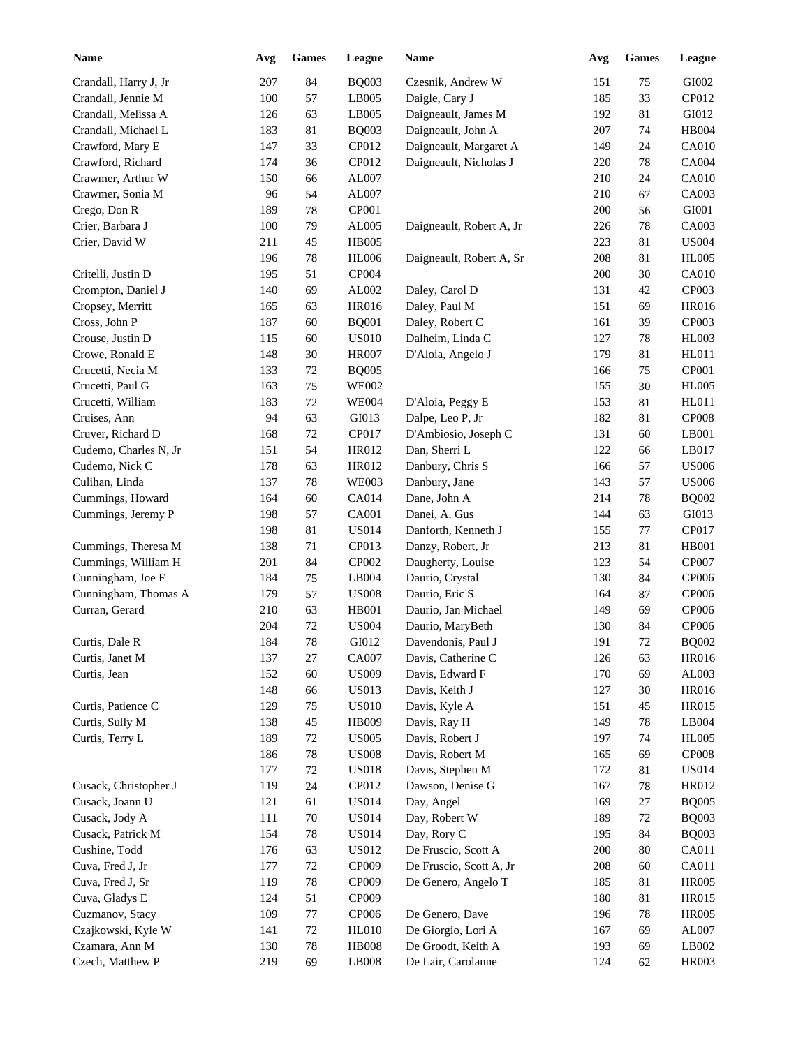| <b>Name</b>           | Avg | <b>Games</b> | <b>League</b>         | <b>Name</b>              | Avg | <b>Games</b> | League       |
|-----------------------|-----|--------------|-----------------------|--------------------------|-----|--------------|--------------|
| Crandall, Harry J, Jr | 207 | 84           | <b>BQ003</b>          | Czesnik, Andrew W        | 151 | 75           | GI002        |
| Crandall, Jennie M    | 100 | 57           | LB005                 | Daigle, Cary J           | 185 | 33           | CP012        |
| Crandall, Melissa A   | 126 | 63           | LB005                 | Daigneault, James M      | 192 | 81           | GI012        |
| Crandall, Michael L   | 183 | 81           | <b>BQ003</b>          | Daigneault, John A       | 207 | 74           | <b>HB004</b> |
| Crawford, Mary E      | 147 | 33           | CP012                 | Daigneault, Margaret A   | 149 | 24           | <b>CA010</b> |
| Crawford, Richard     | 174 | 36           | CP012                 | Daigneault, Nicholas J   | 220 | 78           | CA004        |
| Crawmer, Arthur W     | 150 | 66           | AL007                 |                          | 210 | 24           | <b>CA010</b> |
| Crawmer, Sonia M      | 96  | 54           | AL007                 |                          | 210 | 67           | CA003        |
| Crego, Don R          | 189 | 78           | CP001                 |                          | 200 | 56           | GI001        |
| Crier, Barbara J      | 100 | 79           | AL005                 | Daigneault, Robert A, Jr | 226 | 78           | CA003        |
| Crier, David W        | 211 | 45           | <b>HB005</b>          |                          | 223 | 81           | <b>US004</b> |
|                       | 196 | 78           | <b>HL006</b>          | Daigneault, Robert A, Sr | 208 | 81           | <b>HL005</b> |
| Critelli, Justin D    | 195 | 51           | CP004                 |                          | 200 | 30           | <b>CA010</b> |
| Crompton, Daniel J    | 140 | 69           | AL002                 | Daley, Carol D           | 131 | 42           | CP003        |
| Cropsey, Merritt      | 165 | 63           | <b>HR016</b>          | Daley, Paul M            | 151 | 69           | <b>HR016</b> |
| Cross, John P         | 187 | 60           | <b>BQ001</b>          | Daley, Robert C          | 161 | 39           | CP003        |
| Crouse, Justin D      | 115 | 60           | <b>US010</b>          | Dalheim, Linda C         | 127 | 78           | <b>HL003</b> |
| Crowe, Ronald E       | 148 | 30           | <b>HR007</b>          | D'Aloia, Angelo J        | 179 | 81           | HL011        |
| Crucetti, Necia M     | 133 | 72           | <b>BQ005</b>          |                          | 166 | 75           | CP001        |
| Crucetti, Paul G      | 163 | 75           | <b>WE002</b>          |                          | 155 | 30           | <b>HL005</b> |
| Crucetti, William     | 183 | 72           | <b>WE004</b>          | D'Aloia, Peggy E         | 153 | 81           | HL011        |
| Cruises, Ann          | 94  | 63           | GI013                 | Dalpe, Leo P, Jr         | 182 | 81           | <b>CP008</b> |
| Cruver, Richard D     | 168 | 72           | CP017                 | D'Ambiosio, Joseph C     | 131 | 60           | LB001        |
| Cudemo, Charles N, Jr | 151 | 54           | HR012                 | Dan, Sherri L            | 122 | 66           | LB017        |
| Cudemo, Nick C        | 178 | 63           | HR012                 | Danbury, Chris S         | 166 | 57           | <b>US006</b> |
| Culihan, Linda        | 137 | $78\,$       | <b>WE003</b>          | Danbury, Jane            | 143 | 57           | <b>US006</b> |
|                       | 164 |              |                       | Dane, John A             |     |              |              |
| Cummings, Howard      | 198 | 60<br>57     | CA014<br><b>CA001</b> |                          | 214 | 78           | <b>BQ002</b> |
| Cummings, Jeremy P    |     |              |                       | Danei, A. Gus            | 144 | 63           | GI013        |
|                       | 198 | 81           | <b>US014</b>          | Danforth, Kenneth J      | 155 | $77\,$       | CP017        |
| Cummings, Theresa M   | 138 | 71           | CP013                 | Danzy, Robert, Jr        | 213 | $81\,$       | <b>HB001</b> |
| Cummings, William H   | 201 | 84           | CP002                 | Daugherty, Louise        | 123 | 54           | <b>CP007</b> |
| Cunningham, Joe F     | 184 | 75           | LB004                 | Daurio, Crystal          | 130 | 84           | CP006        |
| Cunningham, Thomas A  | 179 | 57           | <b>US008</b>          | Daurio, Eric S           | 164 | 87           | CP006        |
| Curran, Gerard        | 210 | 63           | <b>HB001</b>          | Daurio, Jan Michael      | 149 | 69           | CP006        |
|                       | 204 | 72           | <b>US004</b>          | Daurio, MaryBeth         | 130 | 84           | CP006        |
| Curtis, Dale R        | 184 | $78\,$       | ${\rm G}I012$         | Davendonis, Paul J       | 191 | $72\,$       | <b>BQ002</b> |
| Curtis, Janet M       | 137 | 27           | CA007                 | Davis, Catherine C       | 126 | 63           | HR016        |
| Curtis, Jean          | 152 | 60           | <b>US009</b>          | Davis, Edward F          | 170 | 69           | AL003        |
|                       | 148 | 66           | <b>US013</b>          | Davis, Keith J           | 127 | 30           | <b>HR016</b> |
| Curtis, Patience C    | 129 | 75           | <b>US010</b>          | Davis, Kyle A            | 151 | 45           | HR015        |
| Curtis, Sully M       | 138 | $45\,$       | HB009                 | Davis, Ray H             | 149 | $78\,$       | LB004        |
| Curtis, Terry L       | 189 | $72\,$       | <b>US005</b>          | Davis, Robert J          | 197 | 74           | <b>HL005</b> |
|                       | 186 | $78\,$       | <b>US008</b>          | Davis, Robert M          | 165 | 69           | CP008        |
|                       | 177 | $72\,$       | <b>US018</b>          | Davis, Stephen M         | 172 | 81           | <b>US014</b> |
| Cusack, Christopher J | 119 | 24           | CP012                 | Dawson, Denise G         | 167 | 78           | HR012        |
| Cusack, Joann U       | 121 | 61           | <b>US014</b>          | Day, Angel               | 169 | 27           | <b>BQ005</b> |
| Cusack, Jody A        | 111 | $70\,$       | <b>US014</b>          | Day, Robert W            | 189 | $72\,$       | <b>BQ003</b> |
| Cusack, Patrick M     | 154 | $78\,$       | <b>US014</b>          | Day, Rory C              | 195 | 84           | <b>BQ003</b> |
| Cushine, Todd         | 176 | 63           | <b>US012</b>          | De Fruscio, Scott A      | 200 | 80           | CA011        |
| Cuva, Fred J, Jr      | 177 | $72\,$       | CP009                 | De Fruscio, Scott A, Jr  | 208 | 60           | CA011        |
| Cuva, Fred J, Sr      | 119 | $78\,$       | CP009                 | De Genero, Angelo T      | 185 | 81           | <b>HR005</b> |
| Cuva, Gladys E        | 124 | 51           | CP009                 |                          | 180 | 81           | HR015        |
| Cuzmanov, Stacy       | 109 | $77\,$       | CP006                 | De Genero, Dave          | 196 | 78           | <b>HR005</b> |
| Czajkowski, Kyle W    | 141 | $72\,$       | <b>HL010</b>          | De Giorgio, Lori A       | 167 | 69           | AL007        |
| Czamara, Ann M        | 130 | $78\,$       | <b>HB008</b>          | De Groodt, Keith A       | 193 | 69           | LB002        |
| Czech, Matthew P      | 219 | 69           | LB008                 | De Lair, Carolanne       | 124 | 62           | <b>HR003</b> |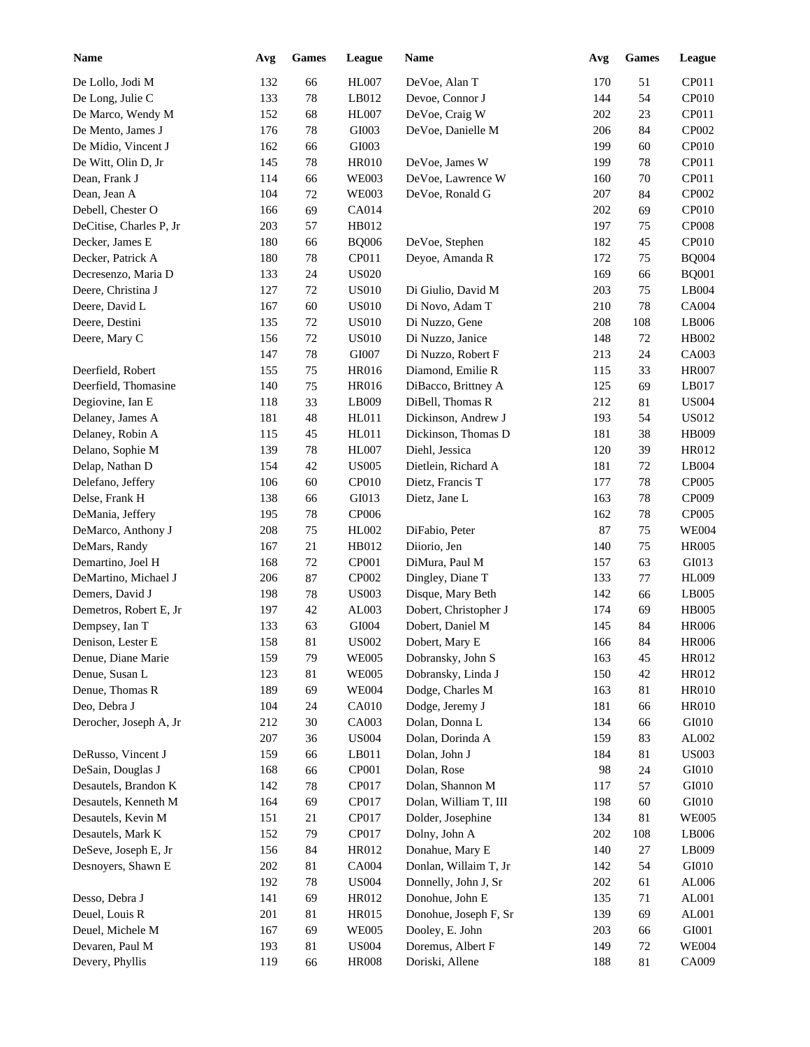| <b>Name</b>             | Avg | <b>Games</b> | League       | Name                  | Avg | Games | League        |
|-------------------------|-----|--------------|--------------|-----------------------|-----|-------|---------------|
| De Lollo, Jodi M        | 132 | 66           | <b>HL007</b> | DeVoe, Alan T         | 170 | 51    | CP011         |
| De Long, Julie C        | 133 | 78           | LB012        | Devoe, Connor J       | 144 | 54    | CP010         |
| De Marco, Wendy M       | 152 | 68           | <b>HL007</b> | DeVoe, Craig W        | 202 | 23    | CP011         |
| De Mento, James J       | 176 | 78           | GI003        | DeVoe, Danielle M     | 206 | 84    | CP002         |
| De Midio, Vincent J     | 162 | 66           | GI003        |                       | 199 | 60    | CP010         |
| De Witt, Olin D, Jr     | 145 | 78           | <b>HR010</b> | DeVoe, James W        | 199 | 78    | CP011         |
| Dean, Frank J           | 114 | 66           | <b>WE003</b> | DeVoe, Lawrence W     | 160 | 70    | CP011         |
| Dean, Jean A            | 104 | 72           | <b>WE003</b> | DeVoe, Ronald G       | 207 | 84    | CP002         |
| Debell, Chester O       | 166 | 69           | <b>CA014</b> |                       | 202 | 69    | CP010         |
| DeCitise, Charles P, Jr | 203 | 57           | HB012        |                       | 197 | 75    | <b>CP008</b>  |
| Decker, James E         | 180 | 66           | <b>BQ006</b> | DeVoe, Stephen        | 182 | 45    | CP010         |
| Decker, Patrick A       | 180 | 78           | CP011        | Deyoe, Amanda R       | 172 | 75    | <b>BQ004</b>  |
| Decresenzo, Maria D     | 133 | 24           | <b>US020</b> |                       | 169 | 66    | <b>BQ001</b>  |
| Deere, Christina J      | 127 | 72           | <b>US010</b> | Di Giulio, David M    | 203 | 75    | LB004         |
| Deere, David L          | 167 | 60           | <b>US010</b> | Di Novo, Adam T       | 210 | 78    | <b>CA004</b>  |
| Deere, Destini          | 135 | 72           | <b>US010</b> | Di Nuzzo, Gene        | 208 | 108   | LB006         |
| Deere, Mary C           | 156 | 72           | <b>US010</b> | Di Nuzzo, Janice      | 148 | 72    | HB002         |
|                         | 147 | 78           | GI007        | Di Nuzzo, Robert F    | 213 | 24    | CA003         |
| Deerfield, Robert       | 155 | 75           | <b>HR016</b> | Diamond, Emilie R     | 115 | 33    | <b>HR007</b>  |
| Deerfield, Thomasine    | 140 | 75           | <b>HR016</b> | DiBacco, Brittney A   | 125 | 69    | LB017         |
| Degiovine, Ian E        | 118 | 33           | LB009        | DiBell, Thomas R      | 212 | 81    | <b>US004</b>  |
| Delaney, James A        | 181 | 48           | HL011        | Dickinson, Andrew J   | 193 | 54    | <b>US012</b>  |
| Delaney, Robin A        | 115 | 45           | HL011        | Dickinson, Thomas D   | 181 | 38    | <b>HB009</b>  |
| Delano, Sophie M        | 139 | 78           | HL007        | Diehl, Jessica        | 120 | 39    | HR012         |
| Delap, Nathan D         | 154 | 42           | <b>US005</b> | Dietlein, Richard A   | 181 | 72    | LB004         |
| Delefano, Jeffery       | 106 | 60           | CP010        | Dietz, Francis T      | 177 | 78    | CP005         |
| Delse, Frank H          | 138 | 66           | GI013        | Dietz, Jane L         | 163 | 78    | CP009         |
| DeMania, Jeffery        | 195 | 78           | CP006        |                       | 162 | 78    | CP005         |
| DeMarco, Anthony J      | 208 | 75           | HL002        | DiFabio, Peter        | 87  | 75    | <b>WE004</b>  |
| DeMars, Randy           | 167 | 21           | HB012        | Diiorio, Jen          | 140 | 75    | <b>HR005</b>  |
| Demartino, Joel H       | 168 | 72           | CP001        | DiMura, Paul M        | 157 | 63    | GI013         |
| DeMartino, Michael J    | 206 | 87           | CP002        | Dingley, Diane T      | 133 | 77    | <b>HL009</b>  |
| Demers, David J         | 198 | 78           | <b>US003</b> | Disque, Mary Beth     | 142 | 66    | LB005         |
| Demetros, Robert E, Jr  | 197 | 42           | AL003        | Dobert, Christopher J | 174 | 69    | <b>HB005</b>  |
| Dempsey, Ian T          | 133 | 63           | GI004        | Dobert, Daniel M      | 145 | 84    | <b>HR006</b>  |
| Denison, Lester E       | 158 | $81\,$       | <b>US002</b> | Dobert, Mary E        | 166 | 84    | <b>HR006</b>  |
| Denue, Diane Marie      | 159 | 79           | <b>WE005</b> | Dobransky, John S     | 163 | 45    | HR012         |
| Denue, Susan L          | 123 | 81           | <b>WE005</b> | Dobransky, Linda J    | 150 | 42    | HR012         |
| Denue, Thomas R         | 189 | 69           | <b>WE004</b> | Dodge, Charles M      | 163 | 81    | <b>HR010</b>  |
| Deo, Debra J            | 104 | 24           | CA010        | Dodge, Jeremy J       | 181 | 66    | <b>HR010</b>  |
| Derocher, Joseph A, Jr  | 212 | $30\,$       | CA003        | Dolan, Donna L        | 134 | 66    | GI010         |
|                         | 207 | 36           | <b>US004</b> | Dolan, Dorinda A      | 159 | 83    | AL002         |
| DeRusso, Vincent J      | 159 | 66           | LB011        | Dolan, John J         | 184 | 81    | <b>US003</b>  |
| DeSain, Douglas J       | 168 | 66           | CP001        | Dolan, Rose           | 98  | 24    | GI010         |
| Desautels, Brandon K    | 142 | 78           | CP017        | Dolan, Shannon M      | 117 | 57    | GI010         |
| Desautels, Kenneth M    | 164 | 69           | CP017        | Dolan, William T, III | 198 | 60    | ${\rm G}I010$ |
| Desautels, Kevin M      | 151 | 21           | CP017        | Dolder, Josephine     | 134 | 81    | <b>WE005</b>  |
| Desautels, Mark K       | 152 | 79           | CP017        | Dolny, John A         | 202 | 108   | LB006         |
| DeSeve, Joseph E, Jr    | 156 | $84\,$       | HR012        | Donahue, Mary E       | 140 | 27    | LB009         |
| Desnoyers, Shawn E      | 202 | 81           | CA004        | Donlan, Willaim T, Jr | 142 | 54    | GI010         |
|                         | 192 | 78           | <b>US004</b> | Donnelly, John J, Sr  | 202 |       | AL006         |
|                         |     |              |              |                       |     | 61    | AL001         |
| Desso, Debra J          | 141 | 69           | HR012        | Donohue, John E       | 135 | 71    | AL001         |
| Deuel, Louis R          | 201 | 81           | HR015        | Donohue, Joseph F, Sr | 139 | 69    |               |
| Deuel, Michele M        | 167 | 69           | <b>WE005</b> | Dooley, E. John       | 203 | 66    | GI001         |
| Devaren, Paul M         | 193 | 81           | <b>US004</b> | Doremus, Albert F     | 149 | 72    | <b>WE004</b>  |
| Devery, Phyllis         | 119 | 66           | <b>HR008</b> | Doriski, Allene       | 188 | 81    | CA009         |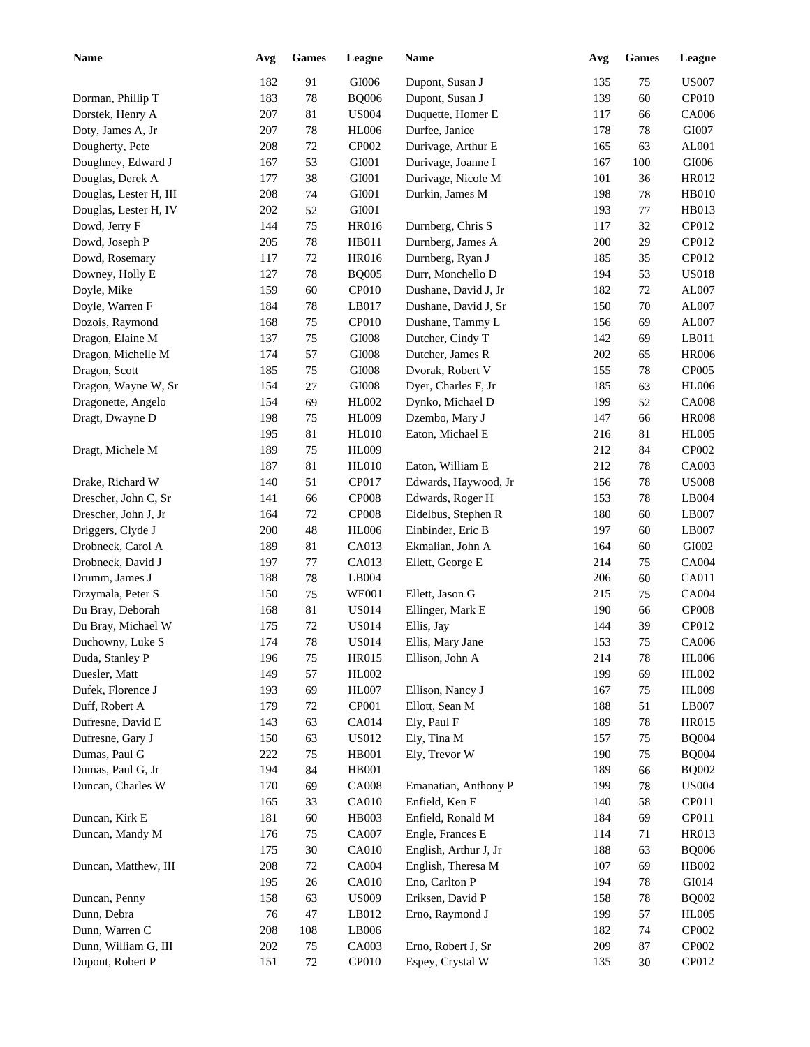| <b>Name</b>            | Avg | Games  | League       | Name                  | Avg | <b>Games</b> | League       |
|------------------------|-----|--------|--------------|-----------------------|-----|--------------|--------------|
|                        | 182 | 91     | GI006        | Dupont, Susan J       | 135 | 75           | <b>US007</b> |
| Dorman, Phillip T      | 183 | 78     | <b>BQ006</b> | Dupont, Susan J       | 139 | 60           | CP010        |
| Dorstek, Henry A       | 207 | 81     | <b>US004</b> | Duquette, Homer E     | 117 | 66           | CA006        |
| Doty, James A, Jr      | 207 | 78     | <b>HL006</b> | Durfee, Janice        | 178 | 78           | GI007        |
| Dougherty, Pete        | 208 | 72     | CP002        | Durivage, Arthur E    | 165 | 63           | AL001        |
| Doughney, Edward J     | 167 | 53     | GI001        | Durivage, Joanne I    | 167 | 100          | GI006        |
| Douglas, Derek A       | 177 | 38     | GI001        | Durivage, Nicole M    | 101 | 36           | HR012        |
| Douglas, Lester H, III | 208 | 74     | GI001        | Durkin, James M       | 198 | 78           | <b>HB010</b> |
| Douglas, Lester H, IV  | 202 | 52     | GI001        |                       | 193 | $77\,$       | HB013        |
| Dowd, Jerry F          | 144 | 75     | <b>HR016</b> | Durnberg, Chris S     | 117 | 32           | CP012        |
| Dowd, Joseph P         | 205 | $78\,$ | HB011        | Durnberg, James A     | 200 | 29           | CP012        |
| Dowd, Rosemary         | 117 | 72     | <b>HR016</b> | Durnberg, Ryan J      | 185 | 35           | CP012        |
| Downey, Holly E        | 127 | $78\,$ | <b>BQ005</b> | Durr, Monchello D     | 194 | 53           | <b>US018</b> |
| Doyle, Mike            | 159 | 60     | <b>CP010</b> | Dushane, David J, Jr  | 182 | 72           | AL007        |
| Doyle, Warren F        | 184 | 78     | LB017        | Dushane, David J, Sr  | 150 | 70           | AL007        |
| Dozois, Raymond        | 168 | $75\,$ | CP010        | Dushane, Tammy L      | 156 | 69           | AL007        |
| Dragon, Elaine M       | 137 | $75\,$ | GI008        | Dutcher, Cindy T      | 142 | 69           | LB011        |
| Dragon, Michelle M     | 174 | 57     | GI008        | Dutcher, James R      | 202 | 65           | <b>HR006</b> |
| Dragon, Scott          |     |        | GI008        |                       | 155 |              | CP005        |
|                        | 185 | $75\,$ |              | Dvorak, Robert V      |     | 78           |              |
| Dragon, Wayne W, Sr    | 154 | $27\,$ | GI008        | Dyer, Charles F, Jr   | 185 | 63           | <b>HL006</b> |
| Dragonette, Angelo     | 154 | 69     | HL002        | Dynko, Michael D      | 199 | 52           | <b>CA008</b> |
| Dragt, Dwayne D        | 198 | 75     | <b>HL009</b> | Dzembo, Mary J        | 147 | 66           | <b>HR008</b> |
|                        | 195 | 81     | <b>HL010</b> | Eaton, Michael E      | 216 | 81           | <b>HL005</b> |
| Dragt, Michele M       | 189 | 75     | <b>HL009</b> |                       | 212 | 84           | CP002        |
|                        | 187 | 81     | <b>HL010</b> | Eaton, William E      | 212 | 78           | CA003        |
| Drake, Richard W       | 140 | 51     | CP017        | Edwards, Haywood, Jr  | 156 | 78           | <b>US008</b> |
| Drescher, John C, Sr   | 141 | 66     | <b>CP008</b> | Edwards, Roger H      | 153 | 78           | LB004        |
| Drescher, John J, Jr   | 164 | $72\,$ | <b>CP008</b> | Eidelbus, Stephen R   | 180 | 60           | LB007        |
| Driggers, Clyde J      | 200 | 48     | <b>HL006</b> | Einbinder, Eric B     | 197 | 60           | LB007        |
| Drobneck, Carol A      | 189 | 81     | CA013        | Ekmalian, John A      | 164 | 60           | GI002        |
| Drobneck, David J      | 197 | 77     | CA013        | Ellett, George E      | 214 | 75           | CA004        |
| Drumm, James J         | 188 | 78     | LB004        |                       | 206 | 60           | CA011        |
| Drzymala, Peter S      | 150 | 75     | <b>WE001</b> | Ellett, Jason G       | 215 | 75           | <b>CA004</b> |
| Du Bray, Deborah       | 168 | 81     | <b>US014</b> | Ellinger, Mark E      | 190 | 66           | <b>CP008</b> |
| Du Bray, Michael W     | 175 | 72     | <b>US014</b> | Ellis, Jay            | 144 | 39           | CP012        |
| Duchowny, Luke S       | 174 | $78\,$ | <b>US014</b> | Ellis, Mary Jane      | 153 | 75           | CA006        |
| Duda, Stanley P        | 196 | 75     | HR015        | Ellison, John A       | 214 | 78           | <b>HL006</b> |
| Duesler, Matt          | 149 | 57     | HL002        |                       | 199 | 69           | HL002        |
| Dufek, Florence J      | 193 | 69     | <b>HL007</b> | Ellison, Nancy J      | 167 | 75           | HL009        |
| Duff, Robert A         | 179 | 72     | CP001        | Ellott, Sean M        | 188 | 51           | LB007        |
| Dufresne, David E      | 143 | 63     | CA014        | Ely, Paul F           | 189 | 78           | HR015        |
| Dufresne, Gary J       | 150 | 63     | <b>US012</b> | Ely, Tina M           | 157 | 75           | <b>BQ004</b> |
| Dumas, Paul G          | 222 | 75     | HB001        | Ely, Trevor W         | 190 | 75           | <b>BQ004</b> |
| Dumas, Paul G, Jr      | 194 | 84     | HB001        |                       | 189 | 66           | <b>BQ002</b> |
| Duncan, Charles W      | 170 | 69     | <b>CA008</b> | Emanatian, Anthony P  | 199 | 78           | <b>US004</b> |
|                        | 165 | 33     | CA010        | Enfield, Ken F        | 140 | 58           | CP011        |
| Duncan, Kirk E         | 181 | 60     | HB003        | Enfield, Ronald M     | 184 | 69           | CP011        |
| Duncan, Mandy M        | 176 | 75     | CA007        | Engle, Frances E      | 114 | 71           | HR013        |
|                        | 175 | $30\,$ | CA010        | English, Arthur J, Jr | 188 | 63           | <b>BQ006</b> |
| Duncan, Matthew, III   | 208 | 72     | CA004        | English, Theresa M    | 107 | 69           | HB002        |
|                        | 195 | 26     | CA010        | Eno, Carlton P        |     | 78           | GI014        |
|                        |     |        |              |                       | 194 |              |              |
| Duncan, Penny          | 158 | 63     | <b>US009</b> | Eriksen, David P      | 158 | 78           | <b>BQ002</b> |
| Dunn, Debra            | 76  | 47     | LB012        | Erno, Raymond J       | 199 | 57           | <b>HL005</b> |
| Dunn, Warren C         | 208 | 108    | LB006        |                       | 182 | 74           | CP002        |
| Dunn, William G, III   | 202 | 75     | CA003        | Erno, Robert J, Sr    | 209 | 87           | CP002        |
| Dupont, Robert P       | 151 | 72     | CP010        | Espey, Crystal W      | 135 | 30           | CP012        |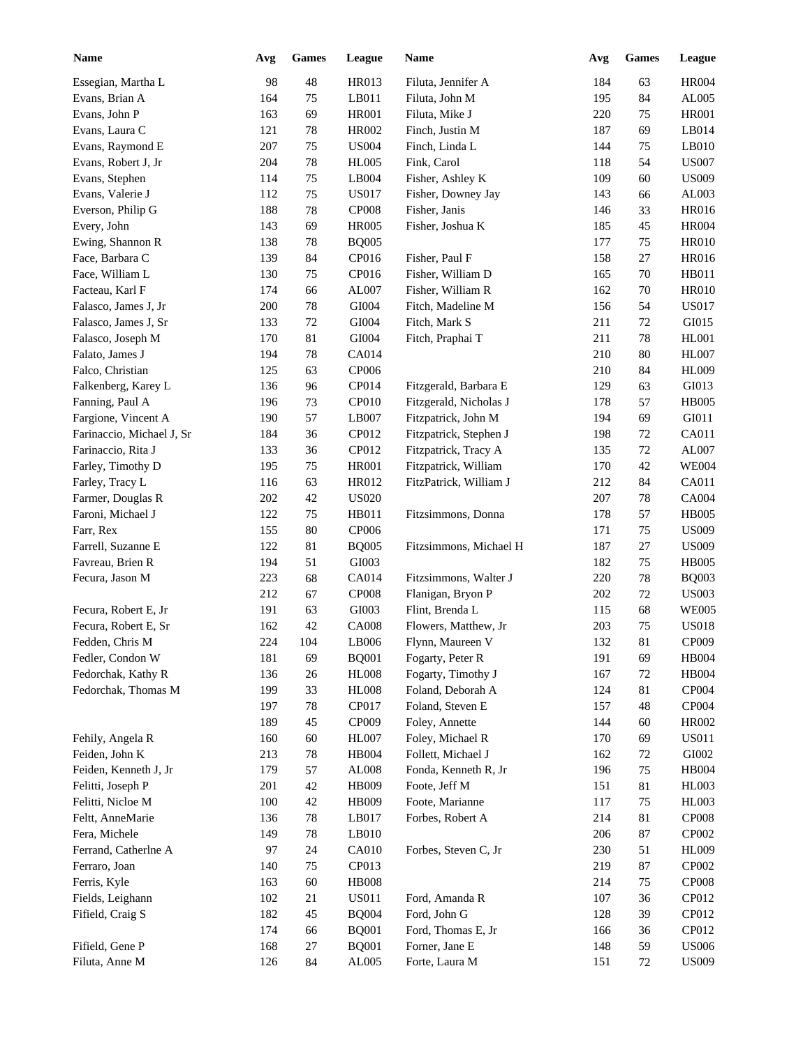| <b>Name</b>               | Avg | <b>Games</b> | League        | Name                   | Avg | <b>Games</b> | League       |
|---------------------------|-----|--------------|---------------|------------------------|-----|--------------|--------------|
| Essegian, Martha L        | 98  | $\sqrt{48}$  | HR013         | Filuta, Jennifer A     | 184 | 63           | <b>HR004</b> |
| Evans, Brian A            | 164 | 75           | LB011         | Filuta, John M         | 195 | 84           | AL005        |
| Evans, John P             | 163 | 69           | <b>HR001</b>  | Filuta, Mike J         | 220 | 75           | <b>HR001</b> |
| Evans, Laura C            | 121 | $78\,$       | HR002         | Finch, Justin M        | 187 | 69           | LB014        |
| Evans, Raymond E          | 207 | $75\,$       | <b>US004</b>  | Finch, Linda L         | 144 | 75           | LB010        |
| Evans, Robert J, Jr       | 204 | $78\,$       | <b>HL005</b>  | Fink, Carol            | 118 | 54           | <b>US007</b> |
| Evans, Stephen            | 114 | 75           | LB004         | Fisher, Ashley K       | 109 | 60           | <b>US009</b> |
| Evans, Valerie J          | 112 | 75           | <b>US017</b>  | Fisher, Downey Jay     | 143 | 66           | AL003        |
| Everson, Philip G         | 188 | 78           | <b>CP008</b>  | Fisher, Janis          | 146 | 33           | HR016        |
|                           |     |              |               |                        |     |              |              |
| Every, John               | 143 | 69           | <b>HR005</b>  | Fisher, Joshua K       | 185 | 45           | <b>HR004</b> |
| Ewing, Shannon R          | 138 | 78           | <b>BQ005</b>  |                        | 177 | 75           | <b>HR010</b> |
| Face, Barbara C           | 139 | 84           | CP016         | Fisher, Paul F         | 158 | 27           | HR016        |
| Face, William L           | 130 | 75           | CP016         | Fisher, William D      | 165 | 70           | HB011        |
| Facteau, Karl F           | 174 | 66           | AL007         | Fisher, William R      | 162 | 70           | <b>HR010</b> |
| Falasco, James J, Jr      | 200 | 78           | GI004         | Fitch, Madeline M      | 156 | 54           | <b>US017</b> |
| Falasco, James J, Sr      | 133 | 72           | GI004         | Fitch, Mark S          | 211 | 72           | GI015        |
| Falasco, Joseph M         | 170 | 81           | GI004         | Fitch, Praphai T       | 211 | 78           | <b>HL001</b> |
| Falato, James J           | 194 | 78           | CA014         |                        | 210 | 80           | <b>HL007</b> |
| Falco, Christian          | 125 | 63           | CP006         |                        | 210 | 84           | <b>HL009</b> |
| Falkenberg, Karey L       | 136 | 96           | CP014         | Fitzgerald, Barbara E  | 129 | 63           | GI013        |
| Fanning, Paul A           | 196 | 73           | CP010         | Fitzgerald, Nicholas J | 178 | 57           | <b>HB005</b> |
| Fargione, Vincent A       | 190 | 57           | LB007         | Fitzpatrick, John M    | 194 | 69           | GI011        |
| Farinaccio, Michael J, Sr | 184 | 36           | CP012         | Fitzpatrick, Stephen J | 198 | 72           | CA011        |
| Farinaccio, Rita J        | 133 | 36           | CP012         | Fitzpatrick, Tracy A   | 135 | 72           | AL007        |
| Farley, Timothy D         | 195 | 75           | <b>HR001</b>  | Fitzpatrick, William   | 170 | 42           | <b>WE004</b> |
| Farley, Tracy L           | 116 | 63           | HR012         | FitzPatrick, William J | 212 | 84           | CA011        |
| Farmer, Douglas R         | 202 | 42           | <b>US020</b>  |                        | 207 | 78           | CA004        |
| Faroni, Michael J         | 122 | 75           | HB011         | Fitzsimmons, Donna     | 178 | 57           | <b>HB005</b> |
| Farr, Rex                 | 155 |              | <b>CP006</b>  |                        | 171 | 75           | <b>US009</b> |
|                           |     | 80           |               |                        |     |              |              |
| Farrell, Suzanne E        | 122 | 81           | <b>BQ005</b>  | Fitzsimmons, Michael H | 187 | 27           | <b>US009</b> |
| Favreau, Brien R          | 194 | 51           | GI003         |                        | 182 | 75           | <b>HB005</b> |
| Fecura, Jason M           | 223 | 68           | CA014         | Fitzsimmons, Walter J  | 220 | 78           | <b>BQ003</b> |
|                           | 212 | 67           | <b>CP008</b>  | Flanigan, Bryon P      | 202 | 72           | <b>US003</b> |
| Fecura, Robert E, Jr      | 191 | 63           | GI003         | Flint, Brenda L        | 115 | 68           | <b>WE005</b> |
| Fecura, Robert E, Sr      | 162 | 42           | <b>CA008</b>  | Flowers, Matthew, Jr   | 203 | 75           | <b>US018</b> |
| Fedden, Chris M           | 224 | 104          | LB006         | Flynn, Maureen V       | 132 | 81           | CP009        |
| Fedler, Condon W          | 181 | 69           | <b>BQ001</b>  | Fogarty, Peter R       | 191 | 69           | <b>HB004</b> |
| Fedorchak, Kathy R        | 136 | 26           | <b>HL008</b>  | Fogarty, Timothy J     | 167 | 72           | <b>HB004</b> |
| Fedorchak, Thomas M       | 199 | 33           | <b>HL008</b>  | Foland, Deborah A      | 124 | 81           | CP004        |
|                           | 197 | 78           | CP017         | Foland, Steven E       | 157 | 48           | <b>CP004</b> |
|                           | 189 | 45           | CP009         | Foley, Annette         | 144 | 60           | <b>HR002</b> |
| Fehily, Angela R          | 160 | 60           | <b>HL007</b>  | Foley, Michael R       | 170 | 69           | <b>US011</b> |
| Feiden, John K            | 213 | 78           | HB004         | Follett, Michael J     | 162 | 72           | GI002        |
| Feiden, Kenneth J, Jr     | 179 | 57           | ${\rm AL008}$ | Fonda, Kenneth R, Jr   | 196 | 75           | HB004        |
| Felitti, Joseph P         | 201 | 42           | HB009         | Foote, Jeff M          | 151 | 81           | <b>HL003</b> |
| Felitti, Nicloe M         | 100 | $42\,$       | HB009         | Foote, Marianne        | 117 | 75           | <b>HL003</b> |
| Feltt, AnneMarie          | 136 | 78           | LB017         | Forbes, Robert A       | 214 | 81           | <b>CP008</b> |
| Fera, Michele             | 149 | 78           | LB010         |                        | 206 | 87           | CP002        |
| Ferrand, Catherlne A      | 97  | 24           | CA010         | Forbes, Steven C, Jr   | 230 | 51           | <b>HL009</b> |
| Ferraro, Joan             | 140 | 75           | CP013         |                        | 219 | 87           | CP002        |
| Ferris, Kyle              | 163 | 60           | <b>HB008</b>  |                        | 214 | $75\,$       | <b>CP008</b> |
| Fields, Leighann          | 102 | 21           | <b>US011</b>  | Ford, Amanda R         | 107 | 36           | CP012        |
|                           |     |              |               | Ford, John G           |     |              | CP012        |
| Fifield, Craig S          | 182 | 45           | <b>BQ004</b>  |                        | 128 | 39           |              |
|                           | 174 | 66           | <b>BQ001</b>  | Ford, Thomas E, Jr     | 166 | 36           | CP012        |
| Fifield, Gene P           | 168 | 27           | <b>BQ001</b>  | Forner, Jane E         | 148 | 59           | <b>US006</b> |
| Filuta, Anne M            | 126 | 84           | AL005         | Forte, Laura M         | 151 | $72\,$       | <b>US009</b> |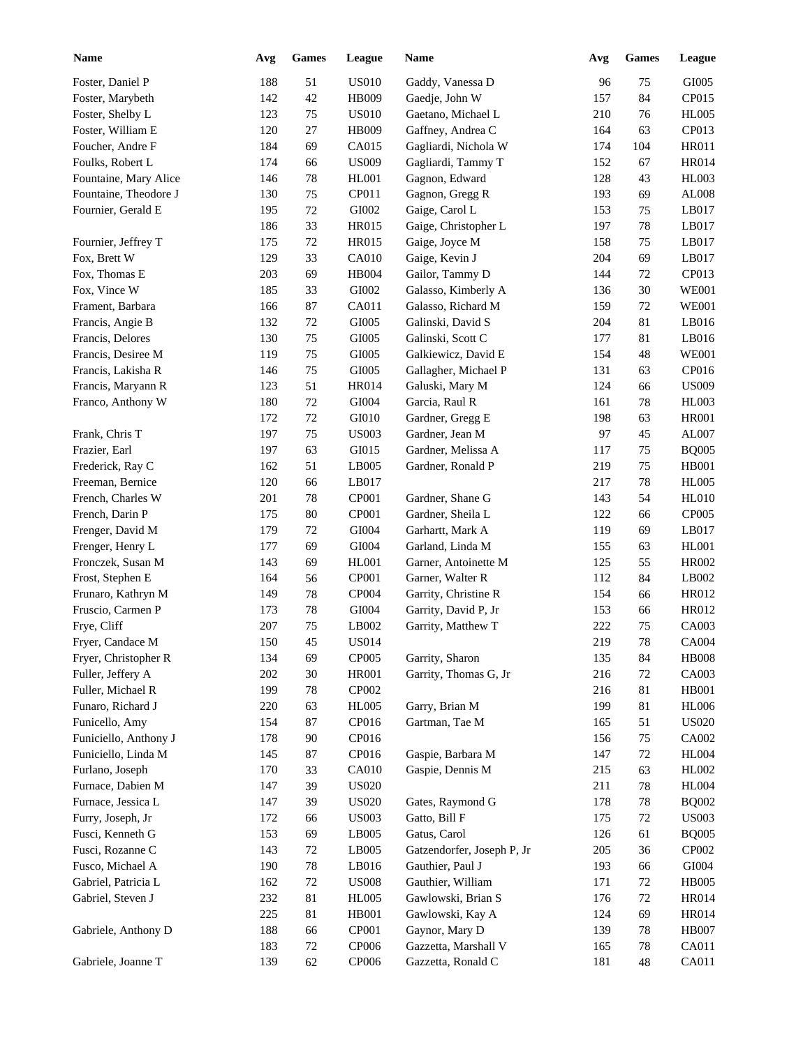| <b>Name</b>           | Avg | <b>Games</b> | League       | Name                       | Avg | <b>Games</b> | League                       |
|-----------------------|-----|--------------|--------------|----------------------------|-----|--------------|------------------------------|
| Foster, Daniel P      | 188 | 51           | <b>US010</b> | Gaddy, Vanessa D           | 96  | 75           | GI005                        |
| Foster, Marybeth      | 142 | $42\,$       | <b>HB009</b> | Gaedje, John W             | 157 | 84           | CP015                        |
| Foster, Shelby L      | 123 | 75           | <b>US010</b> | Gaetano, Michael L         | 210 | 76           | <b>HL005</b>                 |
| Foster, William E     | 120 | 27           | <b>HB009</b> | Gaffney, Andrea C          | 164 | 63           | CP013                        |
| Foucher, Andre F      | 184 | 69           | CA015        | Gagliardi, Nichola W       | 174 | 104          | <b>HR011</b>                 |
| Foulks, Robert L      | 174 | 66           | <b>US009</b> | Gagliardi, Tammy T         | 152 | 67           | <b>HR014</b>                 |
| Fountaine, Mary Alice | 146 | $78\,$       | HL001        | Gagnon, Edward             | 128 | 43           | <b>HL003</b>                 |
| Fountaine, Theodore J | 130 | 75           | CP011        | Gagnon, Gregg R            | 193 | 69           | AL008                        |
| Fournier, Gerald E    | 195 | $72\,$       | GI002        | Gaige, Carol L             | 153 | 75           | LB017                        |
|                       | 186 | 33           | <b>HR015</b> | Gaige, Christopher L       | 197 | 78           | LB017                        |
| Fournier, Jeffrey T   | 175 | $72\,$       | <b>HR015</b> | Gaige, Joyce M             | 158 | 75           | LB017                        |
| Fox, Brett W          | 129 | 33           | <b>CA010</b> | Gaige, Kevin J             | 204 | 69           | LB017                        |
| Fox, Thomas E         | 203 | 69           | <b>HB004</b> | Gailor, Tammy D            | 144 | 72           | CP013                        |
| Fox, Vince W          | 185 | 33           | GI002        | Galasso, Kimberly A        | 136 | 30           | <b>WE001</b>                 |
| Frament, Barbara      | 166 | 87           | CA011        | Galasso, Richard M         | 159 | 72           | <b>WE001</b>                 |
| Francis, Angie B      | 132 | 72           | GI005        | Galinski, David S          | 204 | 81           | LB016                        |
| Francis, Delores      | 130 | 75           | GI005        | Galinski, Scott C          | 177 | 81           | LB016                        |
| Francis, Desiree M    | 119 | 75           | GI005        | Galkiewicz, David E        | 154 | 48           | <b>WE001</b>                 |
| Francis, Lakisha R    | 146 | 75           | GI005        | Gallagher, Michael P       | 131 | 63           | CP016                        |
| Francis, Maryann R    | 123 | 51           | <b>HR014</b> | Galuski, Mary M            | 124 | 66           | <b>US009</b>                 |
| Franco, Anthony W     | 180 | 72           | GI004        | Garcia, Raul R             | 161 | 78           | <b>HL003</b>                 |
|                       | 172 | 72           | GI010        | Gardner, Gregg E           | 198 | 63           | <b>HR001</b>                 |
| Frank, Chris T        | 197 | 75           | <b>US003</b> | Gardner, Jean M            | 97  | 45           | AL007                        |
| Frazier, Earl         | 197 | 63           | GI015        | Gardner, Melissa A         | 117 | 75           | <b>BQ005</b>                 |
| Frederick, Ray C      | 162 | 51           | LB005        | Gardner, Ronald P          | 219 | 75           | <b>HB001</b>                 |
| Freeman, Bernice      | 120 | 66           | LB017        |                            | 217 | 78           | <b>HL005</b>                 |
| French, Charles W     | 201 | 78           | CP001        | Gardner, Shane G           | 143 | 54           | <b>HL010</b>                 |
| French, Darin P       | 175 | 80           | CP001        | Gardner, Sheila L          | 122 | 66           | CP005                        |
| Frenger, David M      | 179 | 72           | GI004        | Garhartt, Mark A           | 119 | 69           | LB017                        |
| Frenger, Henry L      | 177 | 69           | GI004        | Garland, Linda M           | 155 | 63           | <b>HL001</b>                 |
| Fronczek, Susan M     | 143 | 69           | HL001        | Garner, Antoinette M       | 125 | 55           | HR002                        |
| Frost, Stephen E      | 164 | 56           | CP001        | Garner, Walter R           | 112 | 84           | LB002                        |
| Frunaro, Kathryn M    | 149 | 78           | CP004        | Garrity, Christine R       | 154 | 66           | HR012                        |
| Fruscio, Carmen P     | 173 | $78\,$       | GI004        | Garrity, David P, Jr       | 153 | 66           | HR012                        |
| Frye, Cliff           | 207 | 75           | LB002        | Garrity, Matthew T         | 222 | 75           | CA003                        |
| Fryer, Candace M      | 150 | 45           | <b>US014</b> |                            | 219 | $78\,$       | <b>CA004</b>                 |
| Fryer, Christopher R  | 134 | 69           | CP005        | Garrity, Sharon            | 135 | 84           | <b>HB008</b>                 |
| Fuller, Jeffery A     | 202 | $30\,$       | <b>HR001</b> | Garrity, Thomas G, Jr      | 216 | 72           | CA003                        |
| Fuller, Michael R     | 199 | 78           | CP002        |                            | 216 | 81           | <b>HB001</b>                 |
| Funaro, Richard J     | 220 | 63           | <b>HL005</b> | Garry, Brian M             | 199 | 81           | <b>HL006</b>                 |
| Funicello, Amy        | 154 | $87\,$       | CP016        | Gartman, Tae M             | 165 | 51           | <b>US020</b>                 |
| Funiciello, Anthony J | 178 | 90           | CP016        |                            | 156 | 75           | CA002                        |
| Funiciello, Linda M   | 145 | $87\,$       | CP016        | Gaspie, Barbara M          | 147 | $72\,$       | <b>HL004</b>                 |
| Furlano, Joseph       | 170 | 33           | <b>CA010</b> | Gaspie, Dennis M           | 215 | 63           | HL002                        |
| Furnace, Dabien M     | 147 | 39           | <b>US020</b> |                            | 211 | $78\,$       | <b>HL004</b>                 |
| Furnace, Jessica L    | 147 | 39           | <b>US020</b> | Gates, Raymond G           | 178 | 78           | <b>BQ002</b>                 |
| Furry, Joseph, Jr     | 172 | 66           | <b>US003</b> | Gatto, Bill F              | 175 | 72           | <b>US003</b>                 |
| Fusci, Kenneth G      | 153 | 69           | LB005        | Gatus, Carol               | 126 | 61           | <b>BQ005</b>                 |
| Fusci, Rozanne C      | 143 | 72           | LB005        | Gatzendorfer, Joseph P, Jr | 205 | 36           | CP002                        |
| Fusco, Michael A      | 190 | 78           | LB016        | Gauthier, Paul J           | 193 | 66           | GI004                        |
| Gabriel, Patricia L   | 162 | 72           | <b>US008</b> | Gauthier, William          |     |              | <b>HB005</b>                 |
|                       |     |              |              | Gawlowski, Brian S         | 171 | 72           |                              |
| Gabriel, Steven J     | 232 | 81           | <b>HL005</b> |                            | 176 | $72\,$       | <b>HR014</b><br><b>HR014</b> |
|                       | 225 | 81           | HB001        | Gawlowski, Kay A           | 124 | 69           |                              |
| Gabriele, Anthony D   | 188 | 66           | CP001        | Gaynor, Mary D             | 139 | $78\,$       | <b>HB007</b>                 |
|                       | 183 | 72           | CP006        | Gazzetta, Marshall V       | 165 | 78           | CA011                        |
| Gabriele, Joanne T    | 139 | 62           | CP006        | Gazzetta, Ronald C         | 181 | 48           | CA011                        |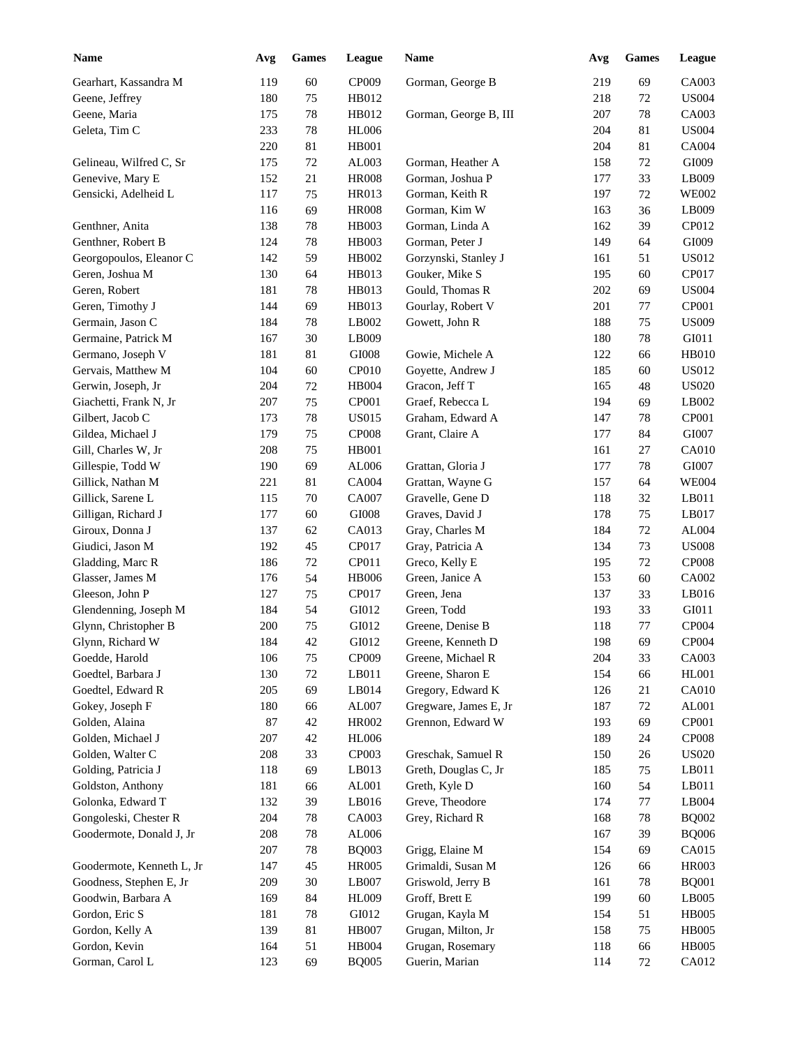| <b>Name</b>               | Avg | ${\bf Games}$ | League       | Name                  | Avg | Games  | <b>League</b> |
|---------------------------|-----|---------------|--------------|-----------------------|-----|--------|---------------|
| Gearhart, Kassandra M     | 119 | 60            | CP009        | Gorman, George B      | 219 | 69     | CA003         |
| Geene, Jeffrey            | 180 | 75            | HB012        |                       | 218 | 72     | <b>US004</b>  |
| Geene, Maria              | 175 | $78\,$        | HB012        | Gorman, George B, III | 207 | 78     | CA003         |
| Geleta, Tim C             | 233 | $78\,$        | <b>HL006</b> |                       | 204 | 81     | <b>US004</b>  |
|                           | 220 | 81            | <b>HB001</b> |                       | 204 | 81     | <b>CA004</b>  |
| Gelineau, Wilfred C, Sr   | 175 | 72            | AL003        | Gorman, Heather A     | 158 | 72     | GI009         |
| Genevive, Mary E          | 152 | 21            | <b>HR008</b> | Gorman, Joshua P      | 177 | 33     | LB009         |
| Gensicki, Adelheid L      | 117 | 75            | HR013        | Gorman, Keith R       | 197 | 72     | <b>WE002</b>  |
|                           | 116 | 69            | <b>HR008</b> | Gorman, Kim W         | 163 | 36     | LB009         |
| Genthner, Anita           | 138 | 78            | HB003        | Gorman, Linda A       | 162 | 39     | CP012         |
| Genthner, Robert B        | 124 | 78            | HB003        | Gorman, Peter J       | 149 | 64     | GI009         |
| Georgopoulos, Eleanor C   | 142 | 59            | HB002        | Gorzynski, Stanley J  | 161 | 51     | <b>US012</b>  |
| Geren, Joshua M           | 130 | 64            | HB013        | Gouker, Mike S        | 195 | 60     | CP017         |
| Geren, Robert             | 181 | 78            | HB013        | Gould, Thomas R       | 202 | 69     | <b>US004</b>  |
| Geren, Timothy J          | 144 | 69            | HB013        | Gourlay, Robert V     | 201 | 77     | CP001         |
| Germain, Jason C          | 184 | 78            | LB002        | Gowett, John R        | 188 | 75     | <b>US009</b>  |
| Germaine, Patrick M       | 167 | 30            | LB009        |                       | 180 | 78     | GI011         |
| Germano, Joseph V         | 181 | 81            | GI008        | Gowie, Michele A      | 122 | 66     | <b>HB010</b>  |
| Gervais, Matthew M        | 104 | 60            | CP010        | Goyette, Andrew J     | 185 | 60     | <b>US012</b>  |
| Gerwin, Joseph, Jr        | 204 | 72            | HB004        | Gracon, Jeff T        | 165 | 48     | <b>US020</b>  |
| Giachetti, Frank N, Jr    | 207 | 75            | CP001        | Graef, Rebecca L      | 194 | 69     | LB002         |
| Gilbert, Jacob C          | 173 | 78            | <b>US015</b> | Graham, Edward A      | 147 | 78     | CP001         |
| Gildea, Michael J         | 179 | 75            | <b>CP008</b> | Grant, Claire A       | 177 | 84     | GI007         |
| Gill, Charles W, Jr       | 208 | 75            | <b>HB001</b> |                       | 161 | 27     | CA010         |
| Gillespie, Todd W         | 190 | 69            | AL006        | Grattan, Gloria J     | 177 | 78     | GI007         |
| Gillick, Nathan M         | 221 | 81            | CA004        | Grattan, Wayne G      | 157 | 64     | <b>WE004</b>  |
| Gillick, Sarene L         | 115 | 70            | CA007        | Gravelle, Gene D      | 118 | 32     | LB011         |
| Gilligan, Richard J       | 177 | 60            | GI008        | Graves, David J       | 178 | 75     | LB017         |
| Giroux, Donna J           | 137 | 62            | CA013        | Gray, Charles M       | 184 | 72     | AL004         |
| Giudici, Jason M          | 192 | 45            | CP017        | Gray, Patricia A      | 134 | 73     | <b>US008</b>  |
| Gladding, Marc R          | 186 | 72            | CP011        | Greco, Kelly E        | 195 | 72     | <b>CP008</b>  |
| Glasser, James M          | 176 | 54            | <b>HB006</b> | Green, Janice A       | 153 | 60     | CA002         |
| Gleeson, John P           | 127 | 75            | CP017        | Green, Jena           | 137 | 33     | LB016         |
| Glendenning, Joseph M     | 184 | 54            | GI012        | Green, Todd           | 193 | 33     | GI011         |
| Glynn, Christopher B      | 200 | 75            | GI012        | Greene, Denise B      | 118 | 77     | CP004         |
| Glynn, Richard W          | 184 | 42            | GI012        | Greene, Kenneth D     | 198 | 69     | CP004         |
| Goedde, Harold            | 106 | 75            | CP009        | Greene, Michael R     | 204 | 33     | CA003         |
| Goedtel, Barbara J        | 130 | 72            | LB011        | Greene, Sharon E      | 154 | 66     | HL001         |
| Goedtel, Edward R         | 205 | 69            | LB014        | Gregory, Edward K     | 126 | 21     | <b>CA010</b>  |
| Gokey, Joseph F           | 180 | 66            | AL007        | Gregware, James E, Jr | 187 | 72     | AL001         |
| Golden, Alaina            | 87  | $42\,$        | <b>HR002</b> | Grennon, Edward W     | 193 | 69     | CP001         |
| Golden, Michael J         | 207 | $42\,$        | <b>HL006</b> |                       | 189 | 24     | <b>CP008</b>  |
| Golden, Walter C          | 208 | 33            | CP003        | Greschak, Samuel R    | 150 | 26     | <b>US020</b>  |
| Golding, Patricia J       | 118 | 69            | LB013        | Greth, Douglas C, Jr  | 185 | 75     | LB011         |
| Goldston, Anthony         | 181 | 66            | AL001        | Greth, Kyle D         | 160 | 54     | LB011         |
| Golonka, Edward T         | 132 | 39            | LB016        | Greve, Theodore       | 174 | 77     | LB004         |
| Gongoleski, Chester R     | 204 | $78\,$        | CA003        | Grey, Richard R       | 168 | 78     | <b>BQ002</b>  |
| Goodermote, Donald J, Jr  | 208 | 78            | AL006        |                       | 167 | 39     | <b>BQ006</b>  |
|                           | 207 | 78            | <b>BQ003</b> | Grigg, Elaine M       | 154 | 69     | CA015         |
| Goodermote, Kenneth L, Jr | 147 | 45            | <b>HR005</b> | Grimaldi, Susan M     | 126 | 66     | HR003         |
| Goodness, Stephen E, Jr   | 209 | $30\,$        | LB007        | Griswold, Jerry B     | 161 | 78     | <b>BQ001</b>  |
| Goodwin, Barbara A        | 169 | 84            | HL009        | Groff, Brett E        | 199 | 60     | LB005         |
| Gordon, Eric S            | 181 | 78            | GI012        | Grugan, Kayla M       | 154 | 51     | <b>HB005</b>  |
| Gordon, Kelly A           | 139 | 81            | <b>HB007</b> | Grugan, Milton, Jr    | 158 | 75     | <b>HB005</b>  |
| Gordon, Kevin             | 164 | 51            | HB004        | Grugan, Rosemary      | 118 | 66     | <b>HB005</b>  |
| Gorman, Carol L           | 123 | 69            | <b>BQ005</b> | Guerin, Marian        | 114 | $72\,$ | CA012         |
|                           |     |               |              |                       |     |        |               |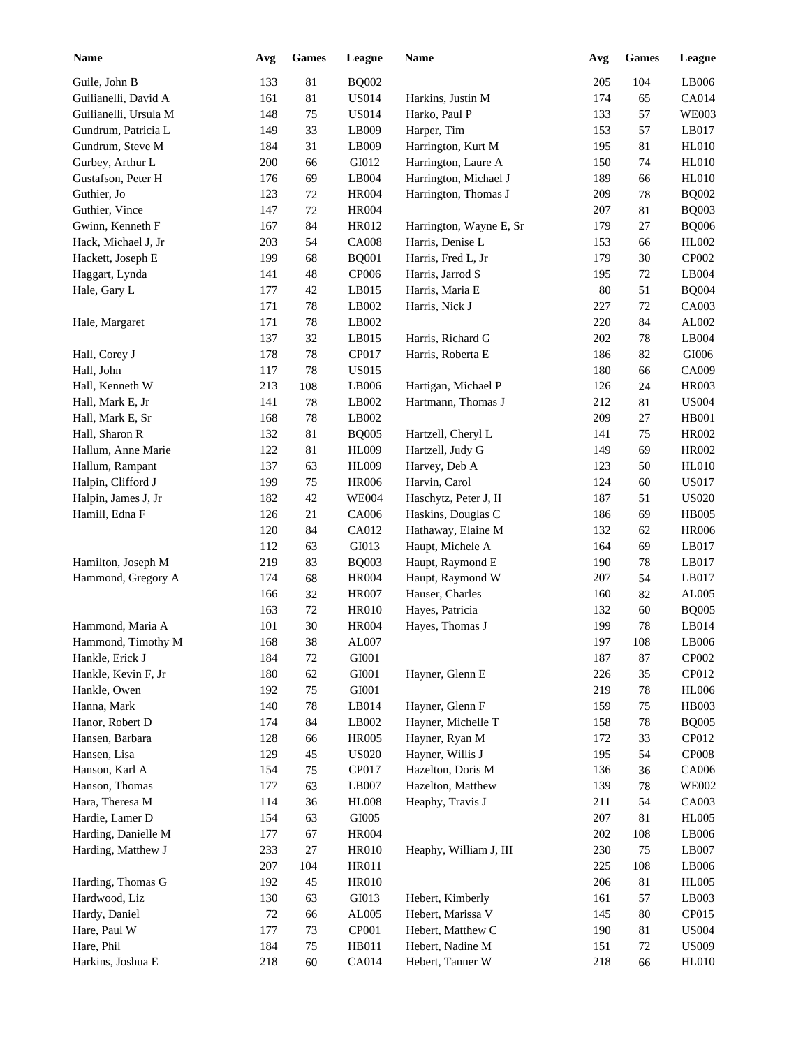| <b>Name</b>           | Avg    | <b>Games</b> | League        | <b>Name</b>             | Avg        | <b>Games</b> | League       |
|-----------------------|--------|--------------|---------------|-------------------------|------------|--------------|--------------|
| Guile, John B         | 133    | 81           | <b>BQ002</b>  |                         | 205        | 104          | LB006        |
| Guilianelli, David A  | 161    | 81           | <b>US014</b>  | Harkins, Justin M       | 174        | 65           | CA014        |
| Guilianelli, Ursula M | 148    | 75           | <b>US014</b>  | Harko, Paul P           | 133        | 57           | <b>WE003</b> |
| Gundrum, Patricia L   | 149    | 33           | LB009         | Harper, Tim             | 153        | 57           | LB017        |
| Gundrum, Steve M      | 184    | 31           | LB009         | Harrington, Kurt M      | 195        | 81           | <b>HL010</b> |
| Gurbey, Arthur L      | 200    | 66           | GI012         | Harrington, Laure A     | 150        | 74           | <b>HL010</b> |
| Gustafson, Peter H    | 176    | 69           | LB004         | Harrington, Michael J   | 189        | 66           | <b>HL010</b> |
| Guthier, Jo           | 123    | $72\,$       | <b>HR004</b>  | Harrington, Thomas J    | 209        | 78           | <b>BQ002</b> |
| Guthier, Vince        | 147    | $72\,$       | <b>HR004</b>  |                         | 207        | 81           | <b>BQ003</b> |
| Gwinn, Kenneth F      | 167    | 84           | HR012         | Harrington, Wayne E, Sr | 179        | 27           | <b>BQ006</b> |
| Hack, Michael J, Jr   | 203    | 54           | <b>CA008</b>  | Harris, Denise L        | 153        | 66           | HL002        |
| Hackett, Joseph E     | 199    | 68           | <b>BQ001</b>  | Harris, Fred L, Jr      | 179        | 30           | CP002        |
| Haggart, Lynda        | 141    | 48           | CP006         | Harris, Jarrod S        | 195        | 72           | LB004        |
| Hale, Gary L          | 177    | 42           | LB015         | Harris, Maria E         | 80         | 51           | <b>BQ004</b> |
|                       | 171    | 78           | LB002         | Harris, Nick J          | 227        | 72           | CA003        |
| Hale, Margaret        | 171    | 78           | LB002         |                         | 220        | 84           | AL002        |
|                       | 137    | 32           | LB015         | Harris, Richard G       | 202        | 78           | LB004        |
| Hall, Corey J         | 178    | 78           | CP017         | Harris, Roberta E       | 186        | 82           | $\rm GIO06$  |
| Hall, John            | 117    | 78           | <b>US015</b>  |                         | 180        | 66           | CA009        |
| Hall, Kenneth W       | 213    | 108          | LB006         | Hartigan, Michael P     | 126        | 24           | <b>HR003</b> |
| Hall, Mark E, Jr      | 141    | 78           | LB002         | Hartmann, Thomas J      | 212        | 81           | <b>US004</b> |
| Hall, Mark E, Sr      | 168    | 78           | LB002         |                         | 209        | 27           | <b>HB001</b> |
| Hall, Sharon R        | 132    | 81           | <b>BQ005</b>  | Hartzell, Cheryl L      | 141        | 75           | <b>HR002</b> |
| Hallum, Anne Marie    | 122    | 81           | HL009         | Hartzell, Judy G        | 149        | 69           | <b>HR002</b> |
| Hallum, Rampant       | 137    | 63           | HL009         | Harvey, Deb A           | 123        | 50           | <b>HL010</b> |
| Halpin, Clifford J    | 199    | 75           | <b>HR006</b>  | Harvin, Carol           | 124        | 60           | <b>US017</b> |
| Halpin, James J, Jr   | 182    | 42           | <b>WE004</b>  | Haschytz, Peter J, II   | 187        | 51           | <b>US020</b> |
| Hamill, Edna F        | 126    | 21           | CA006         |                         | 186        | 69           | <b>HB005</b> |
|                       |        |              | CA012         | Haskins, Douglas C      |            |              | <b>HR006</b> |
|                       | 120    | 84           |               | Hathaway, Elaine M      | 132<br>164 | 62           |              |
|                       | 112    | 63           | GI013         | Haupt, Michele A        |            | 69           | LB017        |
| Hamilton, Joseph M    | 219    | 83           | <b>BQ003</b>  | Haupt, Raymond E        | 190        | 78           | LB017        |
| Hammond, Gregory A    | 174    | 68           | <b>HR004</b>  | Haupt, Raymond W        | 207        | 54           | LB017        |
|                       | 166    | 32           | <b>HR007</b>  | Hauser, Charles         | 160        | 82           | AL005        |
|                       | 163    | 72           | <b>HR010</b>  | Hayes, Patricia         | 132        | 60           | <b>BQ005</b> |
| Hammond, Maria A      | 101    | 30           | <b>HR004</b>  | Hayes, Thomas J         | 199        | 78           | LB014        |
| Hammond, Timothy M    | 168    | $38\,$       | ${\rm AL}007$ |                         | 197        | 108          | LB006        |
| Hankle, Erick J       | 184    | 72           | GI001         |                         | 187        | 87           | CP002        |
| Hankle, Kevin F, Jr   | 180    | 62           | ${\rm GIO}01$ | Hayner, Glenn E         | 226        | 35           | CP012        |
| Hankle, Owen          | 192    | 75           | GI001         |                         | 219        | 78           | <b>HL006</b> |
| Hanna, Mark           | 140    | 78           | LB014         | Hayner, Glenn F         | 159        | 75           | HB003        |
| Hanor, Robert D       | 174    | 84           | LB002         | Hayner, Michelle T      | 158        | 78           | <b>BQ005</b> |
| Hansen, Barbara       | 128    | 66           | <b>HR005</b>  | Hayner, Ryan M          | 172        | 33           | CP012        |
| Hansen, Lisa          | 129    | 45           | <b>US020</b>  | Hayner, Willis J        | 195        | 54           | <b>CP008</b> |
| Hanson, Karl A        | 154    | 75           | CP017         | Hazelton, Doris M       | 136        | 36           | CA006        |
| Hanson, Thomas        | 177    | 63           | LB007         | Hazelton, Matthew       | 139        | 78           | <b>WE002</b> |
| Hara, Theresa M       | 114    | 36           | <b>HL008</b>  | Heaphy, Travis J        | 211        | 54           | CA003        |
| Hardie, Lamer D       | 154    | 63           | GI005         |                         | 207        | 81           | <b>HL005</b> |
| Harding, Danielle M   | 177    | 67           | <b>HR004</b>  |                         | $202\,$    | 108          | LB006        |
| Harding, Matthew J    | 233    | 27           | <b>HR010</b>  | Heaphy, William J, III  | 230        | 75           | LB007        |
|                       | 207    | 104          | HR011         |                         | 225        | 108          | LB006        |
| Harding, Thomas G     | 192    | 45           | <b>HR010</b>  |                         | 206        | 81           | <b>HL005</b> |
| Hardwood, Liz         | 130    | 63           | GI013         | Hebert, Kimberly        | 161        | 57           | LB003        |
| Hardy, Daniel         | $72\,$ | 66           | AL005         | Hebert, Marissa V       | 145        | 80           | CP015        |
| Hare, Paul W          | 177    | 73           | CP001         | Hebert, Matthew C       | 190        | 81           | <b>US004</b> |
| Hare, Phil            | 184    | 75           | HB011         | Hebert, Nadine M        | 151        | 72           | <b>US009</b> |
| Harkins, Joshua E     | 218    | $60\,$       | CA014         | Hebert, Tanner W        | 218        | 66           | <b>HL010</b> |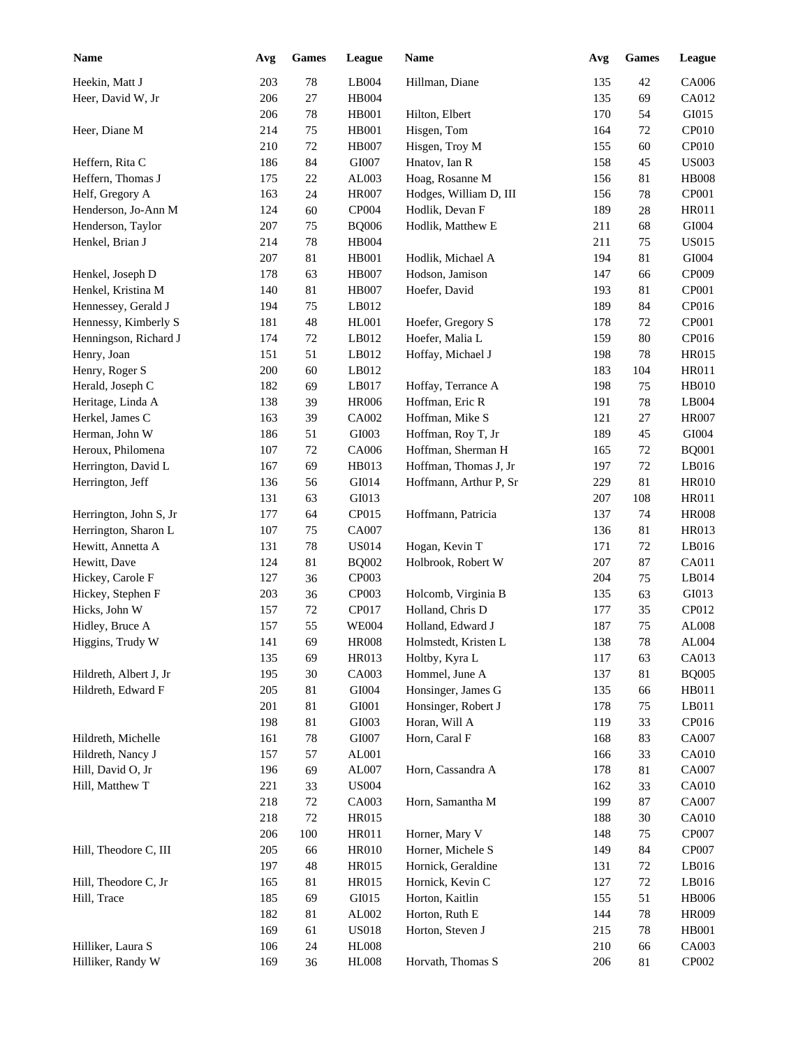| <b>Name</b>                                  | Avg | <b>Games</b> | League       | <b>Name</b>            | Avg | <b>Games</b> | League         |
|----------------------------------------------|-----|--------------|--------------|------------------------|-----|--------------|----------------|
| Heekin, Matt J                               | 203 | 78           | LB004        | Hillman, Diane         | 135 | 42           | CA006          |
| Heer, David W, Jr                            | 206 | 27           | <b>HB004</b> |                        | 135 | 69           | CA012          |
|                                              | 206 | $78\,$       | <b>HB001</b> | Hilton, Elbert         | 170 | 54           | GI015          |
| Heer, Diane M                                | 214 | 75           | <b>HB001</b> | Hisgen, Tom            | 164 | 72           | CP010          |
|                                              | 210 | $72\,$       | <b>HB007</b> | Hisgen, Troy M         | 155 | 60           | CP010          |
| Heffern, Rita C                              | 186 | 84           | GI007        | Hnatov, Ian R          | 158 | 45           | <b>US003</b>   |
| Heffern, Thomas J                            | 175 | $22\,$       | AL003        | Hoag, Rosanne M        | 156 | 81           | <b>HB008</b>   |
| Helf, Gregory A                              | 163 | 24           | <b>HR007</b> | Hodges, William D, III | 156 | 78           | CP001          |
| Henderson, Jo-Ann M                          | 124 | 60           | CP004        | Hodlik, Devan F        | 189 | 28           | HR011          |
| Henderson, Taylor                            | 207 | 75           | <b>BQ006</b> | Hodlik, Matthew E      | 211 | 68           | GI004          |
| Henkel, Brian J                              | 214 | 78           | <b>HB004</b> |                        | 211 | 75           | <b>US015</b>   |
|                                              | 207 | 81           | <b>HB001</b> | Hodlik, Michael A      | 194 | 81           | GI004          |
| Henkel, Joseph D                             | 178 | 63           | <b>HB007</b> | Hodson, Jamison        | 147 | 66           | CP009          |
| Henkel, Kristina M                           | 140 | 81           | <b>HB007</b> | Hoefer, David          | 193 | 81           | CP001          |
| Hennessey, Gerald J                          | 194 | 75           | LB012        |                        | 189 | 84           | CP016          |
| Hennessy, Kimberly S                         | 181 | 48           | <b>HL001</b> | Hoefer, Gregory S      | 178 | 72           | CP001          |
| Henningson, Richard J                        | 174 | 72           | LB012        | Hoefer, Malia L        | 159 | 80           | CP016          |
| Henry, Joan                                  | 151 | 51           | LB012        | Hoffay, Michael J      | 198 | 78           | <b>HR015</b>   |
| Henry, Roger S                               | 200 | 60           | LB012        |                        | 183 | 104          | <b>HR011</b>   |
| Herald, Joseph C                             | 182 | 69           | LB017        | Hoffay, Terrance A     | 198 | 75           | <b>HB010</b>   |
| Heritage, Linda A                            | 138 | 39           | <b>HR006</b> | Hoffman, Eric R        | 191 | 78           | LB004          |
| Herkel, James C                              | 163 | 39           | CA002        | Hoffman, Mike S        | 121 | 27           | <b>HR007</b>   |
| Herman, John W                               | 186 | 51           | GI003        | Hoffman, Roy T, Jr     | 189 | 45           | GI004          |
| Heroux, Philomena                            | 107 | 72           | <b>CA006</b> | Hoffman, Sherman H     | 165 | 72           | <b>BQ001</b>   |
| Herrington, David L                          | 167 | 69           | HB013        | Hoffman, Thomas J, Jr  | 197 | 72           | LB016          |
| Herrington, Jeff                             | 136 | 56           | GI014        | Hoffmann, Arthur P, Sr | 229 | 81           | <b>HR010</b>   |
|                                              | 131 | 63           | GI013        |                        | 207 | 108          | <b>HR011</b>   |
| Herrington, John S, Jr                       | 177 | 64           | CP015        | Hoffmann, Patricia     | 137 | 74           | <b>HR008</b>   |
| Herrington, Sharon L                         | 107 | 75           | CA007        |                        | 136 | 81           | HR013          |
| Hewitt, Annetta A                            | 131 | 78           | <b>US014</b> | Hogan, Kevin T         | 171 | 72           | LB016          |
|                                              | 124 | 81           | <b>BQ002</b> | Holbrook, Robert W     | 207 | 87           | CA011          |
| Hewitt, Dave<br>Hickey, Carole F             | 127 | 36           | CP003        |                        | 204 | 75           | LB014          |
|                                              | 203 | 36           | CP003        | Holcomb, Virginia B    | 135 | 63           | GI013          |
| Hickey, Stephen F<br>Hicks, John W           | 157 | $72\,$       | CP017        | Holland, Chris D       | 177 | 35           | CP012          |
|                                              | 157 | 55           | <b>WE004</b> | Holland, Edward J      | 187 | 75           | AL008          |
| Hidley, Bruce A                              |     | 69           |              |                        | 138 | $78\,$       |                |
| Higgins, Trudy W                             | 141 |              | <b>HR008</b> | Holmstedt, Kristen L   |     |              | AL004          |
|                                              | 135 | 69           | HR013        | Holtby, Kyra L         | 117 | 63           | CA013          |
| Hildreth, Albert J, Jr<br>Hildreth, Edward F | 195 | 30           | CA003        | Hommel, June A         | 137 | 81           | <b>BQ005</b>   |
|                                              | 205 | 81           | GI004        | Honsinger, James G     | 135 | 66           | HB011          |
|                                              | 201 | 81           | GI001        | Honsinger, Robert J    | 178 | 75           | LB011<br>CP016 |
|                                              | 198 | 81           | GI003        | Horan, Will A          | 119 | 33           |                |
| Hildreth, Michelle                           | 161 | 78           | GI007        | Horn, Caral F          | 168 | 83           | CA007          |
| Hildreth, Nancy J                            | 157 | 57           | AL001        |                        | 166 | 33           | <b>CA010</b>   |
| Hill, David O, Jr                            | 196 | 69           | AL007        | Horn, Cassandra A      | 178 | 81           | CA007          |
| Hill, Matthew T                              | 221 | 33           | <b>US004</b> |                        | 162 | 33           | <b>CA010</b>   |
|                                              | 218 | $72\,$       | CA003        | Horn, Samantha M       | 199 | $87\,$       | CA007          |
|                                              | 218 | 72           | HR015        |                        | 188 | $30\,$       | CA010          |
|                                              | 206 | 100          | HR011        | Horner, Mary V         | 148 | 75           | CP007          |
| Hill, Theodore C, III                        | 205 | 66           | <b>HR010</b> | Horner, Michele S      | 149 | 84           | CP007          |
|                                              | 197 | 48           | HR015        | Hornick, Geraldine     | 131 | $72\,$       | LB016          |
| Hill, Theodore C, Jr                         | 165 | 81           | HR015        | Hornick, Kevin C       | 127 | $72\,$       | LB016          |
| Hill, Trace                                  | 185 | 69           | GI015        | Horton, Kaitlin        | 155 | 51           | <b>HB006</b>   |
|                                              | 182 | 81           | AL002        | Horton, Ruth E         | 144 | 78           | HR009          |
|                                              | 169 | 61           | <b>US018</b> | Horton, Steven J       | 215 | 78           | HB001          |
| Hilliker, Laura S                            | 106 | 24           | <b>HL008</b> |                        | 210 | 66           | CA003          |
| Hilliker, Randy W                            | 169 | 36           | <b>HL008</b> | Horvath, Thomas S      | 206 | 81           | CP002          |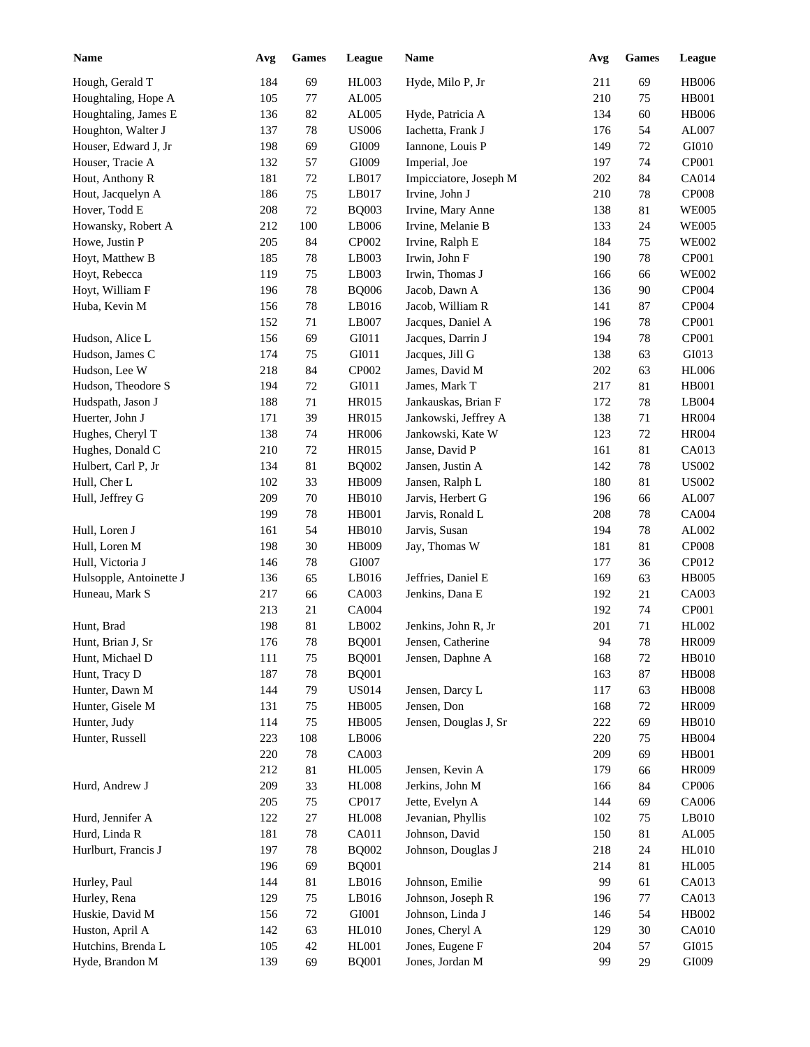| <b>Name</b>             | Avg | <b>Games</b> | League       | Name                   | Avg | <b>Games</b> | League       |
|-------------------------|-----|--------------|--------------|------------------------|-----|--------------|--------------|
| Hough, Gerald T         | 184 | 69           | HL003        | Hyde, Milo P, Jr       | 211 | 69           | <b>HB006</b> |
| Houghtaling, Hope A     | 105 | 77           | AL005        |                        | 210 | 75           | <b>HB001</b> |
| Houghtaling, James E    | 136 | 82           | AL005        | Hyde, Patricia A       | 134 | 60           | <b>HB006</b> |
| Houghton, Walter J      | 137 | $78\,$       | <b>US006</b> | Iachetta, Frank J      | 176 | 54           | AL007        |
| Houser, Edward J, Jr    | 198 | 69           | GI009        | Iannone, Louis P       | 149 | 72           | GI010        |
| Houser, Tracie A        | 132 | 57           | GI009        | Imperial, Joe          | 197 | 74           | CP001        |
| Hout, Anthony R         | 181 | $72\,$       | LB017        | Impicciatore, Joseph M | 202 | 84           | CA014        |
| Hout, Jacquelyn A       | 186 | 75           | LB017        | Irvine, John J         | 210 | 78           | <b>CP008</b> |
| Hover, Todd E           | 208 | 72           | <b>BQ003</b> | Irvine, Mary Anne      | 138 | 81           | <b>WE005</b> |
| Howansky, Robert A      | 212 | 100          | LB006        | Irvine, Melanie B      | 133 | 24           | <b>WE005</b> |
| Howe, Justin P          | 205 | 84           | CP002        | Irvine, Ralph E        | 184 | 75           | <b>WE002</b> |
| Hoyt, Matthew B         | 185 | 78           | LB003        | Irwin, John F          | 190 | 78           | CP001        |
| Hoyt, Rebecca           | 119 | 75           | LB003        | Irwin, Thomas J        | 166 | 66           | <b>WE002</b> |
| Hoyt, William F         | 196 | 78           | <b>BQ006</b> | Jacob, Dawn A          | 136 | 90           | CP004        |
| Huba, Kevin M           | 156 | 78           | LB016        | Jacob, William R       | 141 | 87           | CP004        |
|                         | 152 | 71           | LB007        | Jacques, Daniel A      | 196 | 78           | CP001        |
| Hudson, Alice L         | 156 | 69           | GI011        | Jacques, Darrin J      | 194 | 78           | CP001        |
| Hudson, James C         | 174 | 75           | GI011        | Jacques, Jill G        | 138 | 63           | GI013        |
| Hudson, Lee W           | 218 | 84           | CP002        | James, David M         | 202 | 63           | <b>HL006</b> |
| Hudson, Theodore S      | 194 | 72           | GI011        | James, Mark T          | 217 | 81           | <b>HB001</b> |
| Hudspath, Jason J       | 188 | 71           | HR015        | Jankauskas, Brian F    | 172 | 78           | LB004        |
| Huerter, John J         | 171 | 39           | <b>HR015</b> | Jankowski, Jeffrey A   | 138 | 71           | <b>HR004</b> |
| Hughes, Cheryl T        | 138 | 74           | <b>HR006</b> | Jankowski, Kate W      | 123 | 72           | <b>HR004</b> |
| Hughes, Donald C        | 210 | 72           | HR015        | Janse, David P         | 161 | 81           | CA013        |
| Hulbert, Carl P, Jr     | 134 | 81           | <b>BQ002</b> | Jansen, Justin A       | 142 | 78           | <b>US002</b> |
| Hull, Cher L            | 102 | 33           | HB009        | Jansen, Ralph L        | 180 | 81           | <b>US002</b> |
|                         | 209 | 70           | <b>HB010</b> |                        |     |              | AL007        |
| Hull, Jeffrey G         | 199 |              |              | Jarvis, Herbert G      | 196 | 66           | CA004        |
|                         |     | 78           | HB001        | Jarvis, Ronald L       | 208 | 78           |              |
| Hull, Loren J           | 161 | 54           | HB010        | Jarvis, Susan          | 194 | 78           | AL002        |
| Hull, Loren M           | 198 | 30           | HB009        | Jay, Thomas W          | 181 | 81           | <b>CP008</b> |
| Hull, Victoria J        | 146 | 78           | GI007        |                        | 177 | 36           | CP012        |
| Hulsopple, Antoinette J | 136 | 65           | LB016        | Jeffries, Daniel E     | 169 | 63           | <b>HB005</b> |
| Huneau, Mark S          | 217 | 66           | CA003        | Jenkins, Dana E        | 192 | 21           | CA003        |
|                         | 213 | 21           | CA004        |                        | 192 | 74           | CP001        |
| Hunt, Brad              | 198 | 81           | LB002        | Jenkins, John R, Jr    | 201 | 71           | HL002        |
| Hunt, Brian J, Sr       | 176 | $78\,$       | <b>BQ001</b> | Jensen, Catherine      | 94  | 78           | <b>HR009</b> |
| Hunt, Michael D         | 111 | 75           | <b>BQ001</b> | Jensen, Daphne A       | 168 | 72           | <b>HB010</b> |
| Hunt, Tracy D           | 187 | $78\,$       | <b>BQ001</b> |                        | 163 | 87           | <b>HB008</b> |
| Hunter, Dawn M          | 144 | 79           | <b>US014</b> | Jensen, Darcy L        | 117 | 63           | <b>HB008</b> |
| Hunter, Gisele M        | 131 | 75           | <b>HB005</b> | Jensen, Don            | 168 | 72           | <b>HR009</b> |
| Hunter, Judy            | 114 | 75           | <b>HB005</b> | Jensen, Douglas J, Sr  | 222 | 69           | <b>HB010</b> |
| Hunter, Russell         | 223 | 108          | LB006        |                        | 220 | 75           | <b>HB004</b> |
|                         | 220 | 78           | CA003        |                        | 209 | 69           | <b>HB001</b> |
|                         | 212 | $81\,$       | <b>HL005</b> | Jensen, Kevin A        | 179 | 66           | <b>HR009</b> |
| Hurd, Andrew J          | 209 | 33           | <b>HL008</b> | Jerkins, John M        | 166 | 84           | CP006        |
|                         | 205 | 75           | CP017        | Jette, Evelyn A        | 144 | 69           | CA006        |
| Hurd, Jennifer A        | 122 | $27\,$       | <b>HL008</b> | Jevanian, Phyllis      | 102 | 75           | LB010        |
| Hurd, Linda R           | 181 | 78           | CA011        | Johnson, David         | 150 | 81           | AL005        |
| Hurlburt, Francis J     | 197 | 78           | <b>BQ002</b> | Johnson, Douglas J     | 218 | 24           | <b>HL010</b> |
|                         | 196 | 69           | <b>BQ001</b> |                        | 214 | 81           | <b>HL005</b> |
| Hurley, Paul            | 144 | 81           | LB016        | Johnson, Emilie        | 99  | 61           | CA013        |
| Hurley, Rena            | 129 | 75           | LB016        | Johnson, Joseph R      | 196 | 77           | CA013        |
| Huskie, David M         | 156 | $72\,$       | GI001        | Johnson, Linda J       | 146 | 54           | HB002        |
| Huston, April A         | 142 | 63           | <b>HL010</b> | Jones, Cheryl A        | 129 | 30           | <b>CA010</b> |
| Hutchins, Brenda L      | 105 | $42\,$       | HL001        | Jones, Eugene F        | 204 | 57           | GI015        |
| Hyde, Brandon M         | 139 | 69           | <b>BQ001</b> | Jones, Jordan M        | 99  | 29           | GI009        |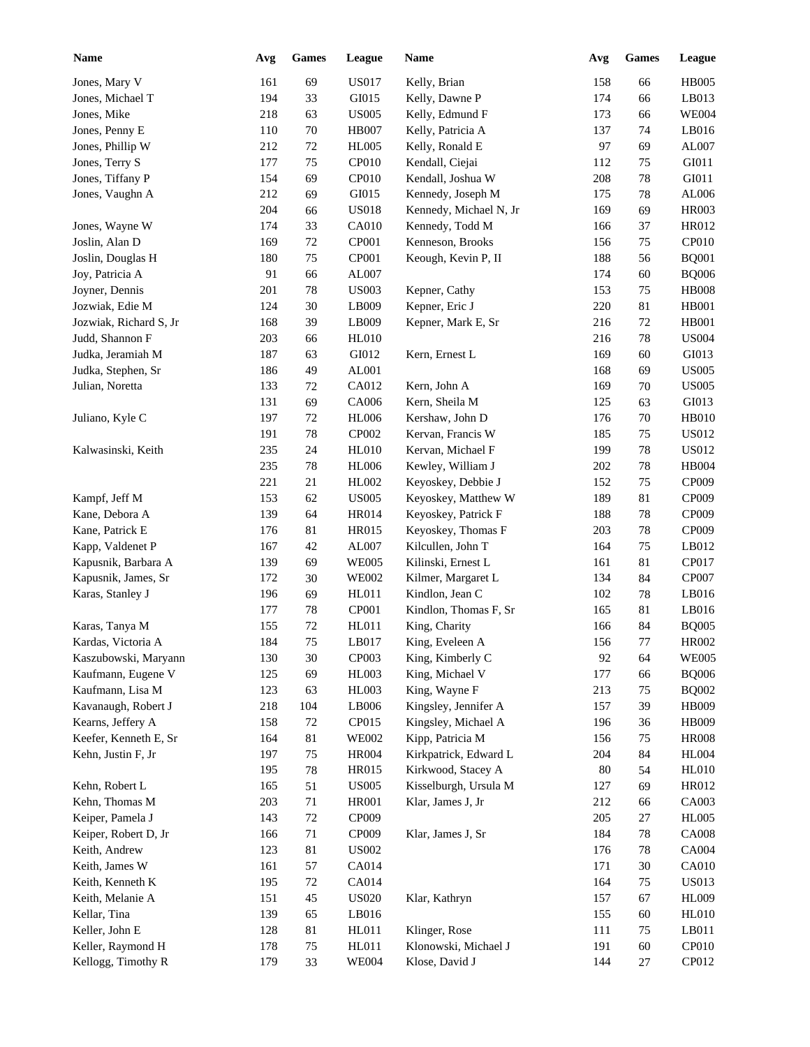| Name                   | Avg | <b>Games</b> | League       | Name                   | Avg | <b>Games</b> | League       |
|------------------------|-----|--------------|--------------|------------------------|-----|--------------|--------------|
| Jones, Mary V          | 161 | 69           | <b>US017</b> | Kelly, Brian           | 158 | 66           | <b>HB005</b> |
| Jones, Michael T       | 194 | 33           | GI015        | Kelly, Dawne P         | 174 | 66           | LB013        |
| Jones, Mike            | 218 | 63           | <b>US005</b> | Kelly, Edmund F        | 173 | 66           | <b>WE004</b> |
| Jones, Penny E         | 110 | $70\,$       | <b>HB007</b> | Kelly, Patricia A      | 137 | 74           | LB016        |
| Jones, Phillip W       | 212 | $72\,$       | <b>HL005</b> | Kelly, Ronald E        | 97  | 69           | AL007        |
| Jones, Terry S         | 177 | 75           | <b>CP010</b> | Kendall, Ciejai        | 112 | 75           | GI011        |
| Jones, Tiffany P       | 154 | 69           | CP010        | Kendall, Joshua W      | 208 | 78           | GI011        |
| Jones, Vaughn A        | 212 | 69           | GI015        | Kennedy, Joseph M      | 175 | 78           | AL006        |
|                        | 204 | 66           | <b>US018</b> | Kennedy, Michael N, Jr | 169 | 69           | <b>HR003</b> |
| Jones, Wayne W         | 174 | 33           | <b>CA010</b> | Kennedy, Todd M        | 166 | 37           | HR012        |
| Joslin, Alan D         | 169 | $72\,$       | CP001        | Kenneson, Brooks       | 156 | 75           | CP010        |
| Joslin, Douglas H      | 180 | 75           | CP001        | Keough, Kevin P, II    | 188 | 56           | <b>BQ001</b> |
| Joy, Patricia A        | 91  | 66           | AL007        |                        | 174 | 60           | <b>BQ006</b> |
| Joyner, Dennis         | 201 | 78           | <b>US003</b> | Kepner, Cathy          | 153 | 75           | <b>HB008</b> |
| Jozwiak, Edie M        |     |              |              |                        |     |              | <b>HB001</b> |
|                        | 124 | 30           | LB009        | Kepner, Eric J         | 220 | 81           | <b>HB001</b> |
| Jozwiak, Richard S, Jr | 168 | 39           | LB009        | Kepner, Mark E, Sr     | 216 | 72           |              |
| Judd, Shannon F        | 203 | 66           | <b>HL010</b> |                        | 216 | 78           | <b>US004</b> |
| Judka, Jeramiah M      | 187 | 63           | GI012        | Kern, Ernest L         | 169 | 60           | GI013        |
| Judka, Stephen, Sr     | 186 | 49           | AL001        |                        | 168 | 69           | <b>US005</b> |
| Julian, Noretta        | 133 | 72           | CA012        | Kern, John A           | 169 | 70           | <b>US005</b> |
|                        | 131 | 69           | <b>CA006</b> | Kern, Sheila M         | 125 | 63           | GI013        |
| Juliano, Kyle C        | 197 | 72           | <b>HL006</b> | Kershaw, John D        | 176 | 70           | <b>HB010</b> |
|                        | 191 | 78           | CP002        | Kervan, Francis W      | 185 | 75           | <b>US012</b> |
| Kalwasinski, Keith     | 235 | 24           | <b>HL010</b> | Kervan, Michael F      | 199 | 78           | <b>US012</b> |
|                        | 235 | 78           | <b>HL006</b> | Kewley, William J      | 202 | 78           | HB004        |
|                        | 221 | 21           | HL002        | Keyoskey, Debbie J     | 152 | 75           | CP009        |
| Kampf, Jeff M          | 153 | 62           | <b>US005</b> | Keyoskey, Matthew W    | 189 | 81           | CP009        |
| Kane, Debora A         | 139 | 64           | <b>HR014</b> | Keyoskey, Patrick F    | 188 | 78           | CP009        |
| Kane, Patrick E        | 176 | 81           | <b>HR015</b> | Keyoskey, Thomas F     | 203 | 78           | CP009        |
| Kapp, Valdenet P       | 167 | 42           | AL007        | Kilcullen, John T      | 164 | 75           | LB012        |
| Kapusnik, Barbara A    | 139 | 69           | <b>WE005</b> | Kilinski, Ernest L     | 161 | 81           | CP017        |
| Kapusnik, James, Sr    | 172 | $30\,$       | <b>WE002</b> | Kilmer, Margaret L     | 134 | 84           | CP007        |
| Karas, Stanley J       | 196 | 69           | HL011        | Kindlon, Jean C        | 102 | $78\,$       | LB016        |
|                        | 177 | $78\,$       | CP001        | Kindlon, Thomas F, Sr  | 165 | 81           | LB016        |
| Karas, Tanya M         | 155 | $72\,$       | HL011        | King, Charity          | 166 | 84           | <b>BQ005</b> |
| Kardas, Victoria A     | 184 | $75\,$       | LB017        | King, Eveleen A        | 156 | $77\,$       | HR002        |
| Kaszubowski, Maryann   | 130 | $30\,$       | CP003        | King, Kimberly C       | 92  | 64           | <b>WE005</b> |
| Kaufmann, Eugene V     | 125 | 69           | HL003        | King, Michael V        | 177 | 66           | <b>BQ006</b> |
| Kaufmann, Lisa M       | 123 | 63           | HL003        | King, Wayne F          | 213 | 75           | <b>BQ002</b> |
| Kavanaugh, Robert J    | 218 | 104          | LB006        | Kingsley, Jennifer A   | 157 | 39           | HB009        |
| Kearns, Jeffery A      | 158 | 72           | CP015        | Kingsley, Michael A    | 196 | 36           | HB009        |
| Keefer, Kenneth E, Sr  | 164 | $81\,$       | <b>WE002</b> | Kipp, Patricia M       | 156 | 75           | <b>HR008</b> |
| Kehn, Justin F, Jr     | 197 | 75           | <b>HR004</b> | Kirkpatrick, Edward L  | 204 | 84           | HL004        |
|                        |     |              |              |                        |     |              | HL010        |
|                        | 195 | $78\,$       | HR015        | Kirkwood, Stacey A     | 80  | 54           |              |
| Kehn, Robert L         | 165 | 51           | <b>US005</b> | Kisselburgh, Ursula M  | 127 | 69           | HR012        |
| Kehn, Thomas M         | 203 | $71\,$       | <b>HR001</b> | Klar, James J, Jr      | 212 | 66           | CA003        |
| Keiper, Pamela J       | 143 | $72\,$       | CP009        |                        | 205 | 27           | <b>HL005</b> |
| Keiper, Robert D, Jr   | 166 | $71\,$       | CP009        | Klar, James J, Sr      | 184 | $78\,$       | <b>CA008</b> |
| Keith, Andrew          | 123 | 81           | <b>US002</b> |                        | 176 | $78\,$       | CA004        |
| Keith, James W         | 161 | 57           | CA014        |                        | 171 | $30\,$       | CA010        |
| Keith, Kenneth K       | 195 | $72\,$       | CA014        |                        | 164 | 75           | <b>US013</b> |
| Keith, Melanie A       | 151 | 45           | <b>US020</b> | Klar, Kathryn          | 157 | 67           | <b>HL009</b> |
| Kellar, Tina           | 139 | 65           | LB016        |                        | 155 | 60           | <b>HL010</b> |
| Keller, John E         | 128 | 81           | HL011        | Klinger, Rose          | 111 | 75           | LB011        |
| Keller, Raymond H      | 178 | 75           | HL011        | Klonowski, Michael J   | 191 | 60           | CP010        |
| Kellogg, Timothy R     | 179 | 33           | <b>WE004</b> | Klose, David J         | 144 | 27           | CP012        |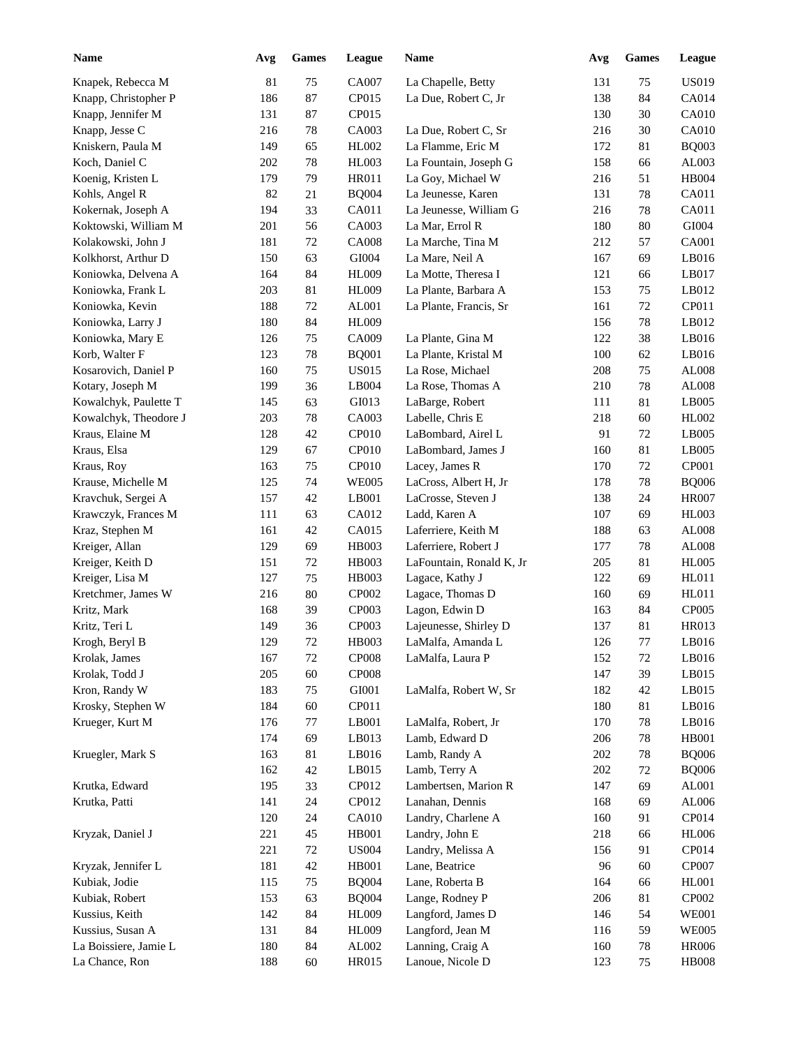| <b>Name</b>           | Avg | $\mathbf{Games}$ | League       | Name                     | Avg | <b>Games</b> | League        |
|-----------------------|-----|------------------|--------------|--------------------------|-----|--------------|---------------|
| Knapek, Rebecca M     | 81  | 75               | CA007        | La Chapelle, Betty       | 131 | 75           | <b>US019</b>  |
| Knapp, Christopher P  | 186 | $87\,$           | CP015        | La Due, Robert C, Jr     | 138 | 84           | CA014         |
| Knapp, Jennifer M     | 131 | $87\,$           | CP015        |                          | 130 | 30           | CA010         |
| Knapp, Jesse C        | 216 | $78\,$           | CA003        | La Due, Robert C, Sr     | 216 | 30           | CA010         |
| Kniskern, Paula M     | 149 | 65               | HL002        | La Flamme, Eric M        | 172 | 81           | <b>BQ003</b>  |
| Koch, Daniel C        | 202 | $78\,$           | <b>HL003</b> | La Fountain, Joseph G    | 158 | 66           | AL003         |
| Koenig, Kristen L     | 179 | 79               | <b>HR011</b> | La Goy, Michael W        | 216 | 51           | <b>HB004</b>  |
| Kohls, Angel R        | 82  | 21               | <b>BQ004</b> | La Jeunesse, Karen       | 131 | 78           | CA011         |
| Kokernak, Joseph A    | 194 | 33               | CA011        | La Jeunesse, William G   | 216 | 78           | CA011         |
| Koktowski, William M  | 201 | 56               | CA003        | La Mar, Errol R          | 180 | 80           | ${\rm GIO}04$ |
| Kolakowski, John J    | 181 | 72               | <b>CA008</b> | La Marche, Tina M        | 212 | 57           | CA001         |
| Kolkhorst, Arthur D   | 150 | 63               | GI004        | La Mare, Neil A          | 167 | 69           | LB016         |
| Koniowka, Delvena A   | 164 | 84               | <b>HL009</b> | La Motte, Theresa I      | 121 | 66           | LB017         |
| Koniowka, Frank L     | 203 | 81               | HL009        | La Plante, Barbara A     | 153 | 75           | LB012         |
|                       |     |                  |              |                          |     |              |               |
| Koniowka, Kevin       | 188 | $72\,$           | AL001        | La Plante, Francis, Sr   | 161 | 72           | CP011         |
| Koniowka, Larry J     | 180 | 84               | <b>HL009</b> |                          | 156 | 78           | LB012         |
| Koniowka, Mary E      | 126 | 75               | CA009        | La Plante, Gina M        | 122 | 38           | LB016         |
| Korb, Walter F        | 123 | 78               | <b>BQ001</b> | La Plante, Kristal M     | 100 | 62           | LB016         |
| Kosarovich, Daniel P  | 160 | 75               | <b>US015</b> | La Rose, Michael         | 208 | 75           | ${\rm AL008}$ |
| Kotary, Joseph M      | 199 | 36               | LB004        | La Rose, Thomas A        | 210 | 78           | AL008         |
| Kowalchyk, Paulette T | 145 | 63               | GI013        | LaBarge, Robert          | 111 | 81           | LB005         |
| Kowalchyk, Theodore J | 203 | 78               | CA003        | Labelle, Chris E         | 218 | 60           | HL002         |
| Kraus, Elaine M       | 128 | 42               | CP010        | LaBombard, Airel L       | 91  | 72           | LB005         |
| Kraus, Elsa           | 129 | 67               | CP010        | LaBombard, James J       | 160 | 81           | LB005         |
| Kraus, Roy            | 163 | 75               | CP010        | Lacey, James R           | 170 | 72           | CP001         |
| Krause, Michelle M    | 125 | 74               | <b>WE005</b> | LaCross, Albert H, Jr    | 178 | $78\,$       | <b>BQ006</b>  |
| Kravchuk, Sergei A    | 157 | 42               | LB001        | LaCrosse, Steven J       | 138 | 24           | <b>HR007</b>  |
| Krawczyk, Frances M   | 111 | 63               | CA012        | Ladd, Karen A            | 107 | 69           | <b>HL003</b>  |
| Kraz, Stephen M       | 161 | 42               | CA015        | Laferriere, Keith M      | 188 | 63           | AL008         |
| Kreiger, Allan        | 129 | 69               | HB003        | Laferriere, Robert J     | 177 | 78           | ${\rm AL008}$ |
| Kreiger, Keith D      | 151 | 72               | HB003        | LaFountain, Ronald K, Jr | 205 | 81           | <b>HL005</b>  |
| Kreiger, Lisa M       | 127 | 75               | HB003        | Lagace, Kathy J          | 122 | 69           | HL011         |
| Kretchmer, James W    | 216 | 80               | CP002        | Lagace, Thomas D         | 160 | 69           | HL011         |
| Kritz, Mark           | 168 | 39               | CP003        | Lagon, Edwin D           | 163 | 84           | CP005         |
| Kritz, Teri L         | 149 | 36               | CP003        | Lajeunesse, Shirley D    | 137 | 81           | <b>HR013</b>  |
| Krogh, Beryl B        | 129 | $72\,$           | HB003        | LaMalfa, Amanda L        | 126 | $77 \,$      | LB016         |
| Krolak, James         | 167 | 72               | <b>CP008</b> | LaMalfa, Laura P         | 152 | $72\,$       | LB016         |
| Krolak, Todd J        | 205 | $60\,$           | CP008        |                          | 147 | 39           | LB015         |
| Kron, Randy W         | 183 | 75               | GI001        | LaMalfa, Robert W, Sr    | 182 | 42           | LB015         |
| Krosky, Stephen W     | 184 | $60\,$           | CP011        |                          | 180 | 81           | LB016         |
| Krueger, Kurt M       | 176 |                  | LB001        | LaMalfa, Robert, Jr      |     | 78           | LB016         |
|                       |     | 77               |              | Lamb, Edward D           | 170 |              | <b>HB001</b>  |
|                       | 174 | 69               | LB013        |                          | 206 | 78           |               |
| Kruegler, Mark S      | 163 | 81               | LB016        | Lamb, Randy A            | 202 | 78           | <b>BQ006</b>  |
|                       | 162 | $42\,$           | LB015        | Lamb, Terry A            | 202 | 72           | <b>BQ006</b>  |
| Krutka, Edward        | 195 | 33               | CP012        | Lambertsen, Marion R     | 147 | 69           | AL001         |
| Krutka, Patti         | 141 | 24               | CP012        | Lanahan, Dennis          | 168 | 69           | ${\rm AL006}$ |
|                       | 120 | 24               | CA010        | Landry, Charlene A       | 160 | 91           | CP014         |
| Kryzak, Daniel J      | 221 | 45               | HB001        | Landry, John E           | 218 | 66           | <b>HL006</b>  |
|                       | 221 | 72               | <b>US004</b> | Landry, Melissa A        | 156 | 91           | CP014         |
| Kryzak, Jennifer L    | 181 | 42               | HB001        | Lane, Beatrice           | 96  | 60           | CP007         |
| Kubiak, Jodie         | 115 | 75               | <b>BQ004</b> | Lane, Roberta B          | 164 | 66           | HL001         |
| Kubiak, Robert        | 153 | 63               | <b>BQ004</b> | Lange, Rodney P          | 206 | 81           | CP002         |
| Kussius, Keith        | 142 | 84               | HL009        | Langford, James D        | 146 | 54           | <b>WE001</b>  |
| Kussius, Susan A      | 131 | 84               | HL009        | Langford, Jean M         | 116 | 59           | <b>WE005</b>  |
| La Boissiere, Jamie L | 180 | 84               | AL002        | Lanning, Craig A         | 160 | $78\,$       | <b>HR006</b>  |
| La Chance, Ron        | 188 | 60               | HR015        | Lanoue, Nicole D         | 123 | 75           | <b>HB008</b>  |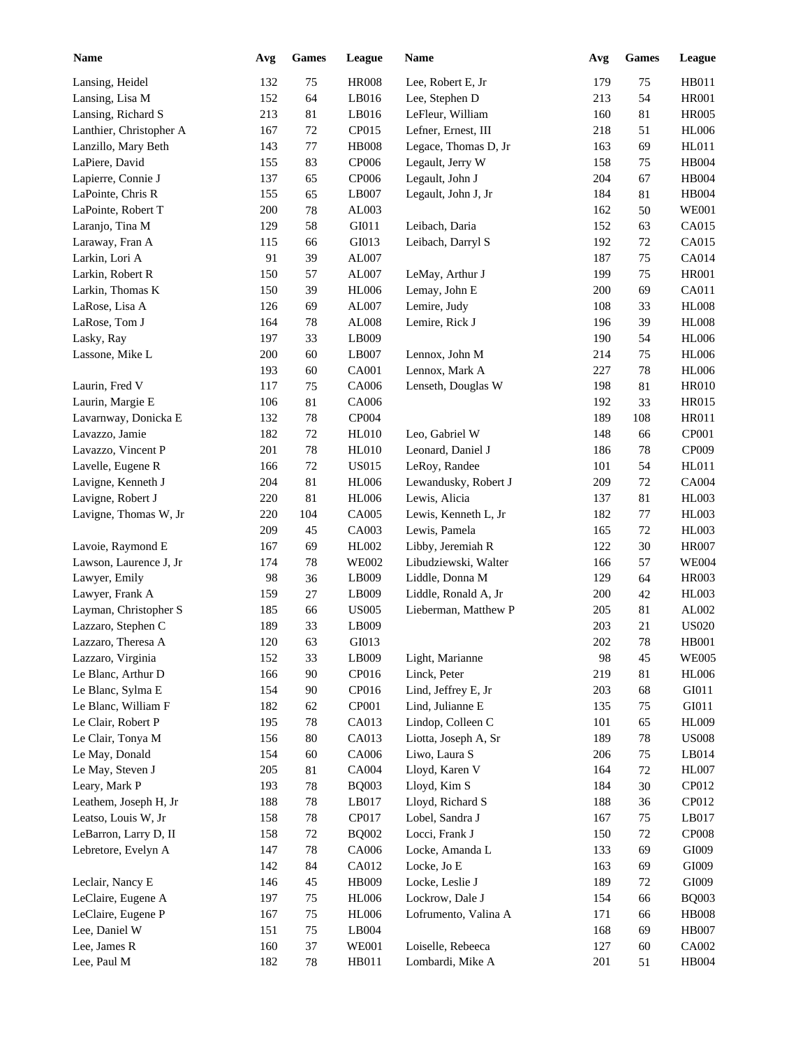| <b>Name</b>                              | Avg | <b>Games</b> | League        | Name                                  | Avg | <b>Games</b> | League                       |
|------------------------------------------|-----|--------------|---------------|---------------------------------------|-----|--------------|------------------------------|
| Lansing, Heidel                          | 132 | 75           | <b>HR008</b>  | Lee, Robert E, Jr                     | 179 | 75           | <b>HB011</b>                 |
| Lansing, Lisa M                          | 152 | 64           | LB016         | Lee, Stephen D                        | 213 | 54           | <b>HR001</b>                 |
| Lansing, Richard S                       | 213 | 81           | LB016         | LeFleur, William                      | 160 | 81           | <b>HR005</b>                 |
| Lanthier, Christopher A                  | 167 | 72           | CP015         | Lefner, Ernest, III                   | 218 | 51           | <b>HL006</b>                 |
| Lanzillo, Mary Beth                      | 143 | 77           | <b>HB008</b>  | Legace, Thomas D, Jr                  | 163 | 69           | HL011                        |
| LaPiere, David                           | 155 | 83           | <b>CP006</b>  | Legault, Jerry W                      | 158 | 75           | HB004                        |
| Lapierre, Connie J                       | 137 | 65           | <b>CP006</b>  | Legault, John J                       | 204 | 67           | <b>HB004</b>                 |
| LaPointe, Chris R                        | 155 | 65           | LB007         | Legault, John J, Jr                   | 184 | 81           | <b>HB004</b>                 |
| LaPointe, Robert T                       | 200 | $78\,$       | AL003         |                                       | 162 | 50           | <b>WE001</b>                 |
| Laranjo, Tina M                          | 129 | 58           | GI011         | Leibach, Daria                        | 152 | 63           | CA015                        |
| Laraway, Fran A                          | 115 | 66           | GI013         | Leibach, Darryl S                     | 192 | 72           | CA015                        |
| Larkin, Lori A                           | 91  | 39           | AL007         |                                       | 187 | 75           | CA014                        |
| Larkin, Robert R                         | 150 | 57           | AL007         | LeMay, Arthur J                       | 199 | 75           | <b>HR001</b>                 |
| Larkin, Thomas K                         | 150 | 39           | <b>HL006</b>  | Lemay, John E                         | 200 | 69           | CA011                        |
| LaRose, Lisa A                           | 126 | 69           | ${\rm AL}007$ | Lemire, Judy                          | 108 | 33           | <b>HL008</b>                 |
| LaRose, Tom J                            | 164 | 78           | ${\rm AL008}$ | Lemire, Rick J                        | 196 | 39           | <b>HL008</b>                 |
| Lasky, Ray                               | 197 | 33           | LB009         |                                       | 190 | 54           | <b>HL006</b>                 |
| Lassone, Mike L                          | 200 | 60           | LB007         | Lennox, John M                        | 214 | 75           | <b>HL006</b>                 |
|                                          | 193 | 60           | CA001         | Lennox, Mark A                        | 227 | 78           | <b>HL006</b>                 |
| Laurin, Fred V                           | 117 | 75           | CA006         | Lenseth, Douglas W                    | 198 | 81           | <b>HR010</b>                 |
| Laurin, Margie E                         | 106 | 81           | CA006         |                                       | 192 | 33           | <b>HR015</b>                 |
| Lavarnway, Donicka E                     | 132 | 78           | CP004         |                                       | 189 | 108          | HR011                        |
| Lavazzo, Jamie                           | 182 | 72           | HL010         | Leo, Gabriel W                        | 148 | 66           | CP001                        |
| Lavazzo, Vincent P                       | 201 | 78           | <b>HL010</b>  | Leonard, Daniel J                     | 186 | 78           | CP009                        |
| Lavelle, Eugene R                        | 166 | 72           | <b>US015</b>  | LeRoy, Randee                         | 101 | 54           | HL011                        |
| Lavigne, Kenneth J                       | 204 | 81           | <b>HL006</b>  | Lewandusky, Robert J                  | 209 | 72           | <b>CA004</b>                 |
| Lavigne, Robert J                        | 220 | 81           | <b>HL006</b>  | Lewis, Alicia                         | 137 | 81           | HL003                        |
| Lavigne, Thomas W, Jr                    | 220 | 104          | CA005         | Lewis, Kenneth L, Jr                  | 182 | 77           | <b>HL003</b>                 |
|                                          | 209 | 45           | CA003         | Lewis, Pamela                         | 165 | 72           | <b>HL003</b>                 |
| Lavoie, Raymond E                        | 167 | 69           | HL002         | Libby, Jeremiah R                     | 122 | 30           | <b>HR007</b>                 |
| Lawson, Laurence J, Jr                   | 174 | 78           | <b>WE002</b>  | Libudziewski, Walter                  | 166 | 57           | <b>WE004</b>                 |
| Lawyer, Emily                            | 98  | 36           | LB009         | Liddle, Donna M                       | 129 | 64           | <b>HR003</b>                 |
| Lawyer, Frank A                          | 159 | 27           | LB009         | Liddle, Ronald A, Jr                  | 200 | 42           | <b>HL003</b>                 |
| Layman, Christopher S                    | 185 | 66           | <b>US005</b>  | Lieberman, Matthew P                  | 205 | 81           | AL002                        |
| Lazzaro, Stephen C                       | 189 | 33           | LB009         |                                       | 203 | 21           | <b>US020</b>                 |
| Lazzaro, Theresa A                       | 120 | 63           | GI013         |                                       | 202 | 78           | <b>HB001</b>                 |
|                                          |     |              |               |                                       | 98  |              | <b>WE005</b>                 |
| Lazzaro, Virginia                        | 152 | 33           | LB009         | Light, Marianne<br>Linck, Peter       |     | 45           |                              |
| Le Blanc, Arthur D                       | 166 | $90\,$       | CP016         |                                       | 219 | 81           | <b>HL006</b>                 |
| Le Blanc, Sylma E<br>Le Blanc, William F | 154 | $90\,$       | CP016         | Lind, Jeffrey E, Jr                   | 203 | 68           | GI011                        |
| Le Clair, Robert P                       | 182 | 62           | CP001         | Lind, Julianne E<br>Lindop, Colleen C | 135 | 75           | GI011                        |
| Le Clair, Tonya M                        | 195 | 78           | CA013         |                                       | 101 | 65           | <b>HL009</b><br><b>US008</b> |
| Le May, Donald                           | 156 | $80\,$       | CA013         | Liotta, Joseph A, Sr                  | 189 | 78           | LB014                        |
|                                          | 154 | 60           | CA006         | Liwo, Laura S                         | 206 | 75           |                              |
| Le May, Steven J                         | 205 | 81           | CA004         | Lloyd, Karen V                        | 164 | 72           | <b>HL007</b>                 |
| Leary, Mark P                            | 193 | 78           | <b>BQ003</b>  | Lloyd, Kim S                          | 184 | 30           | CP012                        |
| Leathem, Joseph H, Jr                    | 188 | $78\,$       | LB017         | Lloyd, Richard S                      | 188 | 36           | CP012                        |
| Leatso, Louis W, Jr                      | 158 | $78\,$       | CP017         | Lobel, Sandra J                       | 167 | 75           | LB017                        |
| LeBarron, Larry D, II                    | 158 | $72\,$       | <b>BQ002</b>  | Locci, Frank J                        | 150 | 72           | <b>CP008</b>                 |
| Lebretore, Evelyn A                      | 147 | 78           | CA006         | Locke, Amanda L                       | 133 | 69           | GI009                        |
|                                          | 142 | 84           | CA012         | Locke, Jo E                           | 163 | 69           | GI009                        |
| Leclair, Nancy E                         | 146 | 45           | HB009         | Locke, Leslie J                       | 189 | $72\,$       | GI009                        |
| LeClaire, Eugene A                       | 197 | 75           | <b>HL006</b>  | Lockrow, Dale J                       | 154 | 66           | <b>BQ003</b>                 |
| LeClaire, Eugene P                       | 167 | 75           | <b>HL006</b>  | Lofrumento, Valina A                  | 171 | 66           | <b>HB008</b>                 |
| Lee, Daniel W                            | 151 | 75           | LB004         |                                       | 168 | 69           | <b>HB007</b>                 |
| Lee, James R                             | 160 | 37           | <b>WE001</b>  | Loiselle, Rebeeca                     | 127 | 60           | CA002                        |
| Lee, Paul M                              | 182 | 78           | HB011         | Lombardi, Mike A                      | 201 | 51           | HB004                        |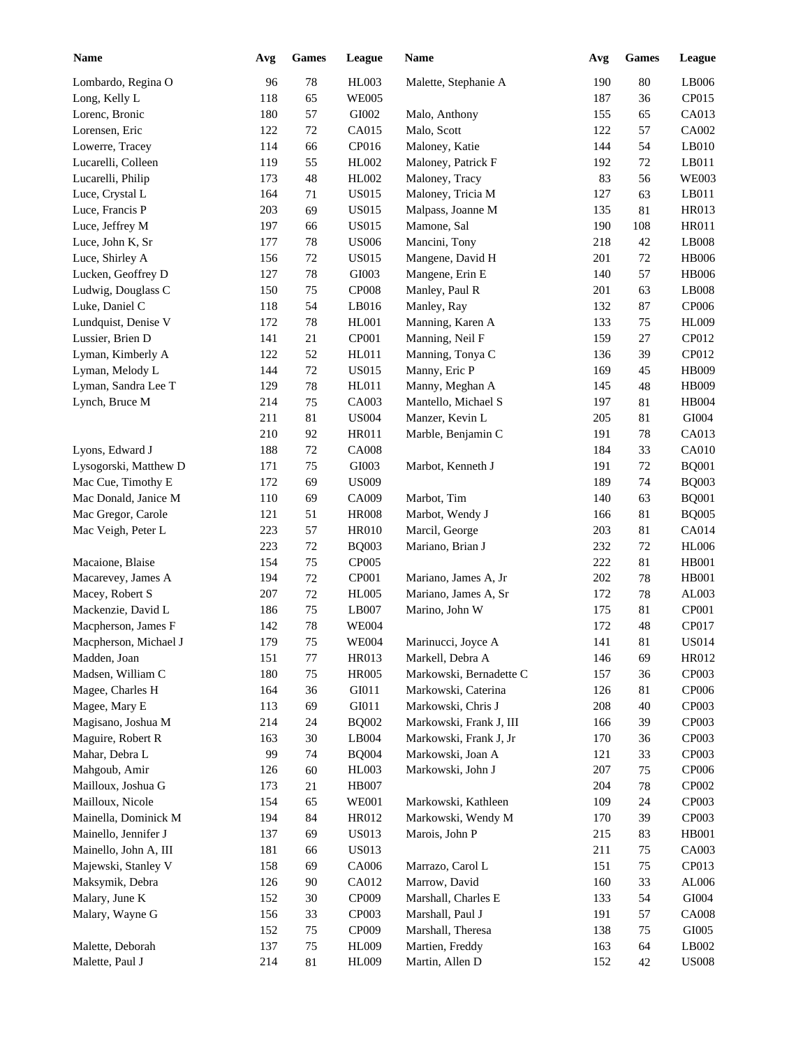| <b>Name</b>           | Avg | <b>Games</b> | League                 | Name                    | Avg | <b>Games</b> | <b>League</b> |
|-----------------------|-----|--------------|------------------------|-------------------------|-----|--------------|---------------|
| Lombardo, Regina O    | 96  | 78           | <b>HL003</b>           | Malette, Stephanie A    | 190 | 80           | LB006         |
| Long, Kelly L         | 118 | 65           | <b>WE005</b>           |                         | 187 | 36           | CP015         |
| Lorenc, Bronic        | 180 | 57           | GI002                  | Malo, Anthony           | 155 | 65           | CA013         |
| Lorensen, Eric        | 122 | 72           | CA015                  | Malo, Scott             | 122 | 57           | CA002         |
| Lowerre, Tracey       | 114 | 66           | CP016                  | Maloney, Katie          | 144 | 54           | LB010         |
| Lucarelli, Colleen    | 119 | 55           | HL002                  | Maloney, Patrick F      | 192 | 72           | LB011         |
| Lucarelli, Philip     | 173 | 48           | HL002                  | Maloney, Tracy          | 83  | 56           | <b>WE003</b>  |
| Luce, Crystal L       | 164 | 71           | <b>US015</b>           | Maloney, Tricia M       | 127 | 63           | LB011         |
| Luce, Francis P       | 203 | 69           | <b>US015</b>           | Malpass, Joanne M       | 135 | 81           | HR013         |
| Luce, Jeffrey M       | 197 | 66           | <b>US015</b>           | Mamone, Sal             | 190 | 108          | <b>HR011</b>  |
| Luce, John K, Sr      | 177 | 78           | <b>US006</b>           | Mancini, Tony           | 218 | 42           | LB008         |
| Luce, Shirley A       | 156 | 72           | <b>US015</b>           | Mangene, David H        | 201 | 72           | <b>HB006</b>  |
| Lucken, Geoffrey D    | 127 | 78           | GI003                  | Mangene, Erin E         | 140 | 57           | <b>HB006</b>  |
| Ludwig, Douglass C    | 150 | 75           | CP008                  | Manley, Paul R          | 201 | 63           | LB008         |
| Luke, Daniel C        | 118 | 54           | LB016                  | Manley, Ray             | 132 | 87           | CP006         |
| Lundquist, Denise V   | 172 | 78           | HL001                  | Manning, Karen A        | 133 | 75           | <b>HL009</b>  |
| Lussier, Brien D      | 141 | 21           | <b>CP001</b>           | Manning, Neil F         | 159 | 27           | CP012         |
| Lyman, Kimberly A     | 122 | 52           | HL011                  | Manning, Tonya C        | 136 | 39           | CP012         |
| Lyman, Melody L       | 144 | 72           | <b>US015</b>           | Manny, Eric P           | 169 | 45           | <b>HB009</b>  |
| Lyman, Sandra Lee T   | 129 | 78           | HL011                  | Manny, Meghan A         | 145 | 48           | <b>HB009</b>  |
| Lynch, Bruce M        | 214 | 75           | CA003                  | Mantello, Michael S     | 197 | 81           | <b>HB004</b>  |
|                       | 211 | 81           | <b>US004</b>           | Manzer, Kevin L         | 205 | 81           | GI004         |
|                       | 210 | 92           | <b>HR011</b>           | Marble, Benjamin C      | 191 | 78           | CA013         |
| Lyons, Edward J       | 188 | 72           | <b>CA008</b>           |                         | 184 | 33           | <b>CA010</b>  |
| Lysogorski, Matthew D | 171 | 75           | GI003                  | Marbot, Kenneth J       | 191 | 72           | <b>BQ001</b>  |
| Mac Cue, Timothy E    | 172 | 69           | <b>US009</b>           |                         | 189 | 74           | <b>BQ003</b>  |
| Mac Donald, Janice M  | 110 | 69           | CA009                  | Marbot, Tim             | 140 | 63           | <b>BQ001</b>  |
| Mac Gregor, Carole    | 121 | 51           | <b>HR008</b>           | Marbot, Wendy J         | 166 | 81           | <b>BQ005</b>  |
| Mac Veigh, Peter L    | 223 | 57           | <b>HR010</b>           | Marcil, George          | 203 | 81           | CA014         |
|                       | 223 | 72           | <b>BQ003</b>           | Mariano, Brian J        | 232 | 72           | <b>HL006</b>  |
| Macaione, Blaise      | 154 | 75           | CP005                  |                         | 222 | $81\,$       | <b>HB001</b>  |
| Macarevey, James A    | 194 | 72           | CP001                  | Mariano, James A, Jr    | 202 | 78           | <b>HB001</b>  |
| Macey, Robert S       | 207 | 72           | <b>HL005</b>           | Mariano, James A, Sr    | 172 | 78           | AL003         |
| Mackenzie, David L    | 186 | 75           | LB007                  | Marino, John W          | 175 | 81           | CP001         |
| Macpherson, James F   | 142 | 78           | <b>WE004</b>           |                         | 172 | 48           | CP017         |
| Macpherson, Michael J | 179 | 75           | <b>WE004</b>           | Marinucci, Joyce A      | 141 | 81           | <b>US014</b>  |
| Madden, Joan          | 151 | $77\,$       | HR013                  | Markell, Debra A        | 146 | 69           | HR012         |
| Madsen, William C     | 180 | $75\,$       | <b>HR005</b>           | Markowski, Bernadette C | 157 | 36           | CP003         |
| Magee, Charles H      | 164 | 36           | GI011                  | Markowski, Caterina     | 126 | 81           | CP006         |
| Magee, Mary E         | 113 | 69           | GI011                  | Markowski, Chris J      | 208 | 40           | CP003         |
| Magisano, Joshua M    | 214 | 24           | <b>BQ002</b>           | Markowski, Frank J, III | 166 | 39           | CP003         |
| Maguire, Robert R     | 163 | $30\,$       | $\operatorname{LB}004$ | Markowski, Frank J, Jr  | 170 | 36           | CP003         |
| Mahar, Debra L        | 99  | 74           | <b>BQ004</b>           | Markowski, Joan A       | 121 | 33           | CP003         |
| Mahgoub, Amir         | 126 | 60           | HL003                  | Markowski, John J       | 207 | 75           | CP006         |
| Mailloux, Joshua G    | 173 | 21           | <b>HB007</b>           |                         | 204 | 78           | CP002         |
| Mailloux, Nicole      | 154 | 65           | <b>WE001</b>           | Markowski, Kathleen     | 109 | 24           | CP003         |
| Mainella, Dominick M  | 194 | 84           | HR012                  | Markowski, Wendy M      | 170 | 39           | CP003         |
| Mainello, Jennifer J  | 137 | 69           | <b>US013</b>           | Marois, John P          | 215 | 83           | <b>HB001</b>  |
| Mainello, John A, III | 181 | 66           | <b>US013</b>           |                         | 211 | 75           | CA003         |
| Majewski, Stanley V   | 158 | 69           | CA006                  | Marrazo, Carol L        | 151 | 75           | CP013         |
| Maksymik, Debra       | 126 | $90\,$       | CA012                  | Marrow, David           | 160 | 33           | AL006         |
| Malary, June K        | 152 | $30\,$       | CP009                  | Marshall, Charles E     | 133 | 54           | ${\rm GIO}04$ |
| Malary, Wayne G       | 156 | 33           | CP003                  | Marshall, Paul J        | 191 | 57           | <b>CA008</b>  |
|                       | 152 | $75\,$       | CP009                  | Marshall, Theresa       | 138 | 75           | GI005         |
| Malette, Deborah      | 137 | 75           | <b>HL009</b>           | Martien, Freddy         | 163 | 64           | LB002         |
| Malette, Paul J       | 214 | 81           | <b>HL009</b>           | Martin, Allen D         | 152 | 42           | <b>US008</b>  |
|                       |     |              |                        |                         |     |              |               |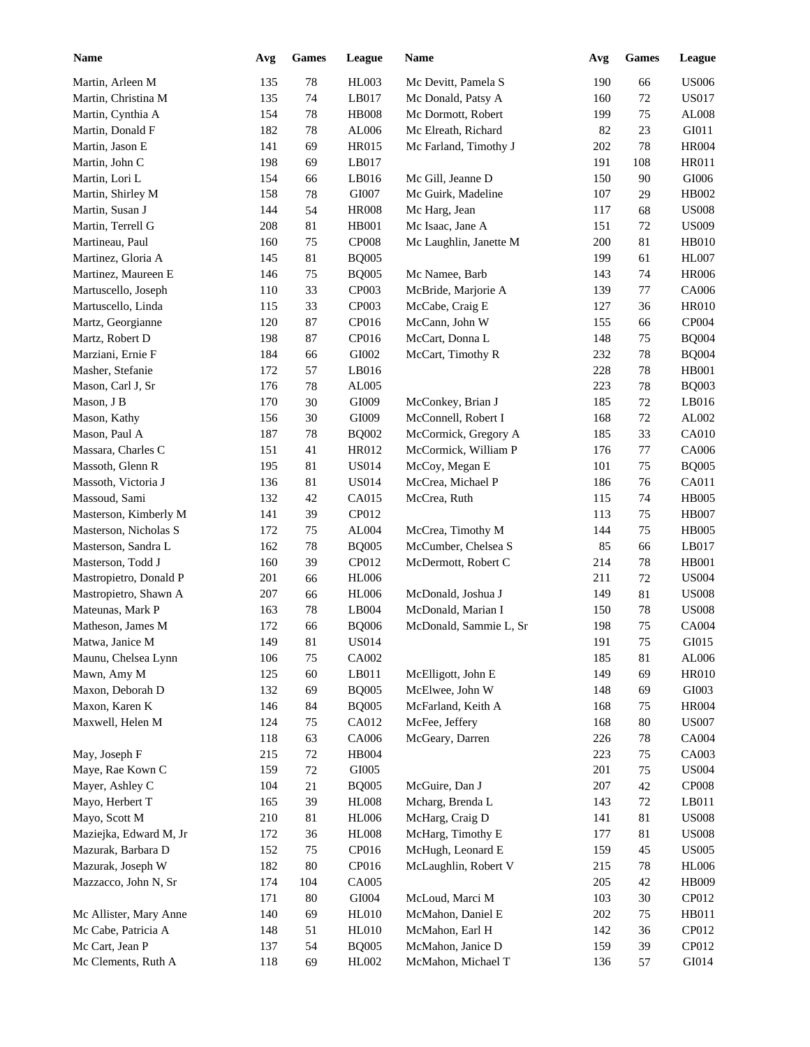| <b>Name</b>            | Avg | ${\bf Games}$ | League         | <b>Name</b>            | Avg | Games  | League                        |
|------------------------|-----|---------------|----------------|------------------------|-----|--------|-------------------------------|
| Martin, Arleen M       | 135 | $78\,$        | <b>HL003</b>   | Mc Devitt, Pamela S    | 190 | 66     | <b>US006</b>                  |
| Martin, Christina M    | 135 | 74            | LB017          | Mc Donald, Patsy A     | 160 | 72     | <b>US017</b>                  |
| Martin, Cynthia A      | 154 | 78            | <b>HB008</b>   | Mc Dormott, Robert     | 199 | 75     | AL008                         |
| Martin, Donald F       | 182 | 78            | AL006          | Mc Elreath, Richard    | 82  | 23     | GI011                         |
| Martin, Jason E        | 141 | 69            | HR015          | Mc Farland, Timothy J  | 202 | 78     | <b>HR004</b>                  |
| Martin, John C         | 198 | 69            | LB017          |                        | 191 | 108    | HR011                         |
| Martin, Lori L         | 154 | 66            | LB016          | Mc Gill, Jeanne D      | 150 | 90     | GI006                         |
| Martin, Shirley M      | 158 | 78            | GI007          | Mc Guirk, Madeline     | 107 | 29     | HB002                         |
| Martin, Susan J        | 144 | 54            | <b>HR008</b>   | Mc Harg, Jean          | 117 | 68     | <b>US008</b>                  |
| Martin, Terrell G      | 208 | 81            | HB001          | Mc Isaac, Jane A       | 151 | 72     | <b>US009</b>                  |
| Martineau, Paul        | 160 | 75            | <b>CP008</b>   | Mc Laughlin, Janette M | 200 | 81     | HB010                         |
| Martinez, Gloria A     | 145 | 81            | <b>BQ005</b>   |                        | 199 | 61     | <b>HL007</b>                  |
| Martinez, Maureen E    | 146 | $75\,$        | <b>BQ005</b>   | Mc Namee, Barb         | 143 | 74     | <b>HR006</b>                  |
| Martuscello, Joseph    | 110 | 33            | CP003          | McBride, Marjorie A    | 139 | 77     | CA006                         |
| Martuscello, Linda     | 115 | 33            | CP003          | McCabe, Craig E        | 127 | 36     | <b>HR010</b>                  |
| Martz, Georgianne      | 120 | 87            | CP016          | McCann, John W         | 155 | 66     | CP004                         |
| Martz, Robert D        | 198 | 87            | CP016          | McCart, Donna L        | 148 | 75     | <b>BQ004</b>                  |
| Marziani, Ernie F      | 184 | 66            | GI002          | McCart, Timothy R      | 232 | 78     | <b>BQ004</b>                  |
| Masher, Stefanie       | 172 | 57            | LB016          |                        | 228 | 78     | <b>HB001</b>                  |
| Mason, Carl J, Sr      | 176 | 78            | AL005          |                        | 223 | 78     | <b>BQ003</b>                  |
| Mason, J B             | 170 | 30            | GI009          | McConkey, Brian J      | 185 | 72     | LB016                         |
| Mason, Kathy           | 156 | 30            | GI009          | McConnell, Robert I    | 168 | 72     | AL002                         |
| Mason, Paul A          | 187 | 78            | <b>BQ002</b>   | McCormick, Gregory A   | 185 | 33     | <b>CA010</b>                  |
| Massara, Charles C     | 151 | 41            | HR012          | McCormick, William P   | 176 | 77     | CA006                         |
| Massoth, Glenn R       | 195 | 81            | <b>US014</b>   | McCoy, Megan E         | 101 | 75     | <b>BQ005</b>                  |
|                        |     |               |                |                        |     |        | CA011                         |
| Massoth, Victoria J    | 136 | 81            | <b>US014</b>   | McCrea, Michael P      | 186 | 76     | <b>HB005</b>                  |
| Massoud, Sami          | 132 | 42<br>39      | CA015<br>CP012 | McCrea, Ruth           | 115 | 74     |                               |
| Masterson, Kimberly M  | 141 |               |                |                        | 113 | 75     | <b>HB007</b>                  |
| Masterson, Nicholas S  | 172 | 75            | AL004          | McCrea, Timothy M      | 144 | 75     | <b>HB005</b>                  |
| Masterson, Sandra L    | 162 | 78            | <b>BQ005</b>   | McCumber, Chelsea S    | 85  | 66     | LB017                         |
| Masterson, Todd J      | 160 | 39            | CP012          | McDermott, Robert C    | 214 | 78     | HB001                         |
| Mastropietro, Donald P | 201 | 66            | <b>HL006</b>   |                        | 211 | 72     | <b>US004</b>                  |
| Mastropietro, Shawn A  | 207 | 66            | <b>HL006</b>   | McDonald, Joshua J     | 149 | 81     | <b>US008</b>                  |
| Mateunas, Mark P       | 163 | 78            | LB004          | McDonald, Marian I     | 150 | 78     | <b>US008</b>                  |
| Matheson, James M      | 172 | 66            | <b>BQ006</b>   | McDonald, Sammie L, Sr | 198 | 75     | CA004                         |
| Matwa, Janice M        | 149 | $81\,$        | <b>US014</b>   |                        | 191 | $75\,$ | GI015                         |
| Maunu, Chelsea Lynn    | 106 | 75            | CA002          |                        | 185 | 81     | AL006                         |
| Mawn, Amy M            | 125 | 60            | LB011          | McElligott, John E     | 149 | 69     | <b>HR010</b>                  |
| Maxon, Deborah D       | 132 | 69            | <b>BQ005</b>   | McElwee, John W        | 148 | 69     | GI003                         |
| Maxon, Karen K         | 146 | 84            | <b>BQ005</b>   | McFarland, Keith A     | 168 | 75     | <b>HR004</b>                  |
| Maxwell, Helen M       | 124 | 75            | CA012          | McFee, Jeffery         | 168 | $80\,$ | <b>US007</b>                  |
|                        | 118 | 63            | CA006          | McGeary, Darren        | 226 | 78     | CA004                         |
| May, Joseph F          | 215 | 72            | HB004          |                        | 223 | 75     | CA003                         |
| Maye, Rae Kown C       | 159 | 72            | GI005          |                        | 201 | 75     | <b>US004</b>                  |
| Mayer, Ashley C        | 104 | 21            | <b>BQ005</b>   | McGuire, Dan J         | 207 | $42\,$ | CP008                         |
| Mayo, Herbert T        | 165 | 39            | <b>HL008</b>   | Mcharg, Brenda L       | 143 | 72     | LB011                         |
| Mayo, Scott M          | 210 | 81            | <b>HL006</b>   | McHarg, Craig D        | 141 | 81     | $\ensuremath{\mathrm{US008}}$ |
| Maziejka, Edward M, Jr | 172 | 36            | <b>HL008</b>   | McHarg, Timothy E      | 177 | 81     | <b>US008</b>                  |
| Mazurak, Barbara D     | 152 | 75            | CP016          | McHugh, Leonard E      | 159 | 45     | <b>US005</b>                  |
| Mazurak, Joseph W      | 182 | $80\,$        | CP016          | McLaughlin, Robert V   | 215 | 78     | <b>HL006</b>                  |
| Mazzacco, John N, Sr   | 174 | 104           | CA005          |                        | 205 | 42     | HB009                         |
|                        | 171 | 80            | GI004          | McLoud, Marci M        | 103 | 30     | CP012                         |
| Mc Allister, Mary Anne | 140 | 69            | <b>HL010</b>   | McMahon, Daniel E      | 202 | 75     | HB011                         |
| Mc Cabe, Patricia A    | 148 | 51            | <b>HL010</b>   | McMahon, Earl H        | 142 | 36     | CP012                         |
| Mc Cart, Jean P        | 137 | 54            | <b>BQ005</b>   | McMahon, Janice D      | 159 | 39     | CP012                         |
| Mc Clements, Ruth A    | 118 | 69            | HL002          | McMahon, Michael T     | 136 | 57     | GI014                         |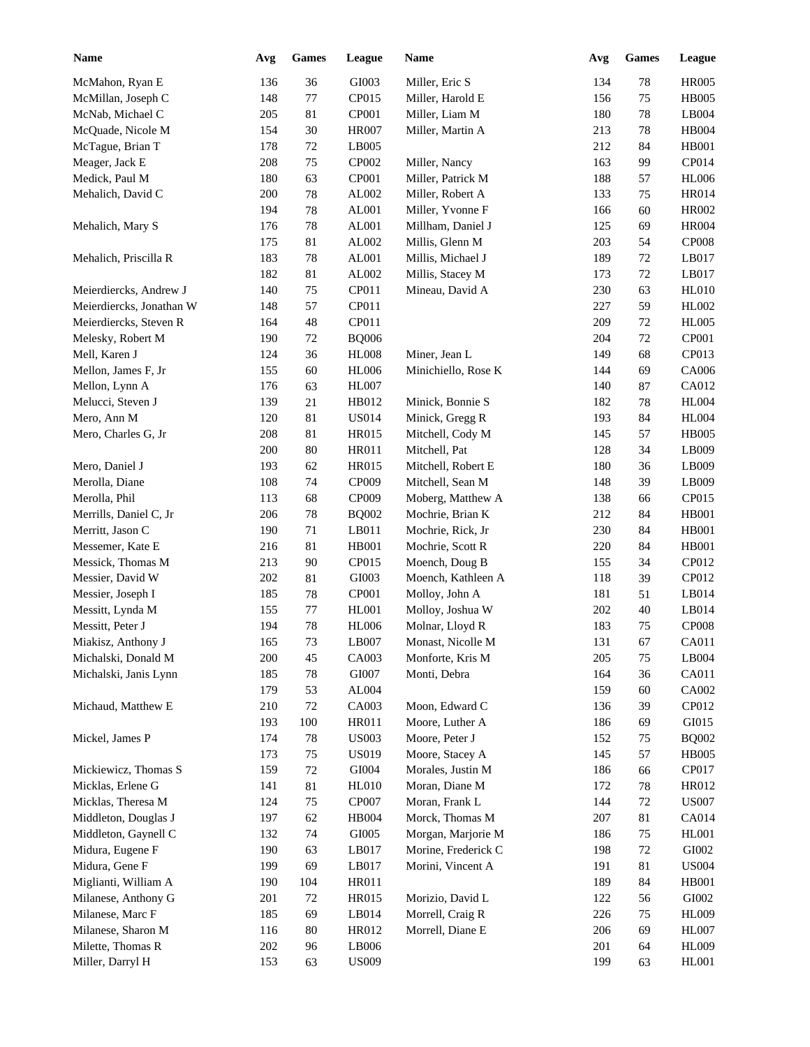| <b>Name</b>              | Avg | <b>Games</b> | <b>League</b> | Name                | Avg | <b>Games</b> | League       |
|--------------------------|-----|--------------|---------------|---------------------|-----|--------------|--------------|
| McMahon, Ryan E          | 136 | 36           | GI003         | Miller, Eric S      | 134 | 78           | <b>HR005</b> |
| McMillan, Joseph C       | 148 | 77           | CP015         | Miller, Harold E    | 156 | 75           | <b>HB005</b> |
| McNab, Michael C         | 205 | 81           | CP001         | Miller, Liam M      | 180 | 78           | LB004        |
| McQuade, Nicole M        | 154 | $30\,$       | <b>HR007</b>  | Miller, Martin A    | 213 | 78           | HB004        |
| McTague, Brian T         | 178 | $72\,$       | LB005         |                     | 212 | 84           | <b>HB001</b> |
| Meager, Jack E           | 208 | 75           | CP002         | Miller, Nancy       | 163 | 99           | CP014        |
| Medick, Paul M           | 180 | 63           | CP001         | Miller, Patrick M   | 188 | 57           | <b>HL006</b> |
| Mehalich, David C        | 200 | $78\,$       | AL002         | Miller, Robert A    | 133 | 75           | HR014        |
|                          | 194 | $78\,$       | AL001         | Miller, Yvonne F    | 166 | 60           | HR002        |
| Mehalich, Mary S         | 176 | $78\,$       | AL001         | Millham, Daniel J   | 125 | 69           | <b>HR004</b> |
|                          | 175 | 81           | AL002         | Millis, Glenn M     | 203 | 54           | <b>CP008</b> |
| Mehalich, Priscilla R    | 183 | 78           | AL001         | Millis, Michael J   | 189 | 72           | LB017        |
|                          | 182 | 81           | AL002         | Millis, Stacey M    | 173 | 72           | LB017        |
| Meierdiercks, Andrew J   | 140 | 75           | CP011         | Mineau, David A     | 230 | 63           | HL010        |
| Meierdiercks, Jonathan W | 148 | 57           | CP011         |                     | 227 | 59           | HL002        |
| Meierdiercks, Steven R   | 164 | 48           | CP011         |                     | 209 | 72           | <b>HL005</b> |
| Melesky, Robert M        | 190 | 72           | <b>BQ006</b>  |                     | 204 | 72           | CP001        |
| Mell, Karen J            | 124 | 36           | <b>HL008</b>  | Miner, Jean L       | 149 | 68           | CP013        |
| Mellon, James F, Jr      | 155 | 60           | <b>HL006</b>  | Minichiello, Rose K | 144 | 69           | CA006        |
| Mellon, Lynn A           | 176 | 63           | <b>HL007</b>  |                     | 140 | 87           | CA012        |
| Melucci, Steven J        | 139 | 21           | HB012         | Minick, Bonnie S    | 182 | 78           | <b>HL004</b> |
| Mero, Ann M              | 120 | 81           | <b>US014</b>  | Minick, Gregg R     | 193 | 84           | <b>HL004</b> |
| Mero, Charles G, Jr      | 208 | 81           | <b>HR015</b>  | Mitchell, Cody M    | 145 | 57           | <b>HB005</b> |
|                          | 200 | 80           | <b>HR011</b>  | Mitchell, Pat       | 128 | 34           | LB009        |
| Mero, Daniel J           | 193 |              | <b>HR015</b>  | Mitchell, Robert E  | 180 | 36           | LB009        |
|                          | 108 | 62<br>74     | CP009         |                     |     | 39           | LB009        |
| Merolla, Diane           | 113 | 68           | CP009         | Mitchell, Sean M    | 148 |              | CP015        |
| Merolla, Phil            |     | 78           |               | Moberg, Matthew A   | 138 | 66           | <b>HB001</b> |
| Merrills, Daniel C, Jr   | 206 |              | <b>BQ002</b>  | Mochrie, Brian K    | 212 | 84           |              |
| Merritt, Jason C         | 190 | 71           | LB011         | Mochrie, Rick, Jr   | 230 | 84           | <b>HB001</b> |
| Messemer, Kate E         | 216 | 81           | HB001         | Mochrie, Scott R    | 220 | 84           | <b>HB001</b> |
| Messick, Thomas M        | 213 | 90           | CP015         | Moench, Doug B      | 155 | 34           | CP012        |
| Messier, David W         | 202 | 81           | GI003         | Moench, Kathleen A  | 118 | 39           | CP012        |
| Messier, Joseph I        | 185 | $78\,$       | CP001         | Molloy, John A      | 181 | 51           | LB014        |
| Messitt, Lynda M         | 155 | 77           | <b>HL001</b>  | Molloy, Joshua W    | 202 | 40           | LB014        |
| Messitt, Peter J         | 194 | 78           | <b>HL006</b>  | Molnar, Lloyd R     | 183 | 75           | <b>CP008</b> |
| Miakisz, Anthony J       | 165 | 73           | LB007         | Monast, Nicolle M   | 131 | 67           | CA011        |
| Michalski, Donald M      | 200 | 45           | CA003         | Monforte, Kris M    | 205 | 75           | LB004        |
| Michalski, Janis Lynn    | 185 | 78           | GI007         | Monti, Debra        | 164 | 36           | CA011        |
|                          | 179 | 53           | AL004         |                     | 159 | 60           | CA002        |
| Michaud, Matthew E       | 210 | 72           | CA003         | Moon, Edward C      | 136 | 39           | CP012        |
|                          | 193 | 100          | HR011         | Moore, Luther A     | 186 | 69           | GI015        |
| Mickel, James P          | 174 | $78\,$       | <b>US003</b>  | Moore, Peter J      | 152 | 75           | <b>BQ002</b> |
|                          | 173 | 75           | <b>US019</b>  | Moore, Stacey A     | 145 | 57           | <b>HB005</b> |
| Mickiewicz, Thomas S     | 159 | 72           | GI004         | Morales, Justin M   | 186 | 66           | CP017        |
| Micklas, Erlene G        | 141 | 81           | <b>HL010</b>  | Moran, Diane M      | 172 | 78           | HR012        |
| Micklas, Theresa M       | 124 | 75           | CP007         | Moran, Frank L      | 144 | 72           | <b>US007</b> |
| Middleton, Douglas J     | 197 | 62           | HB004         | Morck, Thomas M     | 207 | 81           | CA014        |
| Middleton, Gaynell C     | 132 | 74           | GI005         | Morgan, Marjorie M  | 186 | 75           | <b>HL001</b> |
| Midura, Eugene F         | 190 | 63           | LB017         | Morine, Frederick C | 198 | 72           | GI002        |
| Midura, Gene F           | 199 | 69           | LB017         | Morini, Vincent A   | 191 | 81           | <b>US004</b> |
| Miglianti, William A     | 190 | 104          | HR011         |                     | 189 | 84           | <b>HB001</b> |
| Milanese, Anthony G      | 201 | 72           | HR015         | Morizio, David L    | 122 | 56           | GI002        |
| Milanese, Marc F         | 185 | 69           | LB014         | Morrell, Craig R    | 226 | 75           | <b>HL009</b> |
| Milanese, Sharon M       | 116 | 80           | HR012         | Morrell, Diane E    | 206 | 69           | <b>HL007</b> |
| Milette, Thomas R        | 202 | 96           | LB006         |                     | 201 | 64           | <b>HL009</b> |
| Miller, Darryl H         | 153 | 63           | <b>US009</b>  |                     | 199 | 63           | <b>HL001</b> |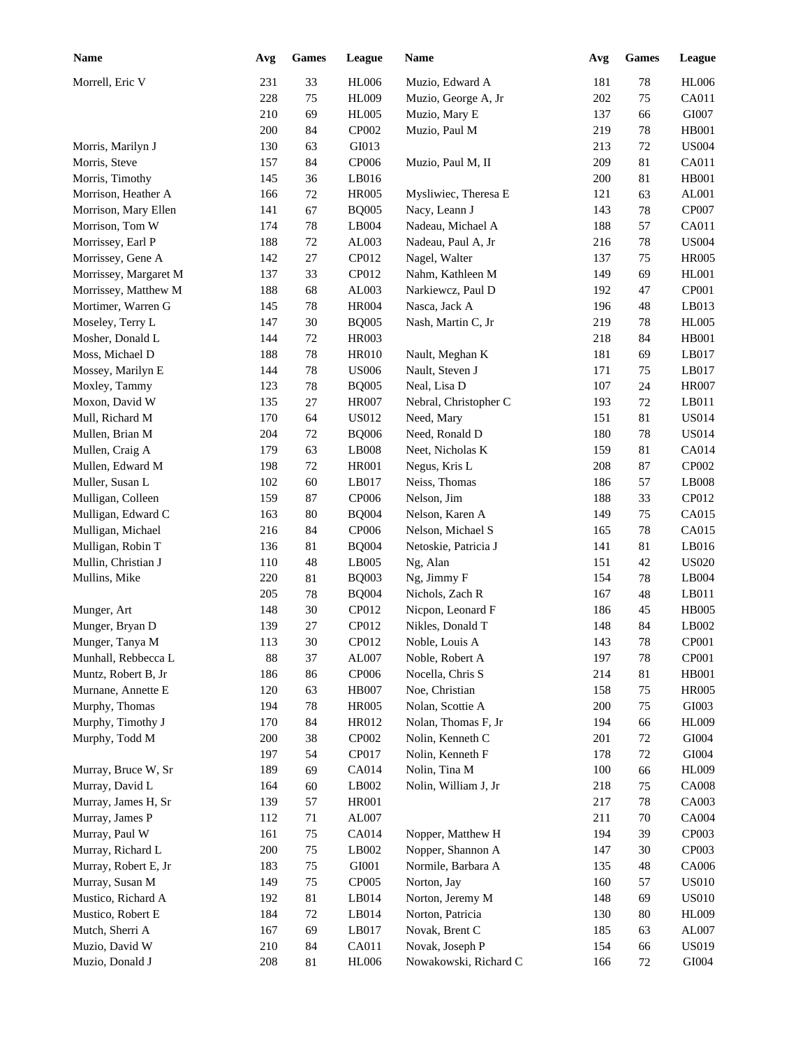| <b>Name</b>           | Avg | Games  | League       | <b>Name</b>           | Avg | Games  | League       |
|-----------------------|-----|--------|--------------|-----------------------|-----|--------|--------------|
| Morrell, Eric V       | 231 | 33     | <b>HL006</b> | Muzio, Edward A       | 181 | $78\,$ | <b>HL006</b> |
|                       | 228 | 75     | <b>HL009</b> | Muzio, George A, Jr   | 202 | 75     | CA011        |
|                       | 210 | 69     | <b>HL005</b> | Muzio, Mary E         | 137 | 66     | GI007        |
|                       | 200 | 84     | CP002        | Muzio, Paul M         | 219 | 78     | <b>HB001</b> |
| Morris, Marilyn J     | 130 | 63     | GI013        |                       | 213 | 72     | <b>US004</b> |
| Morris, Steve         | 157 | 84     | CP006        | Muzio, Paul M, II     | 209 | 81     | CA011        |
| Morris, Timothy       | 145 | 36     | LB016        |                       | 200 | 81     | <b>HB001</b> |
| Morrison, Heather A   | 166 | $72\,$ | <b>HR005</b> | Mysliwiec, Theresa E  | 121 | 63     | AL001        |
| Morrison, Mary Ellen  | 141 | 67     | <b>BQ005</b> | Nacy, Leann J         | 143 | 78     | CP007        |
| Morrison, Tom W       | 174 | $78\,$ | LB004        | Nadeau, Michael A     | 188 | 57     | CA011        |
| Morrissey, Earl P     | 188 | $72\,$ | AL003        | Nadeau, Paul A, Jr    | 216 | 78     | <b>US004</b> |
| Morrissey, Gene A     | 142 | 27     | CP012        | Nagel, Walter         | 137 | 75     | <b>HR005</b> |
| Morrissey, Margaret M | 137 | 33     | CP012        | Nahm, Kathleen M      | 149 | 69     | <b>HL001</b> |
| Morrissey, Matthew M  | 188 | 68     | AL003        | Narkiewcz, Paul D     | 192 | 47     | CP001        |
| Mortimer, Warren G    | 145 | 78     | <b>HR004</b> | Nasca, Jack A         | 196 | 48     | LB013        |
| Moseley, Terry L      | 147 | $30\,$ | <b>BQ005</b> | Nash, Martin C, Jr    | 219 | 78     | <b>HL005</b> |
| Mosher, Donald L      | 144 | 72     | <b>HR003</b> |                       | 218 | 84     | <b>HB001</b> |
| Moss, Michael D       | 188 | 78     | <b>HR010</b> | Nault, Meghan K       | 181 | 69     | LB017        |
| Mossey, Marilyn E     | 144 | 78     | <b>US006</b> | Nault, Steven J       | 171 | 75     | LB017        |
| Moxley, Tammy         | 123 | 78     | <b>BQ005</b> | Neal, Lisa D          | 107 | 24     | <b>HR007</b> |
| Moxon, David W        | 135 | 27     | <b>HR007</b> | Nebral, Christopher C | 193 | 72     | LB011        |
| Mull, Richard M       | 170 | 64     | <b>US012</b> | Need, Mary            | 151 | $81\,$ | <b>US014</b> |
| Mullen, Brian M       | 204 | 72     | <b>BQ006</b> | Need, Ronald D        | 180 | 78     | <b>US014</b> |
| Mullen, Craig A       | 179 | 63     | LB008        | Neet, Nicholas K      | 159 | 81     | CA014        |
| Mullen, Edward M      | 198 | 72     | <b>HR001</b> | Negus, Kris L         | 208 | 87     | CP002        |
| Muller, Susan L       | 102 | 60     | LB017        | Neiss, Thomas         | 186 | 57     | LB008        |
| Mulligan, Colleen     | 159 | 87     | CP006        | Nelson, Jim           | 188 | 33     | CP012        |
| Mulligan, Edward C    | 163 | 80     | <b>BQ004</b> | Nelson, Karen A       | 149 | 75     | CA015        |
| Mulligan, Michael     | 216 | 84     | CP006        | Nelson, Michael S     | 165 | 78     | CA015        |
| Mulligan, Robin T     | 136 | 81     | <b>BQ004</b> | Netoskie, Patricia J  | 141 | $81\,$ | LB016        |
| Mullin, Christian J   | 110 | 48     | LB005        | Ng, Alan              | 151 | 42     | <b>US020</b> |
| Mullins, Mike         | 220 | 81     | <b>BQ003</b> | Ng, Jimmy F           | 154 | 78     | LB004        |
|                       | 205 | 78     | <b>BQ004</b> | Nichols, Zach R       | 167 | $48\,$ | LB011        |
| Munger, Art           | 148 | $30\,$ | CP012        | Nicpon, Leonard F     | 186 | 45     | <b>HB005</b> |
| Munger, Bryan D       | 139 | 27     | CP012        | Nikles, Donald T      | 148 | 84     | LB002        |
| Munger, Tanya M       | 113 | $30\,$ | CP012        | Noble, Louis A        | 143 | $78\,$ | CP001        |
| Munhall, Rebbecca L   | 88  | 37     | AL007        | Noble, Robert A       | 197 | 78     | CP001        |
| Muntz, Robert B, Jr   | 186 | 86     | CP006        | Nocella, Chris S      | 214 | 81     | HB001        |
| Murnane, Annette E    | 120 | 63     | <b>HB007</b> | Noe, Christian        | 158 | 75     | <b>HR005</b> |
| Murphy, Thomas        | 194 | 78     | <b>HR005</b> | Nolan, Scottie A      | 200 | 75     | GI003        |
| Murphy, Timothy J     | 170 | 84     | HR012        | Nolan, Thomas F, Jr   | 194 | 66     | HL009        |
| Murphy, Todd M        | 200 | 38     | CP002        | Nolin, Kenneth C      | 201 | 72     | GI004        |
|                       | 197 | 54     | CP017        | Nolin, Kenneth F      | 178 | 72     | GI004        |
| Murray, Bruce W, Sr   | 189 | 69     | CA014        | Nolin, Tina M         | 100 | 66     | HL009        |
| Murray, David L       | 164 | 60     | LB002        | Nolin, William J, Jr  | 218 | 75     | <b>CA008</b> |
| Murray, James H, Sr   | 139 | 57     | <b>HR001</b> |                       | 217 | 78     | CA003        |
| Murray, James P       | 112 | 71     | AL007        |                       | 211 | 70     | CA004        |
| Murray, Paul W        | 161 | 75     | CA014        | Nopper, Matthew H     | 194 | 39     | CP003        |
| Murray, Richard L     | 200 | 75     | LB002        | Nopper, Shannon A     | 147 | 30     | CP003        |
| Murray, Robert E, Jr  | 183 | 75     | GI001        | Normile, Barbara A    | 135 | 48     | CA006        |
| Murray, Susan M       | 149 | 75     | CP005        | Norton, Jay           | 160 | 57     | <b>US010</b> |
| Mustico, Richard A    | 192 | 81     | LB014        | Norton, Jeremy M      | 148 | 69     | <b>US010</b> |
| Mustico, Robert E     | 184 | $72\,$ | LB014        | Norton, Patricia      | 130 | 80     | <b>HL009</b> |
| Mutch, Sherri A       | 167 | 69     | LB017        | Novak, Brent C        | 185 | 63     | AL007        |
| Muzio, David W        | 210 | 84     | CA011        | Novak, Joseph P       | 154 | 66     | <b>US019</b> |
| Muzio, Donald J       | 208 | 81     | <b>HL006</b> | Nowakowski, Richard C | 166 | 72     | GI004        |
|                       |     |        |              |                       |     |        |              |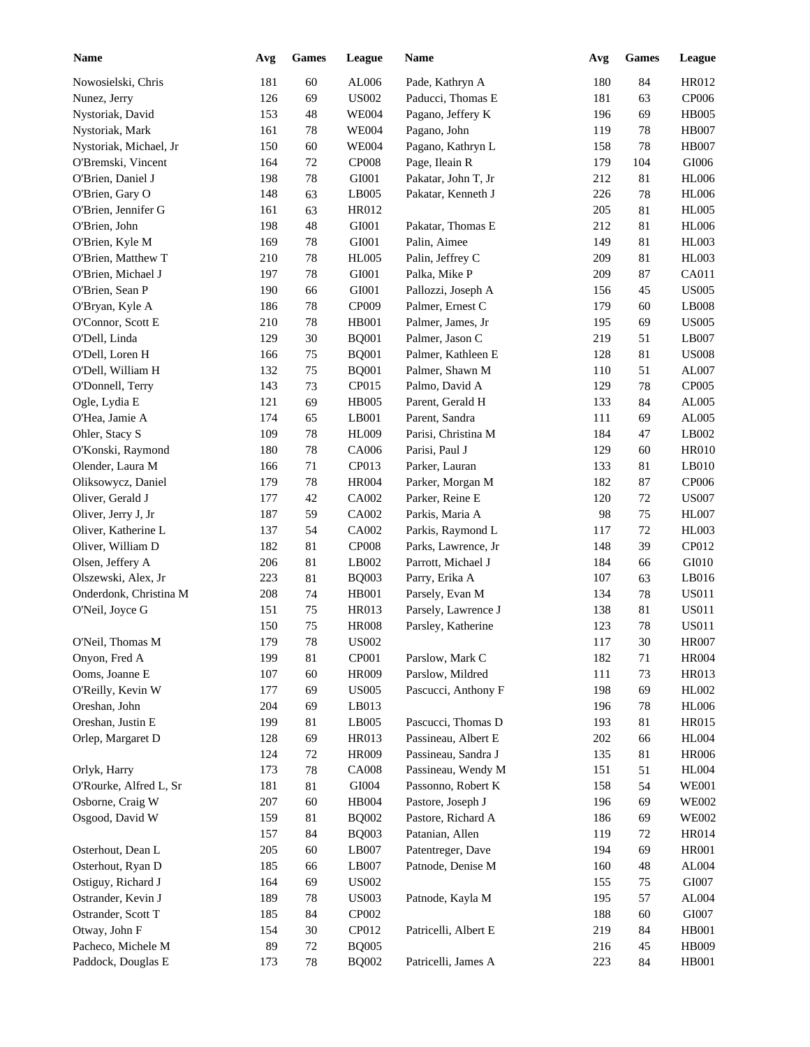| <b>Name</b>            | Avg | <b>Games</b> | League       | Name                 | Avg | <b>Games</b> | League         |
|------------------------|-----|--------------|--------------|----------------------|-----|--------------|----------------|
| Nowosielski, Chris     | 181 | 60           | AL006        | Pade, Kathryn A      | 180 | 84           | HR012          |
| Nunez, Jerry           | 126 | 69           | <b>US002</b> | Paducci, Thomas E    | 181 | 63           | CP006          |
| Nystoriak, David       | 153 | 48           | <b>WE004</b> | Pagano, Jeffery K    | 196 | 69           | <b>HB005</b>   |
| Nystoriak, Mark        | 161 | 78           | <b>WE004</b> | Pagano, John         | 119 | 78           | <b>HB007</b>   |
| Nystoriak, Michael, Jr | 150 | 60           | <b>WE004</b> | Pagano, Kathryn L    | 158 | 78           | <b>HB007</b>   |
| O'Bremski, Vincent     | 164 | 72           | <b>CP008</b> | Page, Ileain R       | 179 | 104          | GI006          |
| O'Brien, Daniel J      | 198 | $78\,$       | GI001        | Pakatar, John T, Jr  | 212 | 81           | <b>HL006</b>   |
| O'Brien, Gary O        | 148 | 63           | LB005        | Pakatar, Kenneth J   | 226 | 78           | <b>HL006</b>   |
| O'Brien, Jennifer G    | 161 | 63           | HR012        |                      | 205 | 81           | <b>HL005</b>   |
| O'Brien, John          | 198 | 48           | GI001        | Pakatar, Thomas E    | 212 | 81           | <b>HL006</b>   |
| O'Brien, Kyle M        | 169 | 78           | GI001        | Palin, Aimee         | 149 | 81           | HL003          |
| O'Brien, Matthew T     | 210 | 78           | <b>HL005</b> | Palin, Jeffrey C     | 209 | 81           | HL003          |
| O'Brien, Michael J     | 197 | 78           | GI001        | Palka, Mike P        | 209 | 87           | CA011          |
| O'Brien, Sean P        | 190 | 66           | GI001        | Pallozzi, Joseph A   | 156 | 45           | <b>US005</b>   |
| O'Bryan, Kyle A        | 186 | 78           | CP009        | Palmer, Ernest C     | 179 | 60           | LB008          |
| O'Connor, Scott E      | 210 | 78           | <b>HB001</b> | Palmer, James, Jr    | 195 | 69           | <b>US005</b>   |
| O'Dell, Linda          | 129 | 30           | <b>BQ001</b> | Palmer, Jason C      | 219 | 51           | LB007          |
| O'Dell, Loren H        | 166 | 75           | <b>BQ001</b> | Palmer, Kathleen E   | 128 | 81           | <b>US008</b>   |
| O'Dell, William H      | 132 | 75           | <b>BQ001</b> | Palmer, Shawn M      | 110 | 51           | AL007          |
| O'Donnell, Terry       | 143 | 73           | CP015        | Palmo, David A       | 129 | 78           | CP005          |
| Ogle, Lydia E          | 121 | 69           | <b>HB005</b> | Parent, Gerald H     | 133 | 84           | AL005          |
| O'Hea, Jamie A         | 174 | 65           | LB001        | Parent, Sandra       | 111 | 69           | AL005          |
| Ohler, Stacy S         | 109 | 78           | <b>HL009</b> | Parisi, Christina M  | 184 | 47           | LB002          |
| O'Konski, Raymond      | 180 | 78           | CA006        | Parisi, Paul J       | 129 | 60           | <b>HR010</b>   |
| Olender, Laura M       | 166 | 71           | CP013        | Parker, Lauran       | 133 | 81           | LB010          |
| Oliksowycz, Daniel     | 179 | 78           | <b>HR004</b> | Parker, Morgan M     | 182 | 87           | CP006          |
| Oliver, Gerald J       | 177 | 42           | CA002        | Parker, Reine E      | 120 | 72           | <b>US007</b>   |
| Oliver, Jerry J, Jr    | 187 | 59           | CA002        | Parkis, Maria A      | 98  | 75           | <b>HL007</b>   |
| Oliver, Katherine L    | 137 | 54           | CA002        | Parkis, Raymond L    | 117 | 72           | <b>HL003</b>   |
| Oliver, William D      | 182 | 81           | <b>CP008</b> | Parks, Lawrence, Jr  | 148 | 39           | CP012          |
| Olsen, Jeffery A       | 206 | 81           | LB002        | Parrott, Michael J   | 184 | 66           | GI010          |
| Olszewski, Alex, Jr    | 223 | 81           | <b>BQ003</b> | Parry, Erika A       | 107 | 63           | LB016          |
| Onderdonk, Christina M | 208 | 74           | HB001        | Parsely, Evan M      | 134 | 78           | <b>US011</b>   |
| O'Neil, Joyce G        | 151 | $75\,$       | HR013        | Parsely, Lawrence J  | 138 | 81           | <b>US011</b>   |
|                        | 150 | 75           | <b>HR008</b> | Parsley, Katherine   | 123 | 78           | <b>US011</b>   |
| O'Neil, Thomas M       | 179 | $78\,$       | <b>US002</b> |                      | 117 | $30\,$       | <b>HR007</b>   |
| Onyon, Fred A          | 199 | 81           | CP001        | Parslow, Mark C      | 182 | 71           | <b>HR004</b>   |
| Ooms, Joanne E         | 107 | 60           | <b>HR009</b> | Parslow, Mildred     | 111 | 73           | HR013          |
| O'Reilly, Kevin W      | 177 | 69           | <b>US005</b> | Pascucci, Anthony F  | 198 | 69           | HL002          |
| Oreshan, John          | 204 | 69           | LB013        |                      | 196 | 78           | <b>HL006</b>   |
| Oreshan, Justin E      | 199 | 81           | LB005        | Pascucci, Thomas D   | 193 | 81           | <b>HR015</b>   |
| Orlep, Margaret D      | 128 | 69           | HR013        | Passineau, Albert E  | 202 | 66           | <b>HL004</b>   |
|                        | 124 | $72\,$       | <b>HR009</b> | Passineau, Sandra J  | 135 | 81           | <b>HR006</b>   |
| Orlyk, Harry           | 173 | 78           | <b>CA008</b> | Passineau, Wendy M   | 151 | 51           | <b>HL004</b>   |
| O'Rourke, Alfred L, Sr | 181 | 81           | GI004        | Passonno, Robert K   | 158 | 54           | <b>WE001</b>   |
| Osborne, Craig W       | 207 | 60           | HB004        | Pastore, Joseph J    | 196 | 69           | <b>WE002</b>   |
| Osgood, David W        | 159 | 81           | <b>BQ002</b> | Pastore, Richard A   | 186 | 69           | <b>WE002</b>   |
|                        | 157 | 84           | <b>BQ003</b> | Patanian, Allen      | 119 | 72           | HR014          |
| Osterhout, Dean L      | 205 | 60           | LB007        | Patentreger, Dave    | 194 | 69           | <b>HR001</b>   |
| Osterhout, Ryan D      | 185 | 66           | LB007        | Patnode, Denise M    | 160 | 48           | AL004          |
| Ostiguy, Richard J     | 164 | 69           | <b>US002</b> |                      |     | $75\,$       | GI007          |
|                        |     |              |              |                      | 155 |              |                |
| Ostrander, Kevin J     | 189 | 78           | <b>US003</b> | Patnode, Kayla M     | 195 | 57           | AL004<br>GI007 |
| Ostrander, Scott T     | 185 | 84           | CP002        |                      | 188 | 60           |                |
| Otway, John F          | 154 | $30\,$       | CP012        | Patricelli, Albert E | 219 | 84           | <b>HB001</b>   |
| Pacheco, Michele M     | 89  | $72\,$       | <b>BQ005</b> |                      | 216 | 45           | <b>HB009</b>   |
| Paddock, Douglas E     | 173 | $78\,$       | <b>BQ002</b> | Patricelli, James A  | 223 | 84           | <b>HB001</b>   |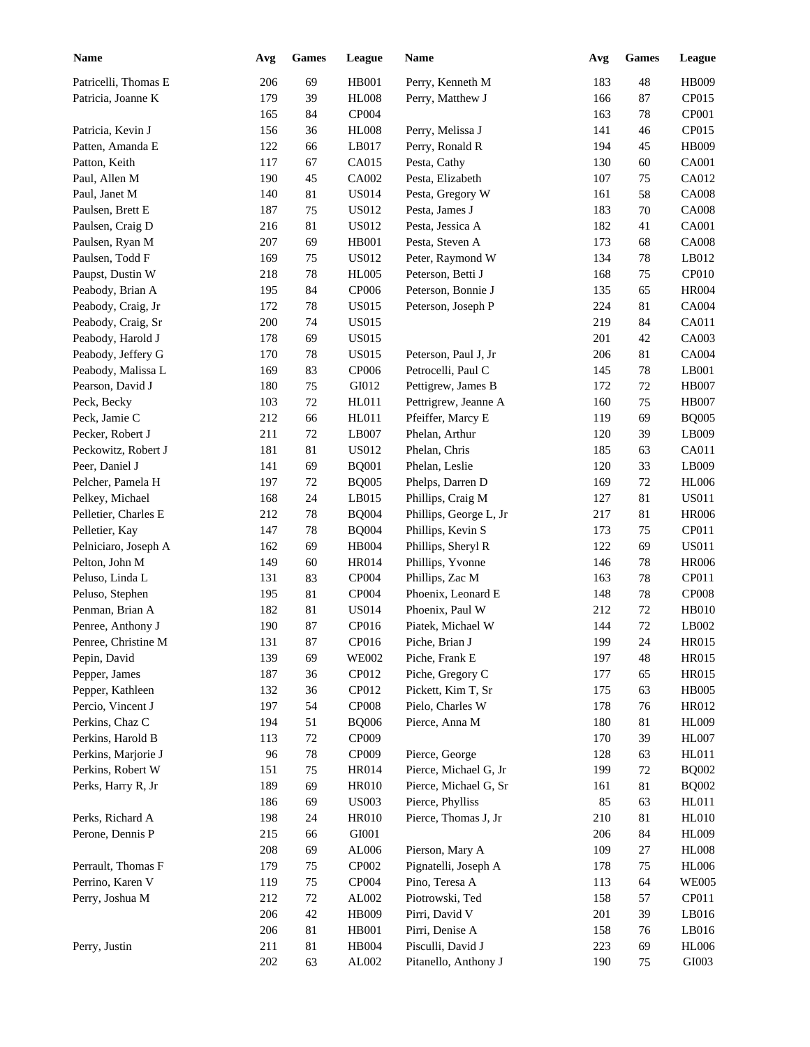| <b>Name</b>          | Avg | <b>Games</b> | League       | <b>Name</b>            | Avg | <b>Games</b> | League       |
|----------------------|-----|--------------|--------------|------------------------|-----|--------------|--------------|
| Patricelli, Thomas E | 206 | 69           | <b>HB001</b> | Perry, Kenneth M       | 183 | 48           | <b>HB009</b> |
| Patricia, Joanne K   | 179 | 39           | <b>HL008</b> | Perry, Matthew J       | 166 | 87           | CP015        |
|                      | 165 | 84           | CP004        |                        | 163 | 78           | CP001        |
| Patricia, Kevin J    | 156 | 36           | <b>HL008</b> | Perry, Melissa J       | 141 | 46           | CP015        |
| Patten, Amanda E     | 122 | 66           | LB017        | Perry, Ronald R        | 194 | 45           | <b>HB009</b> |
| Patton, Keith        | 117 | 67           | CA015        | Pesta, Cathy           | 130 | 60           | CA001        |
| Paul, Allen M        | 190 | 45           | CA002        | Pesta, Elizabeth       | 107 | 75           | CA012        |
| Paul, Janet M        | 140 | 81           | <b>US014</b> | Pesta, Gregory W       | 161 | 58           | <b>CA008</b> |
| Paulsen, Brett E     | 187 | 75           | US012        | Pesta, James J         | 183 | 70           | <b>CA008</b> |
| Paulsen, Craig D     | 216 | 81           | <b>US012</b> | Pesta, Jessica A       | 182 | 41           | CA001        |
| Paulsen, Ryan M      | 207 | 69           | <b>HB001</b> | Pesta, Steven A        | 173 | 68           | <b>CA008</b> |
| Paulsen, Todd F      | 169 | 75           | US012        | Peter, Raymond W       | 134 | 78           | LB012        |
| Paupst, Dustin W     | 218 | 78           | <b>HL005</b> | Peterson, Betti J      | 168 | 75           | CP010        |
| Peabody, Brian A     | 195 | 84           | <b>CP006</b> | Peterson, Bonnie J     | 135 | 65           | <b>HR004</b> |
| Peabody, Craig, Jr   | 172 | 78           | <b>US015</b> | Peterson, Joseph P     | 224 | 81           | CA004        |
| Peabody, Craig, Sr   | 200 | 74           | <b>US015</b> |                        | 219 | 84           | CA011        |
| Peabody, Harold J    | 178 | 69           | <b>US015</b> |                        | 201 | 42           | CA003        |
| Peabody, Jeffery G   | 170 | 78           | <b>US015</b> | Peterson, Paul J, Jr   | 206 | 81           | CA004        |
| Peabody, Malissa L   | 169 | 83           | CP006        | Petrocelli, Paul C     | 145 | 78           | LB001        |
| Pearson, David J     | 180 | 75           | GI012        | Pettigrew, James B     | 172 | 72           | <b>HB007</b> |
| Peck, Becky          | 103 | 72           | HL011        | Pettrigrew, Jeanne A   | 160 | 75           | <b>HB007</b> |
| Peck, Jamie C        | 212 | 66           | HL011        | Pfeiffer, Marcy E      | 119 | 69           | <b>BQ005</b> |
| Pecker, Robert J     | 211 | 72           | LB007        | Phelan, Arthur         | 120 | 39           | LB009        |
| Peckowitz, Robert J  | 181 | 81           | <b>US012</b> | Phelan, Chris          | 185 | 63           | CA011        |
| Peer, Daniel J       | 141 | 69           | <b>BQ001</b> | Phelan, Leslie         | 120 | 33           | LB009        |
| Pelcher, Pamela H    | 197 | 72           | <b>BQ005</b> | Phelps, Darren D       | 169 | 72           | <b>HL006</b> |
| Pelkey, Michael      | 168 | 24           | LB015        | Phillips, Craig M      | 127 | 81           | <b>US011</b> |
| Pelletier, Charles E | 212 | 78           | <b>BQ004</b> | Phillips, George L, Jr | 217 | 81           | <b>HR006</b> |
| Pelletier, Kay       | 147 | 78           | <b>BQ004</b> | Phillips, Kevin S      | 173 | 75           | CP011        |
| Pelniciaro, Joseph A | 162 | 69           | <b>HB004</b> | Phillips, Sheryl R     | 122 | 69           | <b>US011</b> |
| Pelton, John M       | 149 | 60           | <b>HR014</b> | Phillips, Yvonne       | 146 | 78           | <b>HR006</b> |
| Peluso, Linda L      | 131 | 83           | CP004        | Phillips, Zac M        | 163 | 78           | CP011        |
| Peluso, Stephen      | 195 | 81           | CP004        | Phoenix, Leonard E     | 148 | 78           | <b>CP008</b> |
| Penman, Brian A      | 182 | 81           | <b>US014</b> | Phoenix, Paul W        | 212 | 72           | <b>HB010</b> |
| Penree, Anthony J    | 190 | 87           | CP016        | Piatek, Michael W      | 144 | 72           | LB002        |
| Penree, Christine M  | 131 | 87           | CP016        | Piche, Brian J         | 199 | 24           | HR015        |
| Pepin, David         | 139 | 69           | <b>WE002</b> | Piche, Frank E         | 197 | 48           | <b>HR015</b> |
| Pepper, James        | 187 | 36           | CP012        | Piche, Gregory C       | 177 | 65           | HR015        |
| Pepper, Kathleen     | 132 | 36           | CP012        | Pickett, Kim T, Sr     | 175 | 63           | <b>HB005</b> |
| Percio, Vincent J    | 197 | 54           | <b>CP008</b> | Pielo, Charles W       | 178 | 76           | HR012        |
| Perkins, Chaz C      | 194 | 51           | <b>BQ006</b> | Pierce, Anna M         | 180 | 81           | <b>HL009</b> |
| Perkins, Harold B    | 113 | $72\,$       | CP009        |                        | 170 | 39           | <b>HL007</b> |
| Perkins, Marjorie J  | 96  | 78           | CP009        | Pierce, George         | 128 | 63           | HL011        |
| Perkins, Robert W    | 151 | 75           | HR014        | Pierce, Michael G, Jr  | 199 | 72           | <b>BQ002</b> |
| Perks, Harry R, Jr   | 189 | 69           | <b>HR010</b> | Pierce, Michael G, Sr  | 161 | 81           | <b>BQ002</b> |
|                      | 186 | 69           | <b>US003</b> | Pierce, Phylliss       | 85  | 63           | HL011        |
| Perks, Richard A     | 198 | 24           | <b>HR010</b> | Pierce, Thomas J, Jr   | 210 | 81           | <b>HL010</b> |
| Perone, Dennis P     | 215 | 66           | GI001        |                        | 206 | 84           | <b>HL009</b> |
|                      | 208 | 69           | AL006        | Pierson, Mary A        | 109 | 27           | <b>HL008</b> |
| Perrault, Thomas F   | 179 | 75           | CP002        | Pignatelli, Joseph A   | 178 | 75           | <b>HL006</b> |
| Perrino, Karen V     | 119 | 75           | CP004        | Pino, Teresa A         | 113 | 64           | <b>WE005</b> |
| Perry, Joshua M      | 212 | 72           | AL002        | Piotrowski, Ted        | 158 | 57           | CP011        |
|                      | 206 | 42           | HB009        | Pirri, David V         | 201 | 39           | LB016        |
|                      | 206 | 81           | <b>HB001</b> | Pirri, Denise A        | 158 | 76           | LB016        |
| Perry, Justin        | 211 | 81           | <b>HB004</b> | Pisculli, David J      | 223 | 69           | <b>HL006</b> |
|                      | 202 | 63           | AL002        | Pitanello, Anthony J   | 190 | 75           | GI003        |
|                      |     |              |              |                        |     |              |              |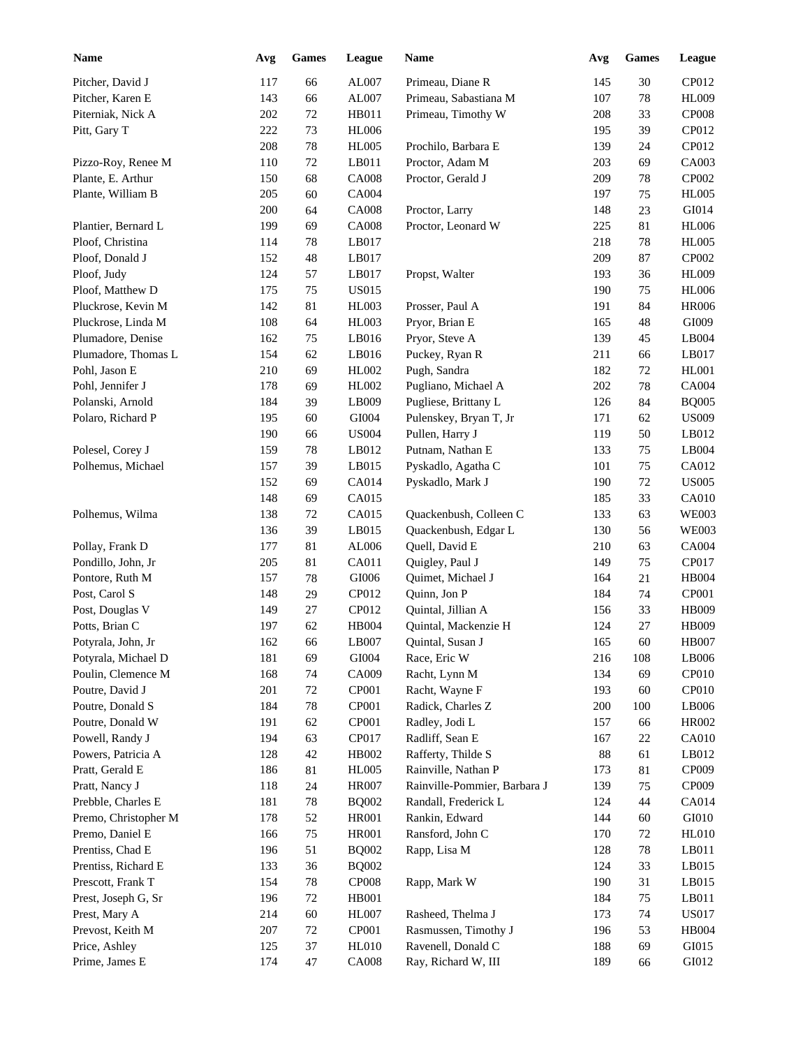| <b>Name</b>          | Avg | <b>Games</b> | League       | Name                         | Avg    | <b>Games</b> | <b>League</b> |
|----------------------|-----|--------------|--------------|------------------------------|--------|--------------|---------------|
| Pitcher, David J     | 117 | 66           | AL007        | Primeau, Diane R             | 145    | 30           | CP012         |
| Pitcher, Karen E     | 143 | 66           | AL007        | Primeau, Sabastiana M        | 107    | 78           | <b>HL009</b>  |
| Piterniak, Nick A    | 202 | $72\,$       | HB011        | Primeau, Timothy W           | 208    | 33           | <b>CP008</b>  |
| Pitt, Gary T         | 222 | 73           | <b>HL006</b> |                              | 195    | 39           | CP012         |
|                      | 208 | $78\,$       | <b>HL005</b> | Prochilo, Barbara E          | 139    | 24           | CP012         |
| Pizzo-Roy, Renee M   | 110 | $72\,$       | LB011        | Proctor, Adam M              | 203    | 69           | CA003         |
| Plante, E. Arthur    | 150 | 68           | <b>CA008</b> | Proctor, Gerald J            | 209    | 78           | CP002         |
| Plante, William B    | 205 | 60           | CA004        |                              | 197    | 75           | <b>HL005</b>  |
|                      | 200 | 64           | <b>CA008</b> | Proctor, Larry               | 148    | 23           | GI014         |
| Plantier, Bernard L  | 199 | 69           | <b>CA008</b> | Proctor, Leonard W           | 225    | 81           | <b>HL006</b>  |
| Ploof, Christina     | 114 | 78           | LB017        |                              | 218    | 78           | <b>HL005</b>  |
| Ploof, Donald J      | 152 | 48           | LB017        |                              | 209    | 87           | CP002         |
| Ploof, Judy          | 124 | 57           | LB017        | Propst, Walter               | 193    | 36           | <b>HL009</b>  |
| Ploof, Matthew D     | 175 | 75           | <b>US015</b> |                              | 190    | 75           | <b>HL006</b>  |
| Pluckrose, Kevin M   | 142 | 81           | HL003        | Prosser, Paul A              | 191    | 84           | <b>HR006</b>  |
| Pluckrose, Linda M   | 108 | 64           | <b>HL003</b> | Pryor, Brian E               | 165    | 48           | GI009         |
| Plumadore, Denise    | 162 | 75           | LB016        | Pryor, Steve A               | 139    | 45           | LB004         |
| Plumadore, Thomas L  | 154 | 62           | LB016        | Puckey, Ryan R               | 211    | 66           | LB017         |
| Pohl, Jason E        | 210 | 69           | HL002        | Pugh, Sandra                 | 182    | 72           | <b>HL001</b>  |
| Pohl, Jennifer J     | 178 | 69           | HL002        | Pugliano, Michael A          | 202    | 78           | <b>CA004</b>  |
| Polanski, Arnold     | 184 | 39           | LB009        | Pugliese, Brittany L         | 126    | 84           | <b>BQ005</b>  |
| Polaro, Richard P    | 195 | 60           | GI004        | Pulenskey, Bryan T, Jr       | 171    | 62           | <b>US009</b>  |
|                      | 190 | 66           | <b>US004</b> | Pullen, Harry J              | 119    | 50           | LB012         |
| Polesel, Corey J     | 159 | 78           | LB012        | Putnam, Nathan E             | 133    | 75           | LB004         |
| Polhemus, Michael    | 157 | 39           | LB015        | Pyskadlo, Agatha C           | 101    | 75           | CA012         |
|                      | 152 | 69           | CA014        | Pyskadlo, Mark J             | 190    | 72           | <b>US005</b>  |
|                      | 148 | 69           | CA015        |                              | 185    | 33           | <b>CA010</b>  |
| Polhemus, Wilma      | 138 | 72           | CA015        | Quackenbush, Colleen C       | 133    | 63           | <b>WE003</b>  |
|                      | 136 | 39           | LB015        | Quackenbush, Edgar L         | 130    | 56           | <b>WE003</b>  |
| Pollay, Frank D      | 177 | 81           | AL006        | Quell, David E               | 210    | 63           | CA004         |
| Pondillo, John, Jr   | 205 | 81           | CA011        | Quigley, Paul J              | 149    | 75           | CP017         |
| Pontore, Ruth M      | 157 | 78           | GI006        | Quimet, Michael J            | 164    | 21           | HB004         |
| Post, Carol S        | 148 | 29           | CP012        | Quinn, Jon P                 | 184    | 74           | CP001         |
| Post, Douglas V      | 149 | 27           | CP012        | Quintal, Jillian A           | 156    | 33           | <b>HB009</b>  |
| Potts, Brian C       | 197 | 62           | HB004        | Quintal, Mackenzie H         | 124    | $27\,$       | <b>HB009</b>  |
| Potyrala, John, Jr   | 162 | 66           | LB007        | Quintal, Susan J             | 165    | 60           | <b>HB007</b>  |
| Potyrala, Michael D  | 181 | 69           | GI004        | Race, Eric W                 | 216    | 108          | LB006         |
| Poulin, Clemence M   | 168 | 74           | CA009        | Racht, Lynn M                | 134    | 69           | CP010         |
| Poutre, David J      | 201 | $72\,$       | CP001        | Racht, Wayne F               | 193    | 60           | CP010         |
| Poutre, Donald S     | 184 | 78           | CP001        | Radick, Charles Z            | 200    | 100          | LB006         |
| Poutre, Donald W     | 191 | 62           | CP001        | Radley, Jodi L               | 157    | 66           | HR002         |
| Powell, Randy J      | 194 | 63           | CP017        | Radliff, Sean E              | 167    | 22           | <b>CA010</b>  |
| Powers, Patricia A   | 128 | $42\,$       | HB002        | Rafferty, Thilde S           | $88\,$ | 61           | LB012         |
| Pratt, Gerald E      | 186 | 81           | <b>HL005</b> | Rainville, Nathan P          | 173    | 81           | CP009         |
| Pratt, Nancy J       | 118 | 24           | <b>HR007</b> | Rainville-Pommier, Barbara J | 139    | 75           | CP009         |
| Prebble, Charles E   | 181 | 78           | <b>BQ002</b> | Randall, Frederick L         | 124    | 44           | CA014         |
| Premo, Christopher M | 178 | $52\,$       | <b>HR001</b> | Rankin, Edward               | 144    | 60           | ${\rm G}I010$ |
| Premo, Daniel E      | 166 | 75           | <b>HR001</b> | Ransford, John C             | 170    | 72           | <b>HL010</b>  |
| Prentiss, Chad E     | 196 | 51           | <b>BQ002</b> | Rapp, Lisa M                 | 128    | 78           | LB011         |
| Prentiss, Richard E  | 133 | 36           | <b>BQ002</b> |                              | 124    | 33           | LB015         |
| Prescott, Frank T    | 154 | 78           | CP008        | Rapp, Mark W                 | 190    | 31           | LB015         |
| Prest, Joseph G, Sr  | 196 | $72\,$       | HB001        |                              | 184    | $75\,$       | LB011         |
| Prest, Mary A        | 214 | 60           | HL007        | Rasheed, Thelma J            | 173    | 74           | <b>US017</b>  |
| Prevost, Keith M     | 207 | $72\,$       | CP001        | Rasmussen, Timothy J         | 196    | 53           | HB004         |
| Price, Ashley        | 125 | 37           | <b>HL010</b> | Ravenell, Donald C           | 188    | 69           | GI015         |
| Prime, James E       | 174 | 47           | <b>CA008</b> | Ray, Richard W, III          | 189    | 66           | ${\rm G}I012$ |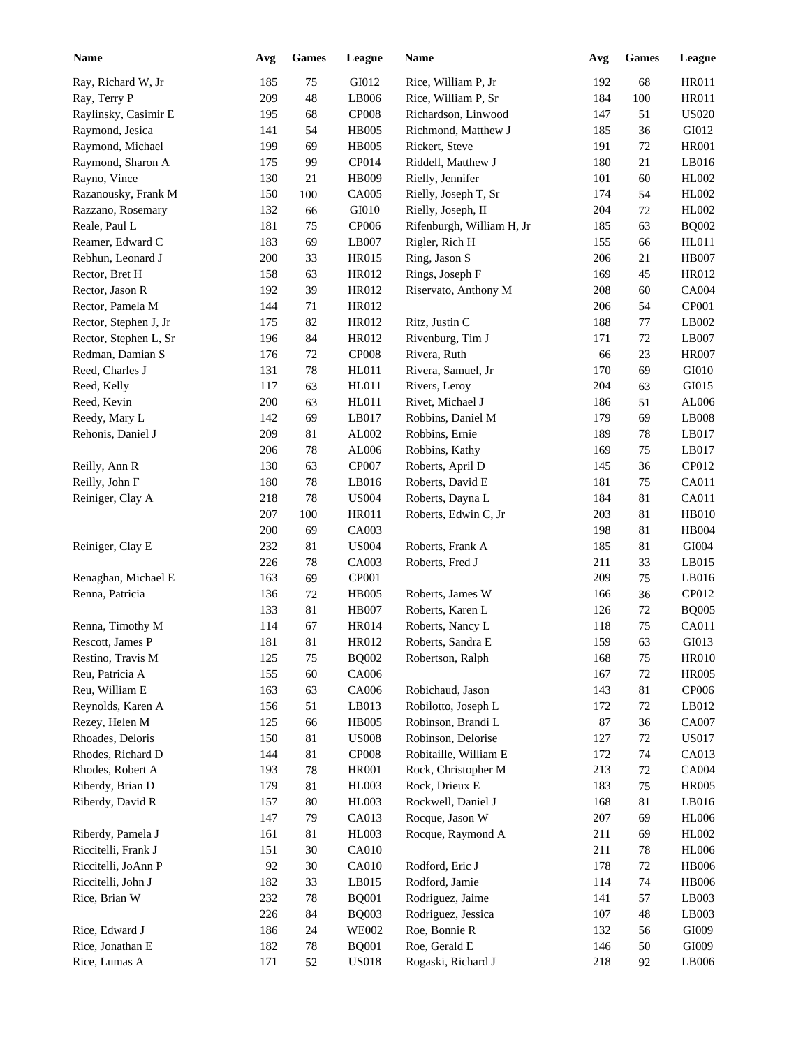| <b>Name</b>           | Avg | <b>Games</b> | League       | Name                      | Avg    | <b>Games</b> | League       |
|-----------------------|-----|--------------|--------------|---------------------------|--------|--------------|--------------|
| Ray, Richard W, Jr    | 185 | 75           | GI012        | Rice, William P, Jr       | 192    | 68           | <b>HR011</b> |
| Ray, Terry P          | 209 | 48           | LB006        | Rice, William P, Sr       | 184    | 100          | <b>HR011</b> |
| Raylinsky, Casimir E  | 195 | 68           | <b>CP008</b> | Richardson, Linwood       | 147    | 51           | <b>US020</b> |
| Raymond, Jesica       | 141 | 54           | <b>HB005</b> | Richmond, Matthew J       | 185    | 36           | GI012        |
| Raymond, Michael      | 199 | 69           | <b>HB005</b> | Rickert, Steve            | 191    | 72           | <b>HR001</b> |
| Raymond, Sharon A     | 175 | 99           | CP014        | Riddell, Matthew J        | 180    | 21           | LB016        |
| Rayno, Vince          | 130 | 21           | HB009        | Rielly, Jennifer          | 101    | 60           | HL002        |
| Razanousky, Frank M   | 150 | 100          | CA005        | Rielly, Joseph T, Sr      | 174    | 54           | HL002        |
| Razzano, Rosemary     | 132 | 66           | GI010        | Rielly, Joseph, II        | 204    | 72           | HL002        |
| Reale, Paul L         | 181 | 75           | <b>CP006</b> | Rifenburgh, William H, Jr | 185    | 63           | <b>BQ002</b> |
| Reamer, Edward C      | 183 | 69           | LB007        | Rigler, Rich H            | 155    | 66           | HL011        |
| Rebhun, Leonard J     | 200 | 33           | HR015        | Ring, Jason S             | 206    | 21           | <b>HB007</b> |
| Rector, Bret H        | 158 | 63           | HR012        | Rings, Joseph F           | 169    | 45           | HR012        |
| Rector, Jason R       | 192 | 39           | HR012        | Riservato, Anthony M      | 208    | 60           | CA004        |
| Rector, Pamela M      | 144 | 71           | HR012        |                           | 206    | 54           | CP001        |
| Rector, Stephen J, Jr | 175 | 82           | HR012        | Ritz, Justin C            | 188    | 77           | LB002        |
| Rector, Stephen L, Sr | 196 | 84           | HR012        | Rivenburg, Tim J          | 171    | 72           | LB007        |
| Redman, Damian S      | 176 | $72\,$       | <b>CP008</b> | Rivera, Ruth              | 66     | 23           | <b>HR007</b> |
| Reed, Charles J       | 131 | 78           | HL011        | Rivera, Samuel, Jr        | 170    | 69           | GI010        |
| Reed, Kelly           | 117 | 63           | HL011        | Rivers, Leroy             | 204    | 63           | GI015        |
| Reed, Kevin           | 200 | 63           | HL011        | Rivet, Michael J          | 186    | 51           | AL006        |
| Reedy, Mary L         | 142 | 69           | LB017        | Robbins, Daniel M         | 179    | 69           | LB008        |
| Rehonis, Daniel J     | 209 | 81           | AL002        | Robbins, Ernie            | 189    | 78           | LB017        |
|                       | 206 | 78           | AL006        | Robbins, Kathy            | 169    | 75           | LB017        |
| Reilly, Ann R         | 130 | 63           | CP007        | Roberts, April D          | 145    | 36           | CP012        |
| Reilly, John F        | 180 | 78           | LB016        | Roberts, David E          | 181    | 75           | CA011        |
| Reiniger, Clay A      | 218 | 78           | <b>US004</b> | Roberts, Dayna L          | 184    | 81           | CA011        |
|                       | 207 | 100          | HR011        | Roberts, Edwin C, Jr      | 203    | 81           | <b>HB010</b> |
|                       | 200 | 69           | CA003        |                           | 198    | 81           | HB004        |
| Reiniger, Clay E      | 232 | 81           | <b>US004</b> | Roberts, Frank A          | 185    | 81           | GI004        |
|                       | 226 | 78           | CA003        | Roberts, Fred J           | 211    | 33           | LB015        |
|                       |     |              |              |                           | 209    |              | LB016        |
| Renaghan, Michael E   | 163 | 69           | <b>CP001</b> |                           |        | 75           |              |
| Renna, Patricia       | 136 | 72           | <b>HB005</b> | Roberts, James W          | 166    | 36           | CP012        |
|                       | 133 | 81           | <b>HB007</b> | Roberts, Karen L          | 126    | 72           | <b>BQ005</b> |
| Renna, Timothy M      | 114 | 67           | <b>HR014</b> | Roberts, Nancy L          | 118    | 75           | CA011        |
| Rescott, James P      | 181 | $81\,$       | HR012        | Roberts, Sandra E         | 159    | 63           | GI013        |
| Restino, Travis M     | 125 | 75           | <b>BQ002</b> | Robertson, Ralph          | 168    | 75           | <b>HR010</b> |
| Reu, Patricia A       | 155 | 60           | CA006        |                           | 167    | 72           | <b>HR005</b> |
| Reu, William E        | 163 | 63           | CA006        | Robichaud, Jason          | 143    | 81           | CP006        |
| Reynolds, Karen A     | 156 | 51           | LB013        | Robilotto, Joseph L       | 172    | 72           | LB012        |
| Rezey, Helen M        | 125 | 66           | <b>HB005</b> | Robinson, Brandi L        | $87\,$ | 36           | CA007        |
| Rhoades, Deloris      | 150 | 81           | <b>US008</b> | Robinson, Delorise        | 127    | $72\,$       | <b>US017</b> |
| Rhodes, Richard D     | 144 | 81           | <b>CP008</b> | Robitaille, William E     | 172    | 74           | CA013        |
| Rhodes, Robert A      | 193 | $78\,$       | HR001        | Rock, Christopher M       | 213    | 72           | CA004        |
| Riberdy, Brian D      | 179 | 81           | HL003        | Rock, Drieux E            | 183    | 75           | <b>HR005</b> |
| Riberdy, David R      | 157 | 80           | HL003        | Rockwell, Daniel J        | 168    | 81           | LB016        |
|                       | 147 | 79           | CA013        | Rocque, Jason W           | 207    | 69           | <b>HL006</b> |
| Riberdy, Pamela J     | 161 | 81           | HL003        | Rocque, Raymond A         | 211    | 69           | HL002        |
| Riccitelli, Frank J   | 151 | $30\,$       | CA010        |                           | 211    | 78           | <b>HL006</b> |
| Riccitelli, JoAnn P   | 92  | $30\,$       | CA010        | Rodford, Eric J           | 178    | 72           | <b>HB006</b> |
| Riccitelli, John J    | 182 | 33           | LB015        | Rodford, Jamie            | 114    | 74           | <b>HB006</b> |
| Rice, Brian W         | 232 | $78\,$       | <b>BQ001</b> | Rodriguez, Jaime          | 141    | 57           | LB003        |
|                       | 226 | 84           | <b>BQ003</b> | Rodriguez, Jessica        | 107    | 48           | LB003        |
| Rice, Edward J        | 186 | 24           | <b>WE002</b> | Roe, Bonnie R             | 132    | 56           | GI009        |
| Rice, Jonathan E      | 182 | $78\,$       | <b>BQ001</b> | Roe, Gerald E             | 146    | 50           | GI009        |
| Rice, Lumas A         | 171 | 52           | <b>US018</b> | Rogaski, Richard J        | 218    | 92           | LB006        |
|                       |     |              |              |                           |        |              |              |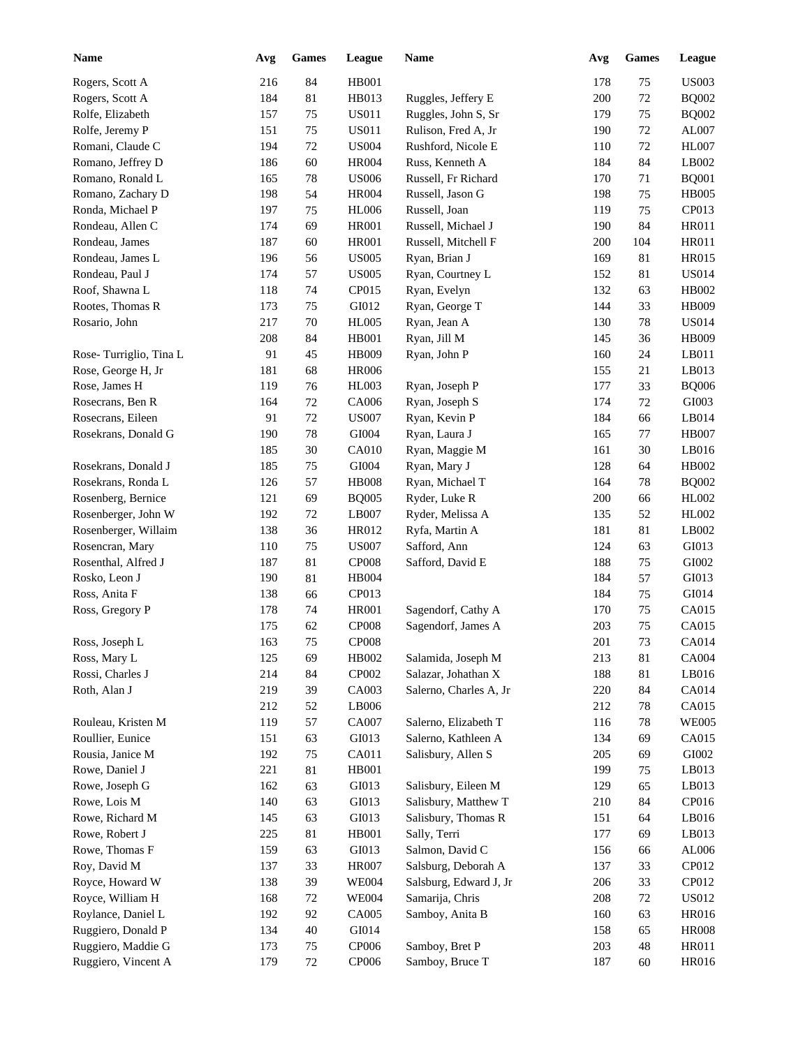| <b>Name</b>            | Avg | <b>Games</b> | League       | Name                   | Avg        | Games | League        |
|------------------------|-----|--------------|--------------|------------------------|------------|-------|---------------|
| Rogers, Scott A        | 216 | 84           | <b>HB001</b> |                        | 178        | 75    | <b>US003</b>  |
| Rogers, Scott A        | 184 | 81           | HB013        | Ruggles, Jeffery E     | 200        | 72    | <b>BQ002</b>  |
| Rolfe, Elizabeth       | 157 | 75           | <b>US011</b> | Ruggles, John S, Sr    | 179        | 75    | <b>BQ002</b>  |
| Rolfe, Jeremy P        | 151 | 75           | <b>US011</b> | Rulison, Fred A, Jr    | 190        | 72    | AL007         |
| Romani, Claude C       | 194 | 72           | <b>US004</b> | Rushford, Nicole E     | 110        | 72    | <b>HL007</b>  |
| Romano, Jeffrey D      | 186 | 60           | <b>HR004</b> | Russ, Kenneth A        | 184        | 84    | LB002         |
| Romano, Ronald L       | 165 | 78           | <b>US006</b> | Russell, Fr Richard    | 170        | 71    | <b>BQ001</b>  |
| Romano, Zachary D      | 198 | 54           | <b>HR004</b> | Russell, Jason G       | 198        | 75    | <b>HB005</b>  |
| Ronda, Michael P       | 197 | 75           | <b>HL006</b> | Russell, Joan          | 119        | 75    | CP013         |
| Rondeau, Allen C       | 174 | 69           | <b>HR001</b> | Russell, Michael J     | 190        | 84    | <b>HR011</b>  |
| Rondeau, James         | 187 | 60           | <b>HR001</b> | Russell, Mitchell F    | 200        | 104   | <b>HR011</b>  |
| Rondeau, James L       | 196 | 56           | <b>US005</b> | Ryan, Brian J          | 169        | 81    | <b>HR015</b>  |
| Rondeau, Paul J        | 174 | 57           | <b>US005</b> | Ryan, Courtney L       | 152        | 81    | <b>US014</b>  |
| Roof, Shawna L         | 118 | 74           | CP015        | Ryan, Evelyn           | 132        | 63    | HB002         |
| Rootes, Thomas R       | 173 | 75           | GI012        | Ryan, George T         | 144        | 33    | <b>HB009</b>  |
| Rosario, John          | 217 | 70           | <b>HL005</b> | Ryan, Jean A           | 130        | 78    | <b>US014</b>  |
|                        | 208 | 84           | <b>HB001</b> | Ryan, Jill M           | 145        | 36    | <b>HB009</b>  |
| Rose-Turriglio, Tina L | 91  | 45           | HB009        | Ryan, John P           | 160        | 24    | LB011         |
| Rose, George H, Jr     | 181 | 68           | <b>HR006</b> |                        | 155        | 21    | LB013         |
| Rose, James H          | 119 | 76           | <b>HL003</b> | Ryan, Joseph P         | 177        | 33    | <b>BQ006</b>  |
| Rosecrans, Ben R       | 164 | $72\,$       | CA006        | Ryan, Joseph S         | 174        | 72    | GI003         |
| Rosecrans, Eileen      | 91  | 72           | <b>US007</b> | Ryan, Kevin P          | 184        | 66    | LB014         |
| Rosekrans, Donald G    | 190 | 78           | GI004        | Ryan, Laura J          | 165        | 77    | <b>HB007</b>  |
|                        | 185 | 30           | <b>CA010</b> | Ryan, Maggie M         | 161        | 30    | LB016         |
| Rosekrans, Donald J    | 185 | 75           | GI004        | Ryan, Mary J           | 128        | 64    | HB002         |
| Rosekrans, Ronda L     | 126 | 57           | <b>HB008</b> | Ryan, Michael T        | 164        | 78    | <b>BQ002</b>  |
| Rosenberg, Bernice     | 121 | 69           | <b>BQ005</b> | Ryder, Luke R          | 200        | 66    | HL002         |
| Rosenberger, John W    | 192 | 72           | LB007        | Ryder, Melissa A       | 135        | 52    | HL002         |
| Rosenberger, Willaim   | 138 | 36           | HR012        | Ryfa, Martin A         | 181        | 81    | LB002         |
| Rosencran, Mary        | 110 | 75           | <b>US007</b> | Safford, Ann           | 124        | 63    | GI013         |
| Rosenthal, Alfred J    | 187 | 81           | <b>CP008</b> | Safford, David E       | 188        | 75    | GI002         |
| Rosko, Leon J          | 190 | 81           | HB004        |                        | 184        | 57    | GI013         |
| Ross, Anita F          | 138 | 66           | CP013        |                        | 184        | 75    | GI014         |
| Ross, Gregory P        | 178 | 74           | <b>HR001</b> | Sagendorf, Cathy A     | 170        | 75    | CA015         |
|                        |     |              |              |                        |            | 75    | CA015         |
|                        | 175 | 62<br>75     | <b>CP008</b> | Sagendorf, James A     | 203<br>201 | 73    |               |
| Ross, Joseph L         | 163 |              | CP008        |                        |            |       | CA014         |
| Ross, Mary L           | 125 | 69           | HB002        | Salamida, Joseph M     | 213        | 81    | CA004         |
| Rossi, Charles J       | 214 | 84           | CP002        | Salazar, Johathan X    | 188        | 81    | LB016         |
| Roth, Alan J           | 219 | 39           | CA003        | Salerno, Charles A, Jr | 220        | 84    | CA014         |
|                        | 212 | 52           | LB006        |                        | 212        | 78    | CA015         |
| Rouleau, Kristen M     | 119 | 57           | CA007        | Salerno, Elizabeth T   | 116        | 78    | <b>WE005</b>  |
| Roullier, Eunice       | 151 | 63           | GI013        | Salerno, Kathleen A    | 134        | 69    | CA015         |
| Rousia, Janice M       | 192 | 75           | CA011        | Salisbury, Allen S     | 205        | 69    | ${\rm GIO}02$ |
| Rowe, Daniel J         | 221 | 81           | HB001        |                        | 199        | 75    | LB013         |
| Rowe, Joseph G         | 162 | 63           | GI013        | Salisbury, Eileen M    | 129        | 65    | LB013         |
| Rowe, Lois M           | 140 | 63           | GI013        | Salisbury, Matthew T   | 210        | 84    | CP016         |
| Rowe, Richard M        | 145 | 63           | GI013        | Salisbury, Thomas R    | 151        | 64    | LB016         |
| Rowe, Robert J         | 225 | 81           | <b>HB001</b> | Sally, Terri           | 177        | 69    | LB013         |
| Rowe, Thomas F         | 159 | 63           | GI013        | Salmon, David C        | 156        | 66    | AL006         |
| Roy, David M           | 137 | 33           | <b>HR007</b> | Salsburg, Deborah A    | 137        | 33    | CP012         |
| Royce, Howard W        | 138 | 39           | <b>WE004</b> | Salsburg, Edward J, Jr | 206        | 33    | CP012         |
| Royce, William H       | 168 | 72           | <b>WE004</b> | Samarija, Chris        | 208        | 72    | <b>US012</b>  |
| Roylance, Daniel L     | 192 | 92           | CA005        | Samboy, Anita B        | 160        | 63    | HR016         |
| Ruggiero, Donald P     | 134 | $40\,$       | GI014        |                        | 158        | 65    | <b>HR008</b>  |
| Ruggiero, Maddie G     | 173 | 75           | CP006        | Samboy, Bret P         | 203        | 48    | HR011         |
| Ruggiero, Vincent A    | 179 | $72\,$       | CP006        | Samboy, Bruce T        | 187        | 60    | HR016         |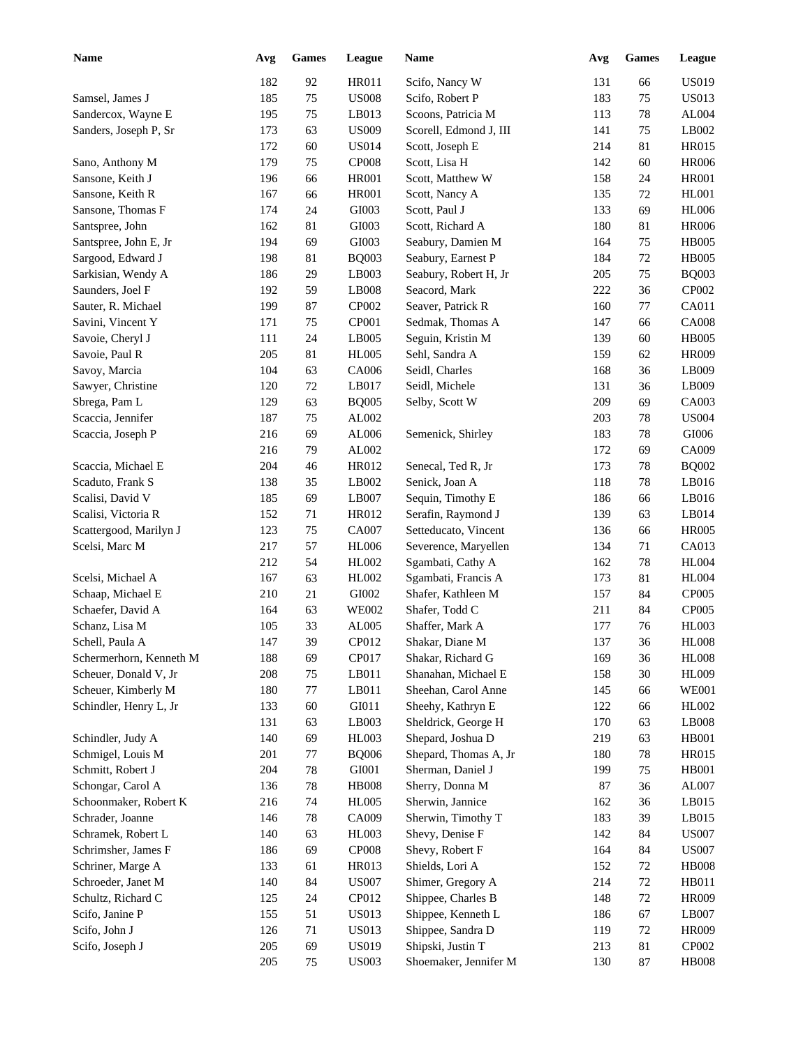| <b>Name</b>             | Avg | <b>Games</b> | League       | Name                   | Avg | <b>Games</b> | League       |
|-------------------------|-----|--------------|--------------|------------------------|-----|--------------|--------------|
|                         | 182 | 92           | <b>HR011</b> | Scifo, Nancy W         | 131 | 66           | <b>US019</b> |
| Samsel, James J         | 185 | 75           | <b>US008</b> | Scifo, Robert P        | 183 | 75           | <b>US013</b> |
| Sandercox, Wayne E      | 195 | 75           | LB013        | Scoons, Patricia M     | 113 | 78           | AL004        |
| Sanders, Joseph P, Sr   | 173 | 63           | <b>US009</b> | Scorell, Edmond J, III | 141 | 75           | LB002        |
|                         | 172 | 60           | <b>US014</b> | Scott, Joseph E        | 214 | 81           | <b>HR015</b> |
| Sano, Anthony M         | 179 | 75           | <b>CP008</b> | Scott, Lisa H          | 142 | 60           | <b>HR006</b> |
| Sansone, Keith J        | 196 | 66           | <b>HR001</b> | Scott, Matthew W       | 158 | 24           | <b>HR001</b> |
| Sansone, Keith R        | 167 | 66           | <b>HR001</b> | Scott, Nancy A         | 135 | 72           | <b>HL001</b> |
| Sansone, Thomas F       | 174 | 24           | GI003        | Scott, Paul J          | 133 | 69           | <b>HL006</b> |
| Santspree, John         | 162 | 81           | GI003        | Scott, Richard A       | 180 | 81           | <b>HR006</b> |
| Santspree, John E, Jr   | 194 | 69           | GI003        | Seabury, Damien M      | 164 | 75           | <b>HB005</b> |
| Sargood, Edward J       | 198 | 81           | <b>BQ003</b> | Seabury, Earnest P     | 184 | 72           | <b>HB005</b> |
| Sarkisian, Wendy A      | 186 | 29           | LB003        | Seabury, Robert H, Jr  | 205 | 75           | <b>BQ003</b> |
| Saunders, Joel F        | 192 | 59           | LB008        | Seacord, Mark          | 222 | 36           | CP002        |
| Sauter, R. Michael      | 199 | 87           | CP002        | Seaver, Patrick R      | 160 | 77           | CA011        |
| Savini, Vincent Y       | 171 | 75           | CP001        | Sedmak, Thomas A       | 147 | 66           | <b>CA008</b> |
| Savoie, Cheryl J        | 111 | 24           | LB005        | Seguin, Kristin M      | 139 | 60           | <b>HB005</b> |
| Savoie, Paul R          | 205 | 81           | <b>HL005</b> | Sehl, Sandra A         | 159 | 62           | <b>HR009</b> |
| Savoy, Marcia           | 104 | 63           | CA006        | Seidl, Charles         | 168 | 36           | LB009        |
| Sawyer, Christine       | 120 | 72           | LB017        | Seidl, Michele         | 131 | 36           | LB009        |
| Sbrega, Pam L           | 129 | 63           | <b>BQ005</b> | Selby, Scott W         | 209 | 69           | CA003        |
| Scaccia, Jennifer       | 187 | 75           | AL002        |                        | 203 | 78           | <b>US004</b> |
| Scaccia, Joseph P       | 216 | 69           | AL006        | Semenick, Shirley      | 183 | 78           | $\rm GIO06$  |
|                         | 216 | 79           | AL002        |                        | 172 | 69           | CA009        |
| Scaccia, Michael E      | 204 | 46           | HR012        | Senecal, Ted R, Jr     | 173 | 78           | <b>BQ002</b> |
| Scaduto, Frank S        | 138 | 35           | LB002        | Senick, Joan A         | 118 | 78           | LB016        |
| Scalisi, David V        | 185 | 69           | LB007        | Sequin, Timothy E      | 186 | 66           | LB016        |
| Scalisi, Victoria R     | 152 | 71           | HR012        | Serafin, Raymond J     | 139 | 63           | LB014        |
| Scattergood, Marilyn J  | 123 | 75           | CA007        | Setteducato, Vincent   | 136 | 66           | <b>HR005</b> |
| Scelsi, Marc M          | 217 | 57           | <b>HL006</b> | Severence, Maryellen   | 134 | 71           | CA013        |
|                         | 212 | 54           | HL002        | Sgambati, Cathy A      | 162 | 78           | <b>HL004</b> |
| Scelsi, Michael A       | 167 | 63           | HL002        | Sgambati, Francis A    | 173 | 81           | <b>HL004</b> |
| Schaap, Michael E       | 210 | 21           | GI002        | Shafer, Kathleen M     | 157 | 84           | CP005        |
| Schaefer, David A       | 164 | 63           | <b>WE002</b> | Shafer, Todd C         | 211 | 84           | CP005        |
| Schanz, Lisa M          | 105 | 33           | AL005        | Shaffer, Mark A        | 177 | 76           | <b>HL003</b> |
| Schell, Paula A         | 147 | 39           | CP012        | Shakar, Diane M        | 137 | 36           | <b>HL008</b> |
| Schermerhorn, Kenneth M | 188 | 69           | CP017        | Shakar, Richard G      | 169 | 36           | <b>HL008</b> |
| Scheuer, Donald V, Jr   | 208 | 75           | LB011        | Shanahan, Michael E    | 158 | 30           | HL009        |
| Scheuer, Kimberly M     | 180 | 77           | LB011        | Sheehan, Carol Anne    | 145 | 66           | <b>WE001</b> |
| Schindler, Henry L, Jr  | 133 | 60           | GI011        | Sheehy, Kathryn E      | 122 | 66           | HL002        |
|                         | 131 | 63           | LB003        | Sheldrick, George H    | 170 | 63           | LB008        |
| Schindler, Judy A       | 140 | 69           | HL003        | Shepard, Joshua D      | 219 | 63           | <b>HB001</b> |
| Schmigel, Louis M       | 201 | $77\,$       | <b>BQ006</b> | Shepard, Thomas A, Jr  | 180 | 78           | <b>HR015</b> |
| Schmitt, Robert J       | 204 | 78           | GI001        | Sherman, Daniel J      | 199 | 75           | <b>HB001</b> |
| Schongar, Carol A       | 136 | 78           | <b>HB008</b> | Sherry, Donna M        | 87  | 36           | AL007        |
| Schoonmaker, Robert K   | 216 | 74           | <b>HL005</b> | Sherwin, Jannice       | 162 | 36           | LB015        |
| Schrader, Joanne        | 146 | 78           | CA009        | Sherwin, Timothy T     | 183 | 39           | LB015        |
| Schramek, Robert L      | 140 | 63           | HL003        | Shevy, Denise F        | 142 | 84           | <b>US007</b> |
| Schrimsher, James F     | 186 | 69           | CP008        | Shevy, Robert F        | 164 | 84           | <b>US007</b> |
| Schriner, Marge A       | 133 | 61           | HR013        | Shields, Lori A        | 152 | 72           | <b>HB008</b> |
| Schroeder, Janet M      | 140 | 84           | <b>US007</b> | Shimer, Gregory A      | 214 | 72           | HB011        |
| Schultz, Richard C      | 125 | 24           | CP012        | Shippee, Charles B     | 148 | 72           | <b>HR009</b> |
| Scifo, Janine P         | 155 | 51           | <b>US013</b> | Shippee, Kenneth L     | 186 | 67           | LB007        |
| Scifo, John J           | 126 | 71           | <b>US013</b> | Shippee, Sandra D      | 119 | 72           | <b>HR009</b> |
| Scifo, Joseph J         | 205 | 69           | <b>US019</b> | Shipski, Justin T      | 213 | $81\,$       | CP002        |
|                         | 205 | 75           | <b>US003</b> | Shoemaker, Jennifer M  | 130 | $87\,$       | <b>HB008</b> |
|                         |     |              |              |                        |     |              |              |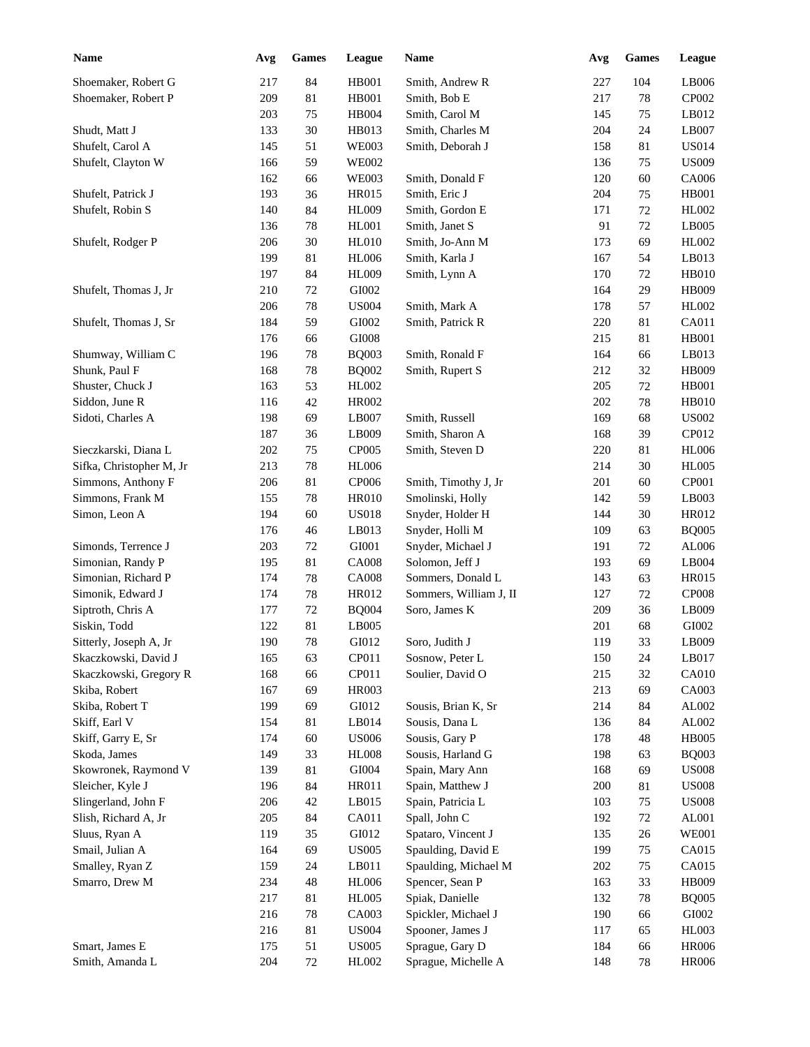| <b>Name</b>              | Avg | <b>Games</b> | League       | Name                                  | Avg | <b>Games</b> | League        |
|--------------------------|-----|--------------|--------------|---------------------------------------|-----|--------------|---------------|
| Shoemaker, Robert G      | 217 | 84           | <b>HB001</b> | Smith, Andrew R                       | 227 | 104          | LB006         |
| Shoemaker, Robert P      | 209 | 81           | <b>HB001</b> | Smith, Bob E                          | 217 | 78           | CP002         |
|                          | 203 | 75           | HB004        | Smith, Carol M                        | 145 | 75           | LB012         |
| Shudt, Matt J            | 133 | 30           | HB013        | Smith, Charles M                      | 204 | 24           | LB007         |
| Shufelt, Carol A         | 145 | 51           | <b>WE003</b> | Smith, Deborah J                      | 158 | 81           | <b>US014</b>  |
| Shufelt, Clayton W       | 166 | 59           | <b>WE002</b> |                                       | 136 | 75           | <b>US009</b>  |
|                          | 162 | 66           | <b>WE003</b> | Smith, Donald F                       | 120 | 60           | CA006         |
| Shufelt, Patrick J       | 193 | 36           | HR015        | Smith, Eric J                         | 204 | 75           | <b>HB001</b>  |
| Shufelt, Robin S         | 140 | 84           | <b>HL009</b> | Smith, Gordon E                       | 171 | 72           | HL002         |
|                          | 136 | $78\,$       | HL001        | Smith, Janet S                        | 91  | 72           | LB005         |
| Shufelt, Rodger P        | 206 | 30           | HL010        | Smith, Jo-Ann M                       | 173 | 69           | HL002         |
|                          | 199 | 81           | <b>HL006</b> | Smith, Karla J                        | 167 | 54           | LB013         |
|                          | 197 | 84           | HL009        | Smith, Lynn A                         | 170 | 72           | <b>HB010</b>  |
| Shufelt, Thomas J, Jr    | 210 | 72           | GI002        |                                       | 164 | 29           | <b>HB009</b>  |
|                          | 206 | $78\,$       | <b>US004</b> | Smith, Mark A                         | 178 | 57           | HL002         |
| Shufelt, Thomas J, Sr    | 184 | 59           | GI002        | Smith, Patrick R                      | 220 | 81           | CA011         |
|                          |     |              |              |                                       |     |              |               |
|                          | 176 | 66           | GI008        |                                       | 215 | 81           | <b>HB001</b>  |
| Shumway, William C       | 196 | 78           | <b>BQ003</b> | Smith, Ronald F                       | 164 | 66           | LB013         |
| Shunk, Paul F            | 168 | 78           | <b>BQ002</b> | Smith, Rupert S                       | 212 | 32           | <b>HB009</b>  |
| Shuster, Chuck J         | 163 | 53           | HL002        |                                       | 205 | 72           | <b>HB001</b>  |
| Siddon, June R           | 116 | 42           | <b>HR002</b> |                                       | 202 | 78           | <b>HB010</b>  |
| Sidoti, Charles A        | 198 | 69           | LB007        | Smith, Russell                        | 169 | 68           | <b>US002</b>  |
|                          | 187 | 36           | LB009        | Smith, Sharon A                       | 168 | 39           | CP012         |
| Sieczkarski, Diana L     | 202 | 75           | CP005        | Smith, Steven D                       | 220 | 81           | <b>HL006</b>  |
| Sifka, Christopher M, Jr | 213 | 78           | <b>HL006</b> |                                       | 214 | 30           | <b>HL005</b>  |
| Simmons, Anthony F       | 206 | 81           | CP006        | Smith, Timothy J, Jr                  | 201 | 60           | CP001         |
| Simmons, Frank M         | 155 | 78           | <b>HR010</b> | Smolinski, Holly                      | 142 | 59           | LB003         |
| Simon, Leon A            | 194 | 60           | <b>US018</b> | Snyder, Holder H                      | 144 | 30           | HR012         |
|                          | 176 | 46           | LB013        | Snyder, Holli M                       | 109 | 63           | <b>BQ005</b>  |
| Simonds, Terrence J      | 203 | 72           | GI001        | Snyder, Michael J                     | 191 | 72           | AL006         |
| Simonian, Randy P        | 195 | 81           | <b>CA008</b> | Solomon, Jeff J                       | 193 | 69           | LB004         |
| Simonian, Richard P      | 174 | 78           | <b>CA008</b> | Sommers, Donald L                     | 143 | 63           | <b>HR015</b>  |
| Simonik, Edward J        | 174 | 78           | HR012        | Sommers, William J, II                | 127 | 72           | <b>CP008</b>  |
| Siptroth, Chris A        | 177 | $72\,$       | <b>BQ004</b> | Soro, James K                         | 209 | 36           | LB009         |
| Siskin, Todd             | 122 | 81           | LB005        |                                       | 201 | 68           | GI002         |
| Sitterly, Joseph A, Jr   | 190 | $78\,$       | GI012        | Soro, Judith J                        | 119 | 33           | LB009         |
| Skaczkowski, David J     | 165 | 63           | CP011        | Sosnow, Peter L                       | 150 | 24           | LB017         |
| Skaczkowski, Gregory R   | 168 | 66           | CP011        | Soulier, David O                      | 215 | 32           | CA010         |
| Skiba, Robert            | 167 | 69           | HR003        |                                       | 213 | 69           | CA003         |
| Skiba, Robert T          | 199 | 69           | GI012        | Sousis, Brian K, Sr                   | 214 | 84           | AL002         |
| Skiff, Earl V            | 154 | 81           | LB014        | Sousis, Dana L                        | 136 | 84           | AL002         |
| Skiff, Garry E, Sr       | 174 | 60           | <b>US006</b> | Sousis, Gary P                        | 178 | 48           | <b>HB005</b>  |
| Skoda, James             | 149 | 33           | <b>HL008</b> | Sousis, Harland G                     | 198 | 63           | <b>BQ003</b>  |
| Skowronek, Raymond V     | 139 | $81\,$       | GI004        | Spain, Mary Ann                       | 168 | 69           | <b>US008</b>  |
|                          |     |              |              |                                       |     |              | <b>US008</b>  |
| Sleicher, Kyle J         | 196 | 84           | HR011        | Spain, Matthew J<br>Spain, Patricia L | 200 | 81           |               |
| Slingerland, John F      | 206 | $42\,$       | LB015        |                                       | 103 | 75           | <b>US008</b>  |
| Slish, Richard A, Jr     | 205 | 84           | CA011        | Spall, John C                         | 192 | $72\,$       | AL001         |
| Sluus, Ryan A            | 119 | 35           | GI012        | Spataro, Vincent J                    | 135 | $26\,$       | <b>WE001</b>  |
| Smail, Julian A          | 164 | 69           | <b>US005</b> | Spaulding, David E                    | 199 | $75\,$       | CA015         |
| Smalley, Ryan Z          | 159 | 24           | LB011        | Spaulding, Michael M                  | 202 | 75           | CA015         |
| Smarro, Drew M           | 234 | $\sqrt{48}$  | <b>HL006</b> | Spencer, Sean P                       | 163 | 33           | HB009         |
|                          | 217 | $81\,$       | <b>HL005</b> | Spiak, Danielle                       | 132 | 78           | <b>BQ005</b>  |
|                          | 216 | 78           | CA003        | Spickler, Michael J                   | 190 | 66           | ${\rm GIO}02$ |
|                          | 216 | $81\,$       | <b>US004</b> | Spooner, James J                      | 117 | 65           | HL003         |
| Smart, James E           | 175 | 51           | <b>US005</b> | Sprague, Gary D                       | 184 | 66           | <b>HR006</b>  |
| Smith, Amanda L          | 204 | $72\,$       | HL002        | Sprague, Michelle A                   | 148 | $78\,$       | <b>HR006</b>  |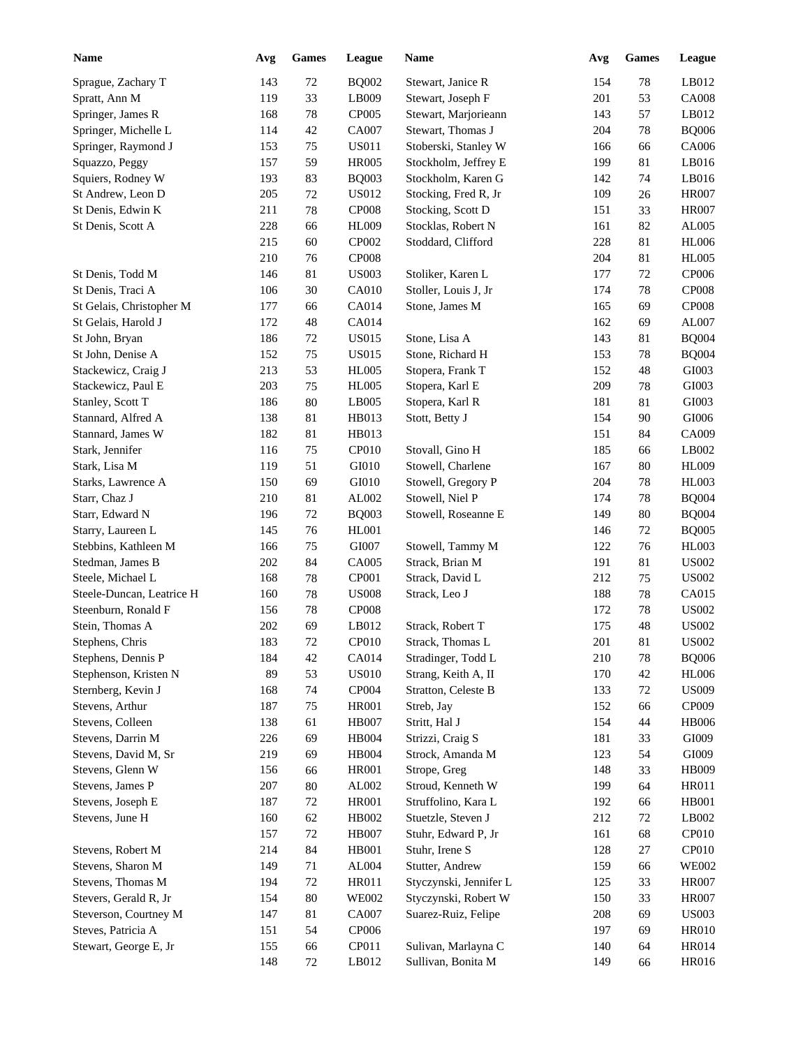| <b>Name</b>               | Avg | <b>Games</b> | League       | Name                   | Avg | <b>Games</b> | League       |
|---------------------------|-----|--------------|--------------|------------------------|-----|--------------|--------------|
| Sprague, Zachary T        | 143 | 72           | <b>BQ002</b> | Stewart, Janice R      | 154 | 78           | LB012        |
| Spratt, Ann M             | 119 | 33           | LB009        | Stewart, Joseph F      | 201 | 53           | <b>CA008</b> |
| Springer, James R         | 168 | 78           | CP005        | Stewart, Marjorieann   | 143 | 57           | LB012        |
| Springer, Michelle L      | 114 | 42           | CA007        | Stewart, Thomas J      | 204 | 78           | <b>BQ006</b> |
| Springer, Raymond J       | 153 | 75           | <b>US011</b> | Stoberski, Stanley W   | 166 | 66           | CA006        |
| Squazzo, Peggy            | 157 | 59           | <b>HR005</b> | Stockholm, Jeffrey E   | 199 | 81           | LB016        |
| Squiers, Rodney W         | 193 | 83           | <b>BQ003</b> | Stockholm, Karen G     | 142 | 74           | LB016        |
| St Andrew, Leon D         | 205 | 72           | US012        | Stocking, Fred R, Jr   | 109 | 26           | <b>HR007</b> |
| St Denis, Edwin K         | 211 | 78           | <b>CP008</b> | Stocking, Scott D      | 151 | 33           | <b>HR007</b> |
| St Denis, Scott A         | 228 | 66           | HL009        | Stocklas, Robert N     | 161 | 82           | AL005        |
|                           | 215 | 60           | CP002        | Stoddard, Clifford     | 228 | 81           | <b>HL006</b> |
|                           | 210 | 76           | <b>CP008</b> |                        | 204 | 81           | <b>HL005</b> |
| St Denis, Todd M          | 146 | 81           | <b>US003</b> | Stoliker, Karen L      | 177 | 72           | CP006        |
| St Denis, Traci A         | 106 | 30           | <b>CA010</b> | Stoller, Louis J, Jr   | 174 | 78           | <b>CP008</b> |
| St Gelais, Christopher M  | 177 | 66           | CA014        | Stone, James M         | 165 | 69           | <b>CP008</b> |
| St Gelais, Harold J       | 172 | 48           | CA014        |                        | 162 | 69           | AL007        |
|                           | 186 | 72           | <b>US015</b> | Stone, Lisa A          | 143 | 81           | <b>BQ004</b> |
| St John, Bryan            |     |              |              |                        |     |              |              |
| St John, Denise A         | 152 | 75           | <b>US015</b> | Stone, Richard H       | 153 | 78           | <b>BQ004</b> |
| Stackewicz, Craig J       | 213 | 53           | <b>HL005</b> | Stopera, Frank T       | 152 | 48           | GI003        |
| Stackewicz, Paul E        | 203 | 75           | HL005        | Stopera, Karl E        | 209 | 78           | GI003        |
| Stanley, Scott T          | 186 | 80           | LB005        | Stopera, Karl R        | 181 | 81           | GI003        |
| Stannard, Alfred A        | 138 | 81           | HB013        | Stott, Betty J         | 154 | 90           | $\rm GIO06$  |
| Stannard, James W         | 182 | 81           | HB013        |                        | 151 | 84           | CA009        |
| Stark, Jennifer           | 116 | 75           | CP010        | Stovall, Gino H        | 185 | 66           | LB002        |
| Stark, Lisa M             | 119 | 51           | GI010        | Stowell, Charlene      | 167 | 80           | <b>HL009</b> |
| Starks, Lawrence A        | 150 | 69           | GI010        | Stowell, Gregory P     | 204 | 78           | <b>HL003</b> |
| Starr, Chaz J             | 210 | 81           | AL002        | Stowell, Niel P        | 174 | 78           | <b>BQ004</b> |
| Starr, Edward N           | 196 | 72           | <b>BQ003</b> | Stowell, Roseanne E    | 149 | 80           | <b>BQ004</b> |
| Starry, Laureen L         | 145 | 76           | HL001        |                        | 146 | 72           | <b>BQ005</b> |
| Stebbins, Kathleen M      | 166 | 75           | GI007        | Stowell, Tammy M       | 122 | 76           | <b>HL003</b> |
| Stedman, James B          | 202 | 84           | <b>CA005</b> | Strack, Brian M        | 191 | 81           | <b>US002</b> |
| Steele, Michael L         | 168 | 78           | CP001        | Strack, David L        | 212 | 75           | <b>US002</b> |
| Steele-Duncan, Leatrice H | 160 | 78           | <b>US008</b> | Strack, Leo J          | 188 | 78           | CA015        |
| Steenburn, Ronald F       | 156 | 78           | CP008        |                        | 172 | 78           | <b>US002</b> |
| Stein, Thomas A           | 202 | 69           | LB012        | Strack, Robert T       | 175 | 48           | <b>US002</b> |
| Stephens, Chris           | 183 | $72\,$       | CP010        | Strack, Thomas L       | 201 | 81           | <b>US002</b> |
| Stephens, Dennis P        | 184 | $42\,$       | CA014        | Stradinger, Todd L     | 210 | 78           | <b>BQ006</b> |
| Stephenson, Kristen N     | 89  | 53           | <b>US010</b> | Strang, Keith A, II    | 170 | $42\,$       | <b>HL006</b> |
| Sternberg, Kevin J        | 168 | 74           | CP004        | Stratton, Celeste B    | 133 | $72\,$       | <b>US009</b> |
| Stevens, Arthur           | 187 | 75           | HR001        | Streb, Jay             | 152 | 66           | CP009        |
| Stevens, Colleen          | 138 | 61           | <b>HB007</b> | Stritt, Hal J          | 154 | 44           | <b>HB006</b> |
| Stevens, Darrin M         | 226 | 69           | <b>HB004</b> | Strizzi, Craig S       | 181 | 33           | GI009        |
| Stevens, David M, Sr      | 219 | 69           | HB004        | Strock, Amanda M       | 123 | 54           | GI009        |
| Stevens, Glenn W          | 156 | 66           | <b>HR001</b> | Strope, Greg           | 148 | 33           | HB009        |
| Stevens, James P          | 207 | $80\,$       | AL002        | Stroud, Kenneth W      | 199 | 64           | HR011        |
|                           |     |              |              |                        |     |              |              |
| Stevens, Joseph E         | 187 | 72           | <b>HR001</b> | Struffolino, Kara L    | 192 | 66           | <b>HB001</b> |
| Stevens, June H           | 160 | $62\,$       | HB002        | Stuetzle, Steven J     | 212 | 72           | LB002        |
|                           | 157 | $72\,$       | <b>HB007</b> | Stuhr, Edward P, Jr    | 161 | 68           | CP010        |
| Stevens, Robert M         | 214 | $84\,$       | HB001        | Stuhr, Irene S         | 128 | 27           | CP010        |
| Stevens, Sharon M         | 149 | 71           | AL004        | Stutter, Andrew        | 159 | 66           | <b>WE002</b> |
| Stevens, Thomas M         | 194 | $72\,$       | HR011        | Styczynski, Jennifer L | 125 | 33           | <b>HR007</b> |
| Stevers, Gerald R, Jr     | 154 | $80\,$       | <b>WE002</b> | Styczynski, Robert W   | 150 | 33           | <b>HR007</b> |
| Steverson, Courtney M     | 147 | 81           | CA007        | Suarez-Ruiz, Felipe    | 208 | 69           | <b>US003</b> |
| Steves, Patricia A        | 151 | 54           | CP006        |                        | 197 | 69           | <b>HR010</b> |
| Stewart, George E, Jr     | 155 | 66           | CP011        | Sulivan, Marlayna C    | 140 | 64           | <b>HR014</b> |
|                           | 148 | 72           | LB012        | Sullivan, Bonita M     | 149 | 66           | HR016        |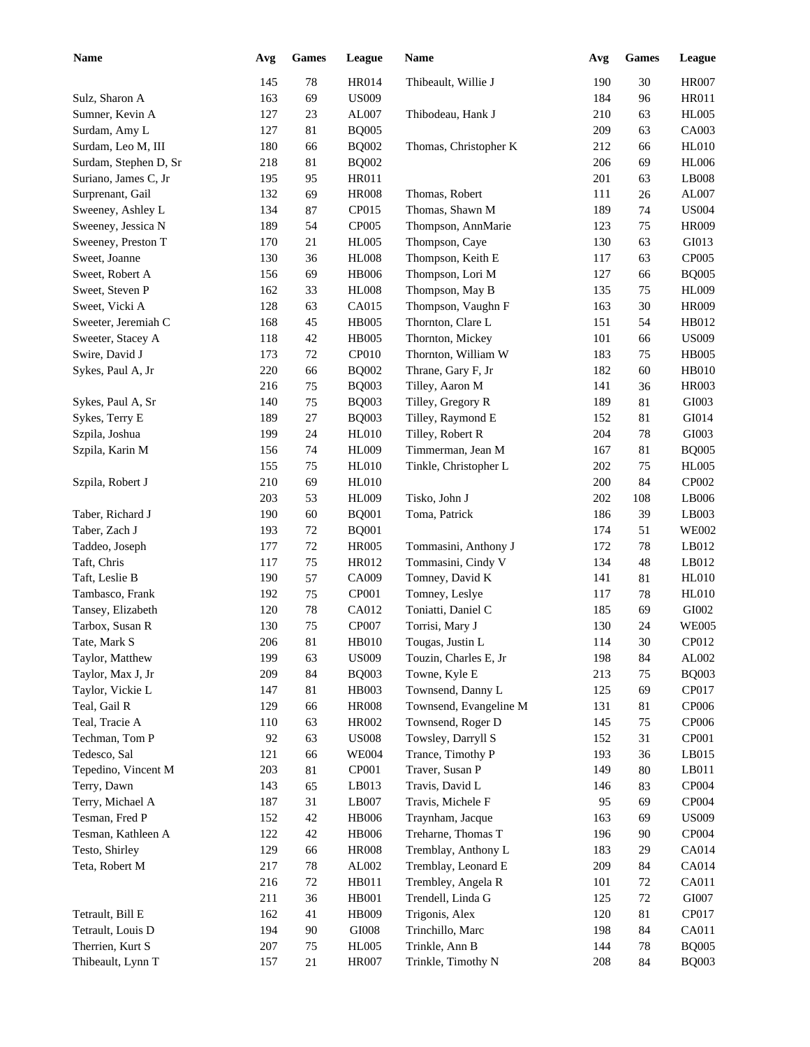| Name                  | Avg | <b>Games</b> | League       | <b>Name</b>            | Avg | <b>Games</b> | <b>League</b> |
|-----------------------|-----|--------------|--------------|------------------------|-----|--------------|---------------|
|                       | 145 | 78           | <b>HR014</b> | Thibeault, Willie J    | 190 | 30           | <b>HR007</b>  |
| Sulz, Sharon A        | 163 | 69           | <b>US009</b> |                        | 184 | 96           | HR011         |
| Sumner, Kevin A       | 127 | $23\,$       | AL007        | Thibodeau, Hank J      | 210 | 63           | <b>HL005</b>  |
| Surdam, Amy L         | 127 | 81           | <b>BQ005</b> |                        | 209 | 63           | CA003         |
| Surdam, Leo M, III    | 180 | 66           | <b>BQ002</b> | Thomas, Christopher K  | 212 | 66           | <b>HL010</b>  |
| Surdam, Stephen D, Sr | 218 | 81           | <b>BQ002</b> |                        | 206 | 69           | <b>HL006</b>  |
| Suriano, James C, Jr  | 195 | 95           | HR011        |                        | 201 | 63           | LB008         |
| Surprenant, Gail      | 132 | 69           | <b>HR008</b> | Thomas, Robert         | 111 | 26           | AL007         |
| Sweeney, Ashley L     | 134 | 87           | CP015        | Thomas, Shawn M        | 189 | 74           | <b>US004</b>  |
| Sweeney, Jessica N    | 189 | 54           | CP005        | Thompson, AnnMarie     | 123 | 75           | <b>HR009</b>  |
| Sweeney, Preston T    | 170 | 21           | <b>HL005</b> | Thompson, Caye         | 130 | 63           | GI013         |
| Sweet, Joanne         | 130 | 36           | <b>HL008</b> | Thompson, Keith E      | 117 | 63           | <b>CP005</b>  |
| Sweet, Robert A       | 156 | 69           | <b>HB006</b> | Thompson, Lori M       | 127 | 66           | <b>BQ005</b>  |
| Sweet, Steven P       | 162 | 33           | <b>HL008</b> | Thompson, May B        | 135 | 75           | <b>HL009</b>  |
| Sweet, Vicki A        | 128 | 63           | CA015        | Thompson, Vaughn F     | 163 | 30           | <b>HR009</b>  |
| Sweeter, Jeremiah C   | 168 | 45           | <b>HB005</b> | Thornton, Clare L      | 151 | 54           | HB012         |
| Sweeter, Stacey A     | 118 | 42           | <b>HB005</b> | Thornton, Mickey       | 101 | 66           | <b>US009</b>  |
| Swire, David J        | 173 | 72           | <b>CP010</b> | Thornton, William W    | 183 | 75           | <b>HB005</b>  |
| Sykes, Paul A, Jr     | 220 | 66           | <b>BQ002</b> | Thrane, Gary F, Jr     | 182 | 60           | <b>HB010</b>  |
|                       | 216 | 75           | <b>BQ003</b> | Tilley, Aaron M        | 141 | 36           | <b>HR003</b>  |
| Sykes, Paul A, Sr     | 140 | 75           | <b>BQ003</b> | Tilley, Gregory R      | 189 | 81           | GI003         |
| Sykes, Terry E        | 189 | 27           | <b>BQ003</b> | Tilley, Raymond E      | 152 | 81           | GI014         |
| Szpila, Joshua        | 199 | 24           | HL010        | Tilley, Robert R       | 204 | 78           | GI003         |
| Szpila, Karin M       | 156 | 74           | HL009        | Timmerman, Jean M      | 167 | 81           | <b>BQ005</b>  |
|                       | 155 | 75           | <b>HL010</b> | Tinkle, Christopher L  | 202 | 75           | <b>HL005</b>  |
| Szpila, Robert J      | 210 | 69           | <b>HL010</b> |                        | 200 | 84           | CP002         |
|                       | 203 | 53           | <b>HL009</b> | Tisko, John J          | 202 | $108\,$      | LB006         |
| Taber, Richard J      | 190 | 60           | <b>BQ001</b> | Toma, Patrick          | 186 | 39           | LB003         |
| Taber, Zach J         | 193 | 72           | <b>BQ001</b> |                        | 174 | 51           | <b>WE002</b>  |
| Taddeo, Joseph        | 177 | 72           | <b>HR005</b> | Tommasini, Anthony J   | 172 | 78           | LB012         |
| Taft, Chris           | 117 | 75           | HR012        | Tommasini, Cindy V     | 134 | 48           | LB012         |
| Taft, Leslie B        | 190 | 57           | CA009        | Tomney, David K        | 141 | 81           | <b>HL010</b>  |
| Tambasco, Frank       | 192 | 75           | CP001        | Tomney, Leslye         | 117 | 78           | <b>HL010</b>  |
| Tansey, Elizabeth     | 120 | 78           | CA012        | Toniatti, Daniel C     | 185 | 69           | GI002         |
| Tarbox, Susan R       | 130 | 75           | CP007        | Torrisi, Mary J        | 130 | 24           | <b>WE005</b>  |
| Tate, Mark S          | 206 | 81           | <b>HB010</b> | Tougas, Justin L       | 114 | 30           | CP012         |
| Taylor, Matthew       | 199 | 63           | <b>US009</b> | Touzin, Charles E, Jr  | 198 | 84           | AL002         |
| Taylor, Max J, Jr     | 209 | 84           | <b>BQ003</b> | Towne, Kyle E          | 213 | 75           | <b>BQ003</b>  |
| Taylor, Vickie L      | 147 | 81           | HB003        | Townsend, Danny L      | 125 | 69           | CP017         |
| Teal, Gail R          | 129 | 66           | <b>HR008</b> | Townsend, Evangeline M | 131 | 81           | CP006         |
| Teal, Tracie A        | 110 | 63           | <b>HR002</b> | Townsend, Roger D      | 145 | 75           | CP006         |
| Techman, Tom P        | 92  | 63           | <b>US008</b> | Towsley, Darryll S     | 152 | 31           | CP001         |
| Tedesco, Sal          | 121 | 66           | <b>WE004</b> | Trance, Timothy P      | 193 | 36           | LB015         |
| Tepedino, Vincent M   | 203 | 81           | CP001        | Traver, Susan P        | 149 | 80           | LB011         |
| Terry, Dawn           | 143 | 65           | LB013        | Travis, David L        | 146 | 83           | CP004         |
| Terry, Michael A      | 187 | 31           | LB007        | Travis, Michele F      | 95  | 69           | CP004         |
| Tesman, Fred P        | 152 | 42           | HB006        | Traynham, Jacque       | 163 | 69           | <b>US009</b>  |
| Tesman, Kathleen A    | 122 | 42           | <b>HB006</b> | Treharne, Thomas T     | 196 | 90           | CP004         |
| Testo, Shirley        | 129 | 66           | <b>HR008</b> | Tremblay, Anthony L    | 183 | 29           | CA014         |
| Teta, Robert M        | 217 | $78\,$       | AL002        | Tremblay, Leonard E    | 209 | 84           | CA014         |
|                       | 216 | $72\,$       | HB011        | Trembley, Angela R     | 101 | 72           | CA011         |
|                       | 211 | 36           | HB001        | Trendell, Linda G      | 125 | $72\,$       | GI007         |
| Tetrault, Bill E      | 162 | 41           | HB009        | Trigonis, Alex         | 120 | 81           | CP017         |
| Tetrault, Louis D     | 194 | $90\,$       | GI008        | Trinchillo, Marc       | 198 | 84           | CA011         |
| Therrien, Kurt S      | 207 | 75           | <b>HL005</b> | Trinkle, Ann B         | 144 | 78           | <b>BQ005</b>  |
| Thibeault, Lynn T     | 157 | 21           | <b>HR007</b> | Trinkle, Timothy N     | 208 | 84           | <b>BQ003</b>  |
|                       |     |              |              |                        |     |              |               |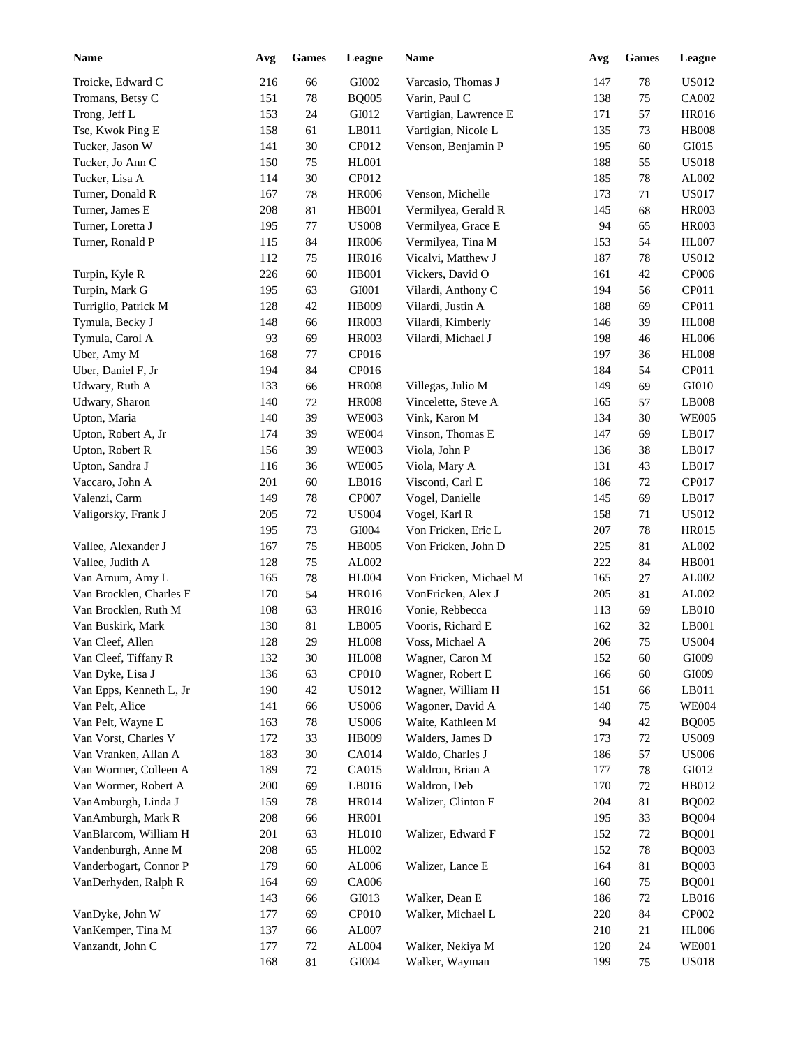| <b>Name</b>             | Avg | <b>Games</b> | League                        | Name                   | Avg     | <b>Games</b> | League        |
|-------------------------|-----|--------------|-------------------------------|------------------------|---------|--------------|---------------|
| Troicke, Edward C       | 216 | 66           | GI002                         | Varcasio, Thomas J     | 147     | $78\,$       | <b>US012</b>  |
| Tromans, Betsy C        | 151 | 78           | <b>BQ005</b>                  | Varin, Paul C          | 138     | 75           | CA002         |
| Trong, Jeff L           | 153 | 24           | GI012                         | Vartigian, Lawrence E  | 171     | 57           | HR016         |
| Tse, Kwok Ping E        | 158 | 61           | LB011                         | Vartigian, Nicole L    | 135     | 73           | <b>HB008</b>  |
| Tucker, Jason W         | 141 | $30\,$       | CP012                         | Venson, Benjamin P     | 195     | 60           | GI015         |
| Tucker, Jo Ann C        | 150 | 75           | HL001                         |                        | 188     | 55           | <b>US018</b>  |
| Tucker, Lisa A          | 114 | $30\,$       | CP012                         |                        | 185     | 78           | AL002         |
| Turner, Donald R        | 167 | $78\,$       | <b>HR006</b>                  | Venson, Michelle       | 173     | 71           | <b>US017</b>  |
| Turner, James E         | 208 | 81           | <b>HB001</b>                  | Vermilyea, Gerald R    | 145     | 68           | <b>HR003</b>  |
| Turner, Loretta J       | 195 | 77           | $\ensuremath{\mathrm{USO08}}$ | Vermilyea, Grace E     | 94      | 65           | <b>HR003</b>  |
| Turner, Ronald P        | 115 | 84           | <b>HR006</b>                  | Vermilyea, Tina M      | 153     | 54           | <b>HL007</b>  |
|                         | 112 | 75           | HR016                         | Vicalvi, Matthew J     | 187     | 78           | <b>US012</b>  |
| Turpin, Kyle R          | 226 | 60           | HB001                         | Vickers, David O       | 161     | 42           | CP006         |
| Turpin, Mark G          | 195 | 63           | GI001                         | Vilardi, Anthony C     | 194     | 56           | CP011         |
| Turriglio, Patrick M    | 128 | $42\,$       | <b>HB009</b>                  | Vilardi, Justin A      | 188     | 69           | CP011         |
|                         | 148 | 66           | HR003                         | Vilardi, Kimberly      | 146     | 39           | <b>HL008</b>  |
| Tymula, Becky J         | 93  |              |                               |                        |         |              |               |
| Tymula, Carol A         |     | 69           | HR003                         | Vilardi, Michael J     | 198     | 46           | <b>HL006</b>  |
| Uber, Amy M             | 168 | 77           | CP016                         |                        | 197     | 36           | <b>HL008</b>  |
| Uber, Daniel F, Jr      | 194 | 84           | CP016                         |                        | 184     | 54           | CP011         |
| Udwary, Ruth A          | 133 | 66           | <b>HR008</b>                  | Villegas, Julio M      | 149     | 69           | GI010         |
| Udwary, Sharon          | 140 | $72\,$       | <b>HR008</b>                  | Vincelette, Steve A    | 165     | 57           | LB008         |
| Upton, Maria            | 140 | 39           | <b>WE003</b>                  | Vink, Karon M          | 134     | 30           | <b>WE005</b>  |
| Upton, Robert A, Jr     | 174 | 39           | <b>WE004</b>                  | Vinson, Thomas E       | 147     | 69           | LB017         |
| Upton, Robert R         | 156 | 39           | <b>WE003</b>                  | Viola, John P          | 136     | 38           | LB017         |
| Upton, Sandra J         | 116 | 36           | <b>WE005</b>                  | Viola, Mary A          | 131     | 43           | LB017         |
| Vaccaro, John A         | 201 | 60           | LB016                         | Visconti, Carl E       | 186     | 72           | CP017         |
| Valenzi, Carm           | 149 | 78           | CP007                         | Vogel, Danielle        | 145     | 69           | LB017         |
| Valigorsky, Frank J     | 205 | $72\,$       | <b>US004</b>                  | Vogel, Karl R          | 158     | 71           | <b>US012</b>  |
|                         | 195 | 73           | GI004                         | Von Fricken, Eric L    | 207     | 78           | <b>HR015</b>  |
| Vallee, Alexander J     | 167 | 75           | <b>HB005</b>                  | Von Fricken, John D    | 225     | 81           | AL002         |
| Vallee, Judith A        | 128 | 75           | AL002                         |                        | 222     | 84           | <b>HB001</b>  |
| Van Arnum, Amy L        | 165 | $78\,$       | <b>HL004</b>                  | Von Fricken, Michael M | 165     | 27           | AL002         |
| Van Brocklen, Charles F | 170 | 54           | <b>HR016</b>                  | VonFricken, Alex J     | 205     | 81           | AL002         |
| Van Brocklen, Ruth M    | 108 | 63           | HR016                         | Vonie, Rebbecca        | 113     | 69           | LB010         |
| Van Buskirk, Mark       | 130 | 81           | LB005                         | Vooris, Richard E      | 162     | 32           | LB001         |
| Van Cleef, Allen        | 128 | $29\,$       | <b>HL008</b>                  | Voss, Michael A        | $206\,$ | $75\,$       | <b>US004</b>  |
| Van Cleef, Tiffany R    | 132 | $30\,$       | <b>HL008</b>                  | Wagner, Caron M        | 152     | 60           | GI009         |
| Van Dyke, Lisa J        | 136 | 63           | CP <sub>010</sub>             | Wagner, Robert E       | 166     | 60           | ${\rm G}1009$ |
| Van Epps, Kenneth L, Jr | 190 | 42           | <b>US012</b>                  | Wagner, William H      | 151     | 66           | LB011         |
| Van Pelt, Alice         | 141 | 66           | <b>US006</b>                  | Wagoner, David A       | 140     | 75           | <b>WE004</b>  |
| Van Pelt, Wayne E       | 163 | $78\,$       | <b>US006</b>                  | Waite, Kathleen M      | 94      | $42\,$       | <b>BQ005</b>  |
| Van Vorst, Charles V    | 172 | 33           | HB009                         | Walders, James D       | 173     | $72\,$       | <b>US009</b>  |
| Van Vranken, Allan A    | 183 | $30\,$       | CA014                         | Waldo, Charles J       | 186     | 57           | <b>US006</b>  |
| Van Wormer, Colleen A   | 189 | $72\,$       | CA015                         | Waldron, Brian A       | 177     | $78\,$       | GI012         |
| Van Wormer, Robert A    | 200 | 69           | LB016                         | Waldron, Deb           | 170     | 72           | HB012         |
| VanAmburgh, Linda J     | 159 | $78\,$       | <b>HR014</b>                  | Walizer, Clinton E     | 204     | 81           | <b>BQ002</b>  |
| VanAmburgh, Mark R      | 208 | 66           | <b>HR001</b>                  |                        | 195     | 33           | <b>BQ004</b>  |
| VanBlarcom, William H   | 201 | 63           | <b>HL010</b>                  | Walizer, Edward F      | 152     | $72\,$       | <b>BQ001</b>  |
| Vandenburgh, Anne M     | 208 | 65           | HL002                         |                        | 152     | $78\,$       | <b>BQ003</b>  |
| Vanderbogart, Connor P  | 179 | $60\,$       | AL006                         | Walizer, Lance E       | 164     | 81           | <b>BQ003</b>  |
| VanDerhyden, Ralph R    |     |              |                               |                        |         |              | <b>BQ001</b>  |
|                         | 164 | 69           | CA006                         |                        | 160     | 75           |               |
|                         | 143 | 66           | GI013                         | Walker, Dean E         | 186     | $72\,$       | LB016         |
| VanDyke, John W         | 177 | 69           | CP010                         | Walker, Michael L      | 220     | 84           | CP002         |
| VanKemper, Tina M       | 137 | 66           | AL007                         |                        | 210     | 21           | <b>HL006</b>  |
| Vanzandt, John C        | 177 | $72\,$       | AL004                         | Walker, Nekiya M       | 120     | 24           | <b>WE001</b>  |
|                         | 168 | 81           | GI004                         | Walker, Wayman         | 199     | 75           | <b>US018</b>  |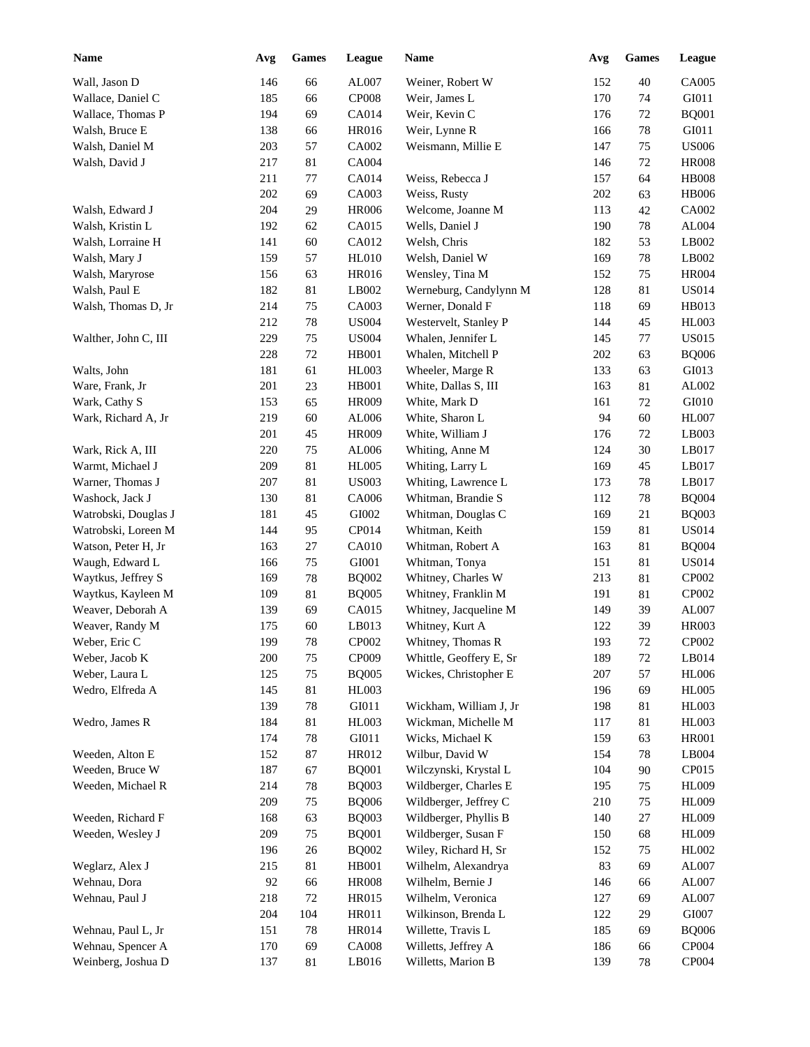| <b>Name</b>                      | Avg | <b>Games</b> | League       | Name                    | Avg | <b>Games</b> | League       |
|----------------------------------|-----|--------------|--------------|-------------------------|-----|--------------|--------------|
| Wall, Jason D                    | 146 | 66           | AL007        | Weiner, Robert W        | 152 | 40           | CA005        |
| Wallace, Daniel C                | 185 | 66           | CP008        | Weir, James L           | 170 | 74           | GI011        |
| Wallace, Thomas P                | 194 | 69           | CA014        | Weir, Kevin C           | 176 | 72           | <b>BQ001</b> |
| Walsh, Bruce E                   | 138 | 66           | <b>HR016</b> | Weir, Lynne R           | 166 | 78           | GI011        |
| Walsh, Daniel M                  | 203 | 57           | CA002        | Weismann, Millie E      | 147 | 75           | <b>US006</b> |
| Walsh, David J                   | 217 | 81           | CA004        |                         | 146 | 72           | <b>HR008</b> |
|                                  | 211 | 77           | CA014        | Weiss, Rebecca J        | 157 | 64           | <b>HB008</b> |
|                                  | 202 | 69           | CA003        | Weiss, Rusty            | 202 | 63           | <b>HB006</b> |
| Walsh, Edward J                  | 204 | 29           | <b>HR006</b> | Welcome, Joanne M       | 113 | 42           | CA002        |
| Walsh, Kristin L                 | 192 | 62           | CA015        | Wells, Daniel J         | 190 | 78           | AL004        |
| Walsh, Lorraine H                | 141 | 60           | CA012        | Welsh, Chris            | 182 | 53           | LB002        |
| Walsh, Mary J                    | 159 | 57           | <b>HL010</b> | Welsh, Daniel W         | 169 | 78           | LB002        |
| Walsh, Maryrose                  | 156 | 63           | <b>HR016</b> | Wensley, Tina M         | 152 | 75           | <b>HR004</b> |
| Walsh, Paul E                    | 182 | 81           | LB002        | Werneburg, Candylynn M  | 128 | 81           | <b>US014</b> |
| Walsh, Thomas D, Jr              | 214 | $75\,$       | CA003        | Werner, Donald F        | 118 | 69           | HB013        |
|                                  | 212 | $78\,$       | <b>US004</b> | Westervelt, Stanley P   | 144 | 45           | HL003        |
| Walther, John C, III             | 229 | 75           | <b>US004</b> | Whalen, Jennifer L      | 145 | 77           | <b>US015</b> |
|                                  | 228 | 72           | <b>HB001</b> | Whalen, Mitchell P      | 202 | 63           | <b>BQ006</b> |
| Walts, John                      | 181 | 61           | <b>HL003</b> | Wheeler, Marge R        | 133 | 63           | GI013        |
| Ware, Frank, Jr                  | 201 | 23           | <b>HB001</b> | White, Dallas S, III    | 163 | 81           | AL002        |
| Wark, Cathy S                    | 153 | 65           | <b>HR009</b> | White, Mark D           | 161 | 72           | GI010        |
| Wark, Richard A, Jr              | 219 | 60           | AL006        | White, Sharon L         | 94  | 60           | <b>HL007</b> |
|                                  | 201 | 45           | <b>HR009</b> | White, William J        | 176 | 72           | LB003        |
| Wark, Rick A, III                | 220 | 75           | AL006        | Whiting, Anne M         | 124 | 30           | LB017        |
| Warmt, Michael J                 | 209 | 81           | <b>HL005</b> | Whiting, Larry L        | 169 | 45           | LB017        |
| Warner, Thomas J                 | 207 | 81           | <b>US003</b> | Whiting, Lawrence L     | 173 | 78           | LB017        |
| Washock, Jack J                  | 130 | 81           | CA006        | Whitman, Brandie S      | 112 | 78           | <b>BQ004</b> |
| Watrobski, Douglas J             | 181 | 45           | GI002        | Whitman, Douglas C      | 169 | 21           | <b>BQ003</b> |
| Watrobski, Loreen M              | 144 | 95           | CP014        | Whitman, Keith          | 159 | 81           | <b>US014</b> |
| Watson, Peter H, Jr              | 163 | 27           | <b>CA010</b> | Whitman, Robert A       | 163 | 81           | <b>BQ004</b> |
| Waugh, Edward L                  | 166 | 75           | GI001        | Whitman, Tonya          | 151 | 81           | <b>US014</b> |
| Waytkus, Jeffrey S               | 169 | 78           | <b>BQ002</b> | Whitney, Charles W      | 213 | 81           | CP002        |
| Waytkus, Kayleen M               | 109 | 81           | <b>BQ005</b> | Whitney, Franklin M     | 191 | 81           | CP002        |
| Weaver, Deborah A                | 139 | 69           | CA015        | Whitney, Jacqueline M   | 149 | 39           | AL007        |
| Weaver, Randy M                  | 175 | 60           | LB013        | Whitney, Kurt A         | 122 | 39           | <b>HR003</b> |
| Weber, Eric C                    | 199 | $78\,$       | CP002        | Whitney, Thomas R       | 193 | $72\,$       | CP002        |
|                                  | 200 | 75           | CP009        | Whittle, Geoffery E, Sr | 189 |              | LB014        |
| Weber, Jacob K<br>Weber, Laura L | 125 | 75           | <b>BQ005</b> | Wickes, Christopher E   | 207 | 72<br>57     | <b>HL006</b> |
| Wedro, Elfreda A                 | 145 | 81           | HL003        |                         | 196 | 69           | <b>HL005</b> |
|                                  | 139 | 78           | GI011        | Wickham, William J, Jr  | 198 | 81           | HL003        |
| Wedro, James R                   | 184 | 81           | HL003        | Wickman, Michelle M     | 117 | 81           | HL003        |
|                                  | 174 | 78           | GI011        | Wicks, Michael K        | 159 | 63           | <b>HR001</b> |
| Weeden, Alton E                  | 152 | 87           | HR012        | Wilbur, David W         | 154 | 78           | LB004        |
| Weeden, Bruce W                  | 187 | 67           | <b>BQ001</b> | Wilczynski, Krystal L   | 104 | $90\,$       | CP015        |
| Weeden, Michael R                | 214 | 78           | <b>BQ003</b> | Wildberger, Charles E   | 195 | 75           | <b>HL009</b> |
|                                  | 209 | 75           | <b>BQ006</b> | Wildberger, Jeffrey C   | 210 | 75           | <b>HL009</b> |
| Weeden, Richard F                | 168 | 63           | <b>BQ003</b> | Wildberger, Phyllis B   |     | $27\,$       | <b>HL009</b> |
|                                  |     |              |              | Wildberger, Susan F     | 140 |              | <b>HL009</b> |
| Weeden, Wesley J                 | 209 | 75           | <b>BQ001</b> | Wiley, Richard H, Sr    | 150 | 68           |              |
|                                  | 196 | 26           | <b>BQ002</b> |                         | 152 | 75           | HL002        |
| Weglarz, Alex J                  | 215 | 81           | HB001        | Wilhelm, Alexandrya     | 83  | 69           | AL007        |
| Wehnau, Dora                     | 92  | 66           | <b>HR008</b> | Wilhelm, Bernie J       | 146 | 66           | AL007        |
| Wehnau, Paul J                   | 218 | 72           | HR015        | Wilhelm, Veronica       | 127 | 69           | AL007        |
|                                  | 204 | 104          | HR011        | Wilkinson, Brenda L     | 122 | 29           | GI007        |
| Wehnau, Paul L, Jr               | 151 | 78           | HR014        | Willette, Travis L      | 185 | 69           | <b>BQ006</b> |
| Wehnau, Spencer A                | 170 | 69           | <b>CA008</b> | Willetts, Jeffrey A     | 186 | 66           | CP004        |
| Weinberg, Joshua D               | 137 | 81           | LB016        | Willetts, Marion B      | 139 | 78           | CP004        |